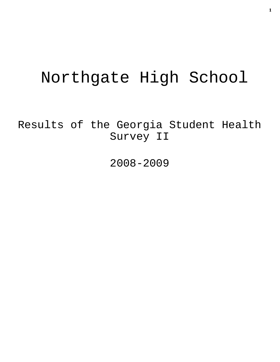# Northgate High School

Results of the Georgia Student Health Survey II

2008-2009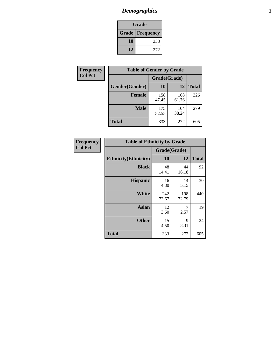# *Demographics* **2**

| Grade                    |     |  |  |  |
|--------------------------|-----|--|--|--|
| <b>Grade   Frequency</b> |     |  |  |  |
| 10                       | 333 |  |  |  |
| 12                       | 272 |  |  |  |

| Frequency      | <b>Table of Gender by Grade</b> |              |              |              |  |  |
|----------------|---------------------------------|--------------|--------------|--------------|--|--|
| <b>Col Pct</b> |                                 | Grade(Grade) |              |              |  |  |
|                | Gender(Gender)                  | 10           | 12           | <b>Total</b> |  |  |
|                | <b>Female</b>                   | 158<br>47.45 | 168<br>61.76 | 326          |  |  |
|                | <b>Male</b>                     | 175<br>52.55 | 104<br>38.24 | 279          |  |  |
|                | <b>Total</b>                    | 333          | 272          | 605          |  |  |

| Frequency<br>Col Pct |
|----------------------|

| <b>Table of Ethnicity by Grade</b> |              |              |              |  |  |  |
|------------------------------------|--------------|--------------|--------------|--|--|--|
|                                    | Grade(Grade) |              |              |  |  |  |
| <b>Ethnicity</b> (Ethnicity)       | 10           | 12           | <b>Total</b> |  |  |  |
| <b>Black</b>                       | 48<br>14.41  | 44<br>16.18  | 92           |  |  |  |
| <b>Hispanic</b>                    | 16<br>4.80   | 14<br>5.15   | 30           |  |  |  |
| White                              | 242<br>72.67 | 198<br>72.79 | 440          |  |  |  |
| <b>Asian</b>                       | 12<br>3.60   | 7<br>2.57    | 19           |  |  |  |
| <b>Other</b>                       | 15<br>4.50   | 9<br>3.31    | 24           |  |  |  |
| <b>Total</b>                       | 333          | 272          | 605          |  |  |  |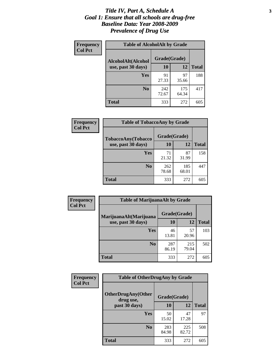### *Title IV, Part A, Schedule A* **3** *Goal 1: Ensure that all schools are drug-free Baseline Data: Year 2008-2009 Prevalence of Drug Use*

| Frequency<br><b>Col Pct</b> | <b>Table of AlcoholAlt by Grade</b> |              |              |              |  |  |
|-----------------------------|-------------------------------------|--------------|--------------|--------------|--|--|
|                             | AlcoholAlt(Alcohol                  | Grade(Grade) |              |              |  |  |
|                             | use, past 30 days)                  | 10           | 12           | <b>Total</b> |  |  |
|                             | Yes                                 | 91<br>27.33  | 97<br>35.66  | 188          |  |  |
|                             | N <sub>0</sub>                      | 242<br>72.67 | 175<br>64.34 | 417          |  |  |
|                             | <b>Total</b>                        | 333          | 272          | 605          |  |  |

| Frequency      | <b>Table of TobaccoAny by Grade</b> |              |              |              |  |  |
|----------------|-------------------------------------|--------------|--------------|--------------|--|--|
| <b>Col Pct</b> | <b>TobaccoAny(Tobacco</b>           | Grade(Grade) |              |              |  |  |
|                | use, past 30 days)                  | 10           | 12           | <b>Total</b> |  |  |
|                | Yes                                 | 71<br>21.32  | 87<br>31.99  | 158          |  |  |
|                | N <sub>0</sub>                      | 262<br>78.68 | 185<br>68.01 | 447          |  |  |
|                | Total                               | 333          | 272          | 605          |  |  |

| Frequency<br><b>Col Pct</b> | <b>Table of MarijuanaAlt by Grade</b> |              |              |              |  |
|-----------------------------|---------------------------------------|--------------|--------------|--------------|--|
|                             | MarijuanaAlt(Marijuana                | Grade(Grade) |              |              |  |
|                             | use, past 30 days)                    | <b>10</b>    | 12           | <b>Total</b> |  |
|                             | <b>Yes</b>                            | 46<br>13.81  | 57<br>20.96  | 103          |  |
|                             | N <sub>0</sub>                        | 287<br>86.19 | 215<br>79.04 | 502          |  |
|                             | <b>Total</b>                          | 333          | 272          | 605          |  |

| Frequency<br><b>Col Pct</b> | <b>Table of OtherDrugAny by Grade</b>                  |              |              |              |  |
|-----------------------------|--------------------------------------------------------|--------------|--------------|--------------|--|
|                             | <b>OtherDrugAny(Other</b><br>Grade(Grade)<br>drug use, |              |              |              |  |
|                             | past 30 days)                                          | 10           | 12           | <b>Total</b> |  |
|                             | Yes                                                    | 50<br>15.02  | 47<br>17.28  | 97           |  |
|                             | N <sub>0</sub>                                         | 283<br>84.98 | 225<br>82.72 | 508          |  |
|                             | <b>Total</b>                                           | 333          | 272          | 605          |  |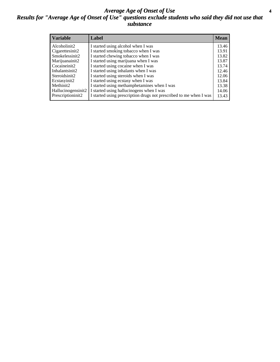### *Average Age of Onset of Use* **4** *Results for "Average Age of Onset of Use" questions exclude students who said they did not use that substance*

| <b>Variable</b>    | Label                                                              | <b>Mean</b> |
|--------------------|--------------------------------------------------------------------|-------------|
| Alcoholinit2       | I started using alcohol when I was                                 | 13.46       |
| Cigarettesinit2    | I started smoking tobacco when I was                               | 13.91       |
| Smokelessinit2     | I started chewing tobacco when I was                               | 13.82       |
| Marijuanainit2     | I started using marijuana when I was                               | 13.87       |
| Cocaineinit2       | I started using cocaine when I was                                 | 13.74       |
| Inhalantsinit2     | I started using inhalants when I was                               | 12.46       |
| Steroidsinit2      | I started using steroids when I was                                | 12.06       |
| Ecstasyinit2       | I started using ecstasy when I was                                 | 13.84       |
| Methinit2          | I started using methamphetamines when I was                        | 13.38       |
| Hallucinogensinit2 | I started using hallucinogens when I was                           | 14.06       |
| Prescriptioninit2  | I started using prescription drugs not prescribed to me when I was | 13.43       |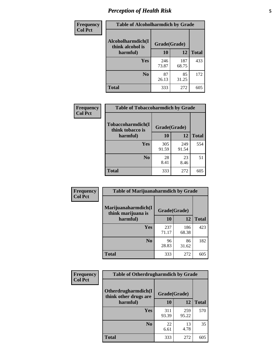# *Perception of Health Risk* **5**

| Frequency      | <b>Table of Alcoholharmdich by Grade</b> |              |              |              |  |
|----------------|------------------------------------------|--------------|--------------|--------------|--|
| <b>Col Pct</b> | Alcoholharmdich(I<br>think alcohol is    | Grade(Grade) |              |              |  |
|                | harmful)                                 | 10           | 12           | <b>Total</b> |  |
|                | Yes                                      | 246<br>73.87 | 187<br>68.75 | 433          |  |
|                | N <sub>0</sub>                           | 87<br>26.13  | 85<br>31.25  | 172          |  |
|                | <b>Total</b>                             | 333          | 272          | 605          |  |

| Frequency      | <b>Table of Tobaccoharmdich by Grade</b> |              |              |              |  |
|----------------|------------------------------------------|--------------|--------------|--------------|--|
| <b>Col Pct</b> | Tobaccoharmdich(I<br>think tobacco is    | Grade(Grade) |              |              |  |
|                | harmful)                                 | 10           | 12           | <b>Total</b> |  |
|                | <b>Yes</b>                               | 305<br>91.59 | 249<br>91.54 | 554          |  |
|                | N <sub>0</sub>                           | 28<br>8.41   | 23<br>8.46   | 51           |  |
|                | <b>Total</b>                             | 333          | 272          | 605          |  |

| <b>Frequency</b> | <b>Table of Marijuanaharmdich by Grade</b>                |              |              |              |  |  |
|------------------|-----------------------------------------------------------|--------------|--------------|--------------|--|--|
| <b>Col Pct</b>   | Marijuanaharmdich(I<br>Grade(Grade)<br>think marijuana is |              |              |              |  |  |
|                  | harmful)                                                  | 10           | 12           | <b>Total</b> |  |  |
|                  | Yes                                                       | 237<br>71.17 | 186<br>68.38 | 423          |  |  |
|                  | N <sub>0</sub>                                            | 96<br>28.83  | 86<br>31.62  | 182          |  |  |
|                  | <b>Total</b>                                              | 333          | 272          | 605          |  |  |

| Frequency      | <b>Table of Otherdrugharmdich by Grade</b>   |              |              |              |  |  |  |  |
|----------------|----------------------------------------------|--------------|--------------|--------------|--|--|--|--|
| <b>Col Pct</b> | Otherdrugharmdich(I<br>think other drugs are | Grade(Grade) |              |              |  |  |  |  |
|                | harmful)                                     | 10           | <b>12</b>    | <b>Total</b> |  |  |  |  |
|                | Yes                                          | 311<br>93.39 | 259<br>95.22 | 570          |  |  |  |  |
|                | N <sub>0</sub>                               | 22<br>6.61   | 13<br>4.78   | 35           |  |  |  |  |
|                | <b>Total</b>                                 | 333          | 272          | 605          |  |  |  |  |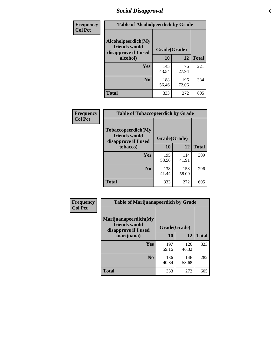# *Social Disapproval* **6**

| Frequency      | <b>Table of Alcoholpeerdich by Grade</b>                    |              |              |     |
|----------------|-------------------------------------------------------------|--------------|--------------|-----|
| <b>Col Pct</b> | Alcoholpeerdich(My<br>friends would<br>disapprove if I used | Grade(Grade) |              |     |
|                | alcohol)                                                    | 10           | <b>Total</b> |     |
|                | <b>Yes</b>                                                  | 145<br>43.54 | 76<br>27.94  | 221 |
|                | N <sub>0</sub>                                              | 188<br>56.46 | 196<br>72.06 | 384 |
|                | <b>Total</b>                                                | 333          | 272          | 605 |

| <b>Frequency</b> |
|------------------|
| <b>Col Pct</b>   |

| <b>Table of Tobaccopeerdich by Grade</b>                    |              |              |              |  |  |  |  |
|-------------------------------------------------------------|--------------|--------------|--------------|--|--|--|--|
| Tobaccopeerdich(My<br>friends would<br>disapprove if I used | Grade(Grade) |              |              |  |  |  |  |
| tobacco)                                                    | 10           | 12           | <b>Total</b> |  |  |  |  |
| Yes                                                         | 195<br>58.56 | 114<br>41.91 | 309          |  |  |  |  |
| N <sub>0</sub>                                              | 138<br>41.44 | 158<br>58.09 | 296          |  |  |  |  |
| <b>Total</b>                                                | 333          | 272          | 605          |  |  |  |  |

| Frequency      | <b>Table of Marijuanapeerdich by Grade</b>                    |              |              |              |  |  |  |  |
|----------------|---------------------------------------------------------------|--------------|--------------|--------------|--|--|--|--|
| <b>Col Pct</b> | Marijuanapeerdich(My<br>friends would<br>disapprove if I used | Grade(Grade) |              |              |  |  |  |  |
|                | marijuana)                                                    | 10           | 12           | <b>Total</b> |  |  |  |  |
|                | <b>Yes</b>                                                    | 197<br>59.16 | 126<br>46.32 | 323          |  |  |  |  |
|                | N <sub>0</sub>                                                | 136<br>40.84 | 146<br>53.68 | 282          |  |  |  |  |
|                | <b>Total</b>                                                  | 333          | 272          | 605          |  |  |  |  |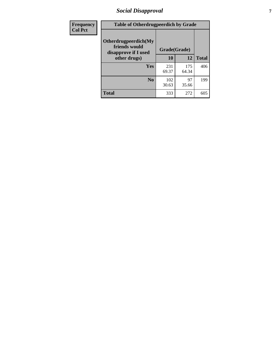# *Social Disapproval* **7**

| Frequency      | <b>Table of Otherdrugpeerdich by Grade</b>                    |              |              |              |  |  |  |  |
|----------------|---------------------------------------------------------------|--------------|--------------|--------------|--|--|--|--|
| <b>Col Pct</b> | Otherdrugpeerdich(My<br>friends would<br>disapprove if I used | Grade(Grade) |              |              |  |  |  |  |
|                | other drugs)                                                  | 10           | 12           | <b>Total</b> |  |  |  |  |
|                | <b>Yes</b>                                                    | 231<br>69.37 | 175<br>64.34 | 406          |  |  |  |  |
|                | N <sub>0</sub>                                                | 102<br>30.63 | 97<br>35.66  | 199          |  |  |  |  |
|                | <b>Total</b>                                                  | 333          | 272          | 605          |  |  |  |  |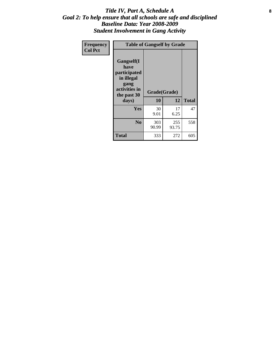### Title IV, Part A, Schedule A **8** *Goal 2: To help ensure that all schools are safe and disciplined Baseline Data: Year 2008-2009 Student Involvement in Gang Activity*

| Frequency      | <b>Table of Gangself by Grade</b>                                                                         |                    |              |              |
|----------------|-----------------------------------------------------------------------------------------------------------|--------------------|--------------|--------------|
| <b>Col Pct</b> | <b>Gangself</b> (I<br>have<br>participated<br>in illegal<br>gang<br>activities in<br>the past 30<br>days) | Grade(Grade)<br>10 | 12           | <b>Total</b> |
|                | Yes                                                                                                       | 30<br>9.01         | 17<br>6.25   | 47           |
|                | N <sub>0</sub>                                                                                            | 303<br>90.99       | 255<br>93.75 | 558          |
|                | <b>Total</b>                                                                                              | 333                | 272          | 605          |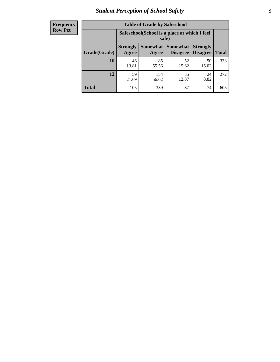# *Student Perception of School Safety* **9**

| <b>Frequency</b><br>Row Pct |
|-----------------------------|
|                             |

| <b>Table of Grade by Safeschool</b> |                                                        |                          |                             |                                    |              |  |  |
|-------------------------------------|--------------------------------------------------------|--------------------------|-----------------------------|------------------------------------|--------------|--|--|
|                                     | Safeschool (School is a place at which I feel<br>safe) |                          |                             |                                    |              |  |  |
| Grade(Grade)                        | <b>Strongly</b><br>Agree                               | <b>Somewhat</b><br>Agree | <b>Somewhat</b><br>Disagree | <b>Strongly</b><br><b>Disagree</b> | <b>Total</b> |  |  |
| 10                                  | 46<br>13.81                                            | 185<br>55.56             | 52<br>15.62                 | 50<br>15.02                        | 333          |  |  |
| 12                                  | 59<br>21.69                                            | 154<br>56.62             | 35<br>12.87                 | 24<br>8.82                         | 272          |  |  |
| <b>Total</b>                        | 105                                                    | 339                      | 87                          | 74                                 | 605          |  |  |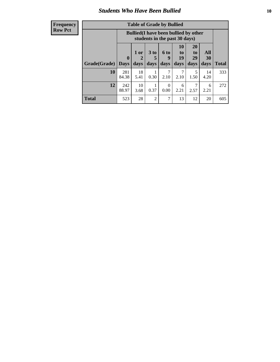### *Students Who Have Been Bullied* **10**

| <b>Frequency</b> |  |
|------------------|--|
| <b>Row Pct</b>   |  |

| <b>Table of Grade by Bullied</b> |                            |                                                                               |                   |                          |                        |                        |                   |              |
|----------------------------------|----------------------------|-------------------------------------------------------------------------------|-------------------|--------------------------|------------------------|------------------------|-------------------|--------------|
|                                  |                            | <b>Bullied</b> (I have been bullied by other<br>students in the past 30 days) |                   |                          |                        |                        |                   |              |
| Grade(Grade)                     | $\mathbf 0$<br><b>Days</b> | 1 or<br>2<br>days                                                             | 3 to<br>5<br>days | <b>6 to</b><br>9<br>days | 10<br>to<br>19<br>days | 20<br>to<br>29<br>days | All<br>30<br>days | <b>Total</b> |
| 10                               | 281<br>84.38               | 18<br>5.41                                                                    | 0.30              | 7<br>2.10                | 2.10                   | 5<br>1.50              | 14<br>4.20        | 333          |
| 12                               | 242<br>88.97               | 10<br>3.68                                                                    | 0.37              | $\Omega$<br>0.00         | 6<br>2.21              | 7<br>2.57              | 6<br>2.21         | 272          |
| Total                            | 523                        | 28                                                                            | 2                 | 7                        | 13                     | 12                     | 20                | 605          |

 $\blacksquare$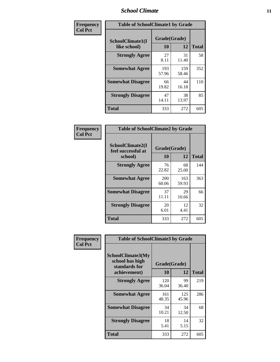### *School Climate* **11**

| <b>Frequency</b> | <b>Table of SchoolClimate1 by Grade</b> |                    |              |              |  |  |  |
|------------------|-----------------------------------------|--------------------|--------------|--------------|--|--|--|
| <b>Col Pct</b>   | SchoolClimate1(I<br>like school)        | Grade(Grade)<br>10 | 12           | <b>Total</b> |  |  |  |
|                  | <b>Strongly Agree</b>                   | 27<br>8.11         | 31<br>11.40  | 58           |  |  |  |
|                  | <b>Somewhat Agree</b>                   | 193<br>57.96       | 159<br>58.46 | 352          |  |  |  |
|                  | <b>Somewhat Disagree</b>                | 66<br>19.82        | 44<br>16.18  | 110          |  |  |  |
|                  | <b>Strongly Disagree</b>                | 47<br>14.11        | 38<br>13.97  | 85           |  |  |  |
|                  | <b>Total</b>                            | 333                | 272          | 605          |  |  |  |

| <b>Table of SchoolClimate2 by Grade</b>           |                    |              |              |  |
|---------------------------------------------------|--------------------|--------------|--------------|--|
| SchoolClimate2(I<br>feel successful at<br>school) | Grade(Grade)<br>10 | 12           | <b>Total</b> |  |
| <b>Strongly Agree</b>                             | 76<br>22.82        | 68<br>25.00  | 144          |  |
| <b>Somewhat Agree</b>                             | 200<br>60.06       | 163<br>59.93 | 363          |  |
| <b>Somewhat Disagree</b>                          | 37<br>11.11        | 29<br>10.66  | 66           |  |
| <b>Strongly Disagree</b>                          | 20<br>6.01         | 12<br>4.41   | 32           |  |
| <b>Total</b>                                      | 333                | 272          | 605          |  |

| Frequency      | <b>Table of SchoolClimate3 by Grade</b>                               |                    |              |              |
|----------------|-----------------------------------------------------------------------|--------------------|--------------|--------------|
| <b>Col Pct</b> | SchoolClimate3(My<br>school has high<br>standards for<br>achievement) | Grade(Grade)<br>10 | 12           | <b>Total</b> |
|                |                                                                       | 120                | 99           | 219          |
|                | <b>Strongly Agree</b>                                                 | 36.04              | 36.40        |              |
|                | <b>Somewhat Agree</b>                                                 | 161<br>48.35       | 125<br>45.96 | 286          |
|                | <b>Somewhat Disagree</b>                                              | 34<br>10.21        | 34<br>12.50  | 68           |
|                | <b>Strongly Disagree</b>                                              | 18<br>5.41         | 14<br>5.15   | 32           |
|                | Total                                                                 | 333                | 272          | 605          |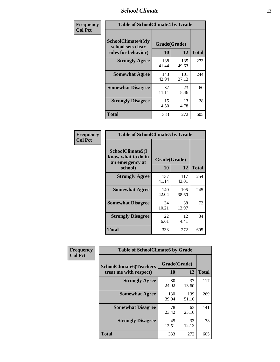### *School Climate* **12**

| Frequency      |                                                               | <b>Table of SchoolClimate4 by Grade</b> |              |              |  |
|----------------|---------------------------------------------------------------|-----------------------------------------|--------------|--------------|--|
| <b>Col Pct</b> | SchoolClimate4(My<br>school sets clear<br>rules for behavior) | Grade(Grade)<br>10                      | 12           | <b>Total</b> |  |
|                | <b>Strongly Agree</b>                                         | 138<br>41.44                            | 135<br>49.63 | 273          |  |
|                | <b>Somewhat Agree</b>                                         | 143<br>42.94                            | 101<br>37.13 | 244          |  |
|                | <b>Somewhat Disagree</b>                                      | 37<br>11.11                             | 23<br>8.46   | 60           |  |
|                | <b>Strongly Disagree</b>                                      | 15<br>4.50                              | 13<br>4.78   | 28           |  |
|                | Total                                                         | 333                                     | 272          | 605          |  |

| <b>Table of SchoolClimate5 by Grade</b>                              |                    |              |              |  |
|----------------------------------------------------------------------|--------------------|--------------|--------------|--|
| SchoolClimate5(I<br>know what to do in<br>an emergency at<br>school) | Grade(Grade)<br>10 | 12           | <b>Total</b> |  |
| <b>Strongly Agree</b>                                                | 137<br>41.14       | 117<br>43.01 | 254          |  |
| <b>Somewhat Agree</b>                                                | 140<br>42.04       | 105<br>38.60 | 245          |  |
| <b>Somewhat Disagree</b>                                             | 34<br>10.21        | 38<br>13.97  | 72           |  |
| <b>Strongly Disagree</b>                                             | 22<br>6.61         | 12<br>4.41   | 34           |  |
| Total                                                                | 333                | 272          | 605          |  |

| Frequency      | <b>Table of SchoolClimate6 by Grade</b>                  |                    |              |              |
|----------------|----------------------------------------------------------|--------------------|--------------|--------------|
| <b>Col Pct</b> | <b>SchoolClimate6(Teachers</b><br>treat me with respect) | Grade(Grade)<br>10 | 12           | <b>Total</b> |
|                | <b>Strongly Agree</b>                                    | 80<br>24.02        | 37<br>13.60  | 117          |
|                | <b>Somewhat Agree</b>                                    | 130<br>39.04       | 139<br>51.10 | 269          |
|                | <b>Somewhat Disagree</b>                                 | 78<br>23.42        | 63<br>23.16  | 141          |
|                | <b>Strongly Disagree</b>                                 | 45<br>13.51        | 33<br>12.13  | 78           |
|                | <b>Total</b>                                             | 333                | 272          | 605          |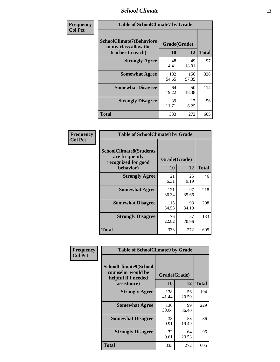### *School Climate* **13**

| Frequency      | <b>Table of SchoolClimate7 by Grade</b>                                       |                           |              |              |
|----------------|-------------------------------------------------------------------------------|---------------------------|--------------|--------------|
| <b>Col Pct</b> | <b>SchoolClimate7(Behaviors</b><br>in my class allow the<br>teacher to teach) | Grade(Grade)<br><b>10</b> | 12           | <b>Total</b> |
|                | <b>Strongly Agree</b>                                                         | 48<br>14.41               | 49<br>18.01  | 97           |
|                | <b>Somewhat Agree</b>                                                         | 182<br>54.65              | 156<br>57.35 | 338          |
|                | <b>Somewhat Disagree</b>                                                      | 64<br>19.22               | 50<br>18.38  | 114          |
|                | <b>Strongly Disagree</b>                                                      | 39<br>11.71               | 17<br>6.25   | 56           |
|                | <b>Total</b>                                                                  | 333                       | 272          | 605          |

| Frequency      | <b>Table of SchoolClimate8 by Grade</b>                                 |              |             |              |
|----------------|-------------------------------------------------------------------------|--------------|-------------|--------------|
| <b>Col Pct</b> | <b>SchoolClimate8(Students</b><br>are frequently<br>recognized for good | Grade(Grade) |             |              |
|                | behavior)                                                               | 10           | 12          | <b>Total</b> |
|                | <b>Strongly Agree</b>                                                   | 21<br>6.31   | 25<br>9.19  | 46           |
|                | <b>Somewhat Agree</b>                                                   | 121<br>36.34 | 97<br>35.66 | 218          |
|                | <b>Somewhat Disagree</b>                                                | 115<br>34.53 | 93<br>34.19 | 208          |
|                | <b>Strongly Disagree</b>                                                | 76<br>22.82  | 57<br>20.96 | 133          |
|                | <b>Total</b>                                                            | 333          | 272         | 605          |

| Frequency      | <b>Table of SchoolClimate9 by Grade</b>                                           |                    |             |              |
|----------------|-----------------------------------------------------------------------------------|--------------------|-------------|--------------|
| <b>Col Pct</b> | SchoolClimate9(School<br>counselor would be<br>helpful if I needed<br>assistance) | Grade(Grade)<br>10 | 12          | <b>Total</b> |
|                | <b>Strongly Agree</b>                                                             | 138<br>41.44       | 56<br>20.59 | 194          |
|                | <b>Somewhat Agree</b>                                                             | 130<br>39.04       | 99<br>36.40 | 229          |
|                | <b>Somewhat Disagree</b>                                                          | 33<br>9.91         | 53<br>19.49 | 86           |
|                | <b>Strongly Disagree</b>                                                          | 32<br>9.61         | 64<br>23.53 | 96           |
|                | <b>Total</b>                                                                      | 333                | 272         | 605          |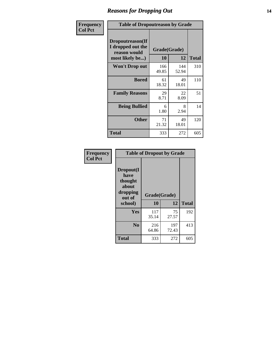### *Reasons for Dropping Out* **14**

| Frequency      | <b>Table of Dropoutreason by Grade</b>                                   |              |                    |              |
|----------------|--------------------------------------------------------------------------|--------------|--------------------|--------------|
| <b>Col Pct</b> | Dropoutreason(If<br>I dropped out the<br>reason would<br>most likely be) | 10           | Grade(Grade)<br>12 | <b>Total</b> |
|                | Won't Drop out                                                           | 166<br>49.85 | 144<br>52.94       | 310          |
|                | <b>Bored</b>                                                             | 61<br>18.32  | 49<br>18.01        | 110          |
|                | <b>Family Reasons</b>                                                    | 29<br>8.71   | 22<br>8.09         | 51           |
|                | <b>Being Bullied</b>                                                     | 6<br>1.80    | 8<br>2.94          | 14           |
|                | <b>Other</b>                                                             | 71<br>21.32  | 49<br>18.01        | 120          |
|                | <b>Total</b>                                                             | 333          | 272                | 605          |

| Frequency      | <b>Table of Dropout by Grade</b>                                       |                    |              |              |  |
|----------------|------------------------------------------------------------------------|--------------------|--------------|--------------|--|
| <b>Col Pct</b> | Dropout(I<br>have<br>thought<br>about<br>dropping<br>out of<br>school) | Grade(Grade)<br>10 | 12           | <b>Total</b> |  |
|                | <b>Yes</b>                                                             | 117<br>35.14       | 75<br>27.57  | 192          |  |
|                | N <sub>0</sub>                                                         | 216<br>64.86       | 197<br>72.43 | 413          |  |
|                | <b>Total</b>                                                           | 333                | 272          | 605          |  |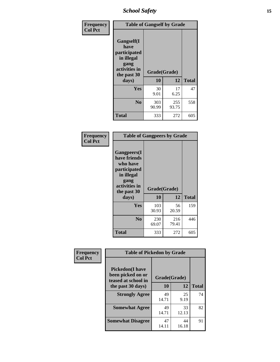*School Safety* **15**

| Frequency      | <b>Table of Gangself by Grade</b>                                                                 |                          |              |              |
|----------------|---------------------------------------------------------------------------------------------------|--------------------------|--------------|--------------|
| <b>Col Pct</b> | Gangself(I<br>have<br>participated<br>in illegal<br>gang<br>activities in<br>the past 30<br>days) | Grade(Grade)<br>10<br>12 |              | <b>Total</b> |
|                | Yes                                                                                               | 30<br>9.01               | 17<br>6.25   | 47           |
|                | N <sub>0</sub>                                                                                    | 303<br>90.99             | 255<br>93.75 | 558          |
|                | <b>Total</b>                                                                                      | 333                      | 272          | 605          |

| Frequency<br><b>Col Pct</b> | <b>Table of Gangpeers by Grade</b>                                                                                             |                    |              |              |
|-----------------------------|--------------------------------------------------------------------------------------------------------------------------------|--------------------|--------------|--------------|
|                             | <b>Gangpeers</b> (I<br>have friends<br>who have<br>participated<br>in illegal<br>gang<br>activities in<br>the past 30<br>days) | Grade(Grade)<br>10 | 12           | <b>Total</b> |
|                             | <b>Yes</b>                                                                                                                     | 103<br>30.93       | 56<br>20.59  | 159          |
|                             | N <sub>0</sub>                                                                                                                 | 230<br>69.07       | 216<br>79.41 | 446          |
|                             | <b>Total</b>                                                                                                                   | 333                | 272          | 605          |

| Frequency      | <b>Table of Pickedon by Grade</b>                                  |              |             |              |  |  |  |  |  |
|----------------|--------------------------------------------------------------------|--------------|-------------|--------------|--|--|--|--|--|
| <b>Col Pct</b> | <b>Pickedon(I have</b><br>been picked on or<br>teased at school in | Grade(Grade) |             |              |  |  |  |  |  |
|                | the past 30 days)                                                  | 10           | 12          | <b>Total</b> |  |  |  |  |  |
|                | <b>Strongly Agree</b>                                              | 49<br>14.71  | 25<br>9.19  | 74           |  |  |  |  |  |
|                | <b>Somewhat Agree</b>                                              | 49<br>14.71  | 33<br>12.13 | 82           |  |  |  |  |  |
|                | <b>Somewhat Disagree</b>                                           | 47<br>14.11  | 44<br>16.18 | 91           |  |  |  |  |  |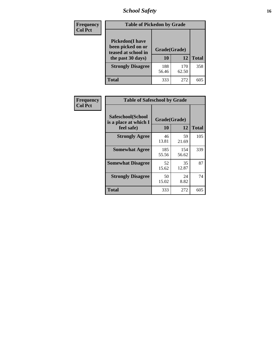# *School Safety* **16**

| Frequency      | <b>Table of Pickedon by Grade</b>                                                       |              |                    |     |  |  |
|----------------|-----------------------------------------------------------------------------------------|--------------|--------------------|-----|--|--|
| <b>Col Pct</b> | <b>Pickedon(I have</b><br>been picked on or<br>teased at school in<br>the past 30 days) | 10           | Grade(Grade)<br>12 |     |  |  |
|                | <b>Strongly Disagree</b>                                                                | 188<br>56.46 | 170<br>62.50       | 358 |  |  |
|                | Total                                                                                   | 333          | 272                | 605 |  |  |

| Frequency      |                                                          | <b>Table of Safeschool by Grade</b> |              |              |  |  |  |  |  |  |  |  |
|----------------|----------------------------------------------------------|-------------------------------------|--------------|--------------|--|--|--|--|--|--|--|--|
| <b>Col Pct</b> | Safeschool(School<br>is a place at which I<br>feel safe) | Grade(Grade)<br>10                  | 12           | <b>Total</b> |  |  |  |  |  |  |  |  |
|                | <b>Strongly Agree</b>                                    | 46<br>13.81                         | 59<br>21.69  | 105          |  |  |  |  |  |  |  |  |
|                | <b>Somewhat Agree</b>                                    | 185<br>55.56                        | 154<br>56.62 | 339          |  |  |  |  |  |  |  |  |
|                | <b>Somewhat Disagree</b>                                 | 52<br>15.62                         | 35<br>12.87  | 87           |  |  |  |  |  |  |  |  |
|                | <b>Strongly Disagree</b>                                 | 50<br>15.02                         | 24<br>8.82   | 74           |  |  |  |  |  |  |  |  |
|                | <b>Total</b>                                             | 333                                 | 272          | 605          |  |  |  |  |  |  |  |  |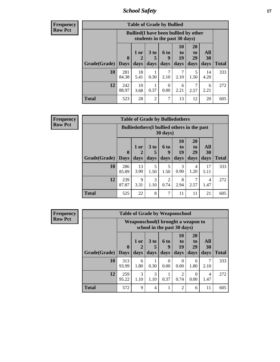*School Safety* **17**

| <b>Table of Grade by Bullied</b> |                    |                                              |                              |                               |                               |                        |                   |              |  |  |  |  |
|----------------------------------|--------------------|----------------------------------------------|------------------------------|-------------------------------|-------------------------------|------------------------|-------------------|--------------|--|--|--|--|
|                                  |                    | <b>Bullied</b> (I have been bullied by other |                              | students in the past 30 days) |                               |                        |                   |              |  |  |  |  |
| Grade(Grade)                     | $\bf{0}$<br>  Days | 1 or<br>2<br>days                            | 3 <sub>to</sub><br>5<br>days | <b>6 to</b><br>9<br>days      | <b>10</b><br>to<br>19<br>days | 20<br>to<br>29<br>days | All<br>30<br>days | <b>Total</b> |  |  |  |  |
| 10                               | 281<br>84.38       | 18<br>5.41                                   | 0.30                         | 2.10                          | 2.10                          | 5<br>1.50              | 14<br>4.20        | 333          |  |  |  |  |
| 12                               | 242<br>88.97       | 10<br>3.68                                   | 0.37                         | $\Omega$<br>0.00              | 6<br>2.21                     | 7<br>2.57              | 6<br>2.21         | 272          |  |  |  |  |
| <b>Total</b>                     | 523                | 28                                           | $\overline{2}$               | 7                             | 13                            | 12                     | 20                | 605          |  |  |  |  |

| <b>Frequency</b> |
|------------------|
| <b>Row Pct</b>   |

| <b>Table of Grade by Bulliedothers</b>                                  |                            |                |                              |                          |                        |                               |                          |              |  |  |  |
|-------------------------------------------------------------------------|----------------------------|----------------|------------------------------|--------------------------|------------------------|-------------------------------|--------------------------|--------------|--|--|--|
| <b>Bulliedothers</b> (I bullied others in the past<br>$30 \text{ days}$ |                            |                |                              |                          |                        |                               |                          |              |  |  |  |
| Grade(Grade)                                                            | $\mathbf 0$<br><b>Days</b> | $1$ or<br>days | 3 <sub>to</sub><br>5<br>days | <b>6 to</b><br>9<br>days | 10<br>to<br>19<br>days | <b>20</b><br>to<br>29<br>days | <b>All</b><br>30<br>days | <b>Total</b> |  |  |  |
| 10                                                                      | 286<br>85.89               | 13<br>3.90     | 5<br>1.50                    | 5<br>1.50                | 3<br>0.90              | 4<br>1.20                     | 17<br>5.11               | 333          |  |  |  |
| 12                                                                      | 239<br>87.87               | 9<br>3.31      | 3<br>1.10                    | 2<br>0.74                | 8<br>2.94              | 2.57                          | 4<br>1.47                | 272          |  |  |  |
| Total                                                                   | 525                        | 22             | 8                            | 7                        | 11                     | 11                            | 21                       | 605          |  |  |  |

| <b>Frequency</b> |                           |              |           | <b>Table of Grade by Weaponschool</b>                              |                  |                  |                |           |              |
|------------------|---------------------------|--------------|-----------|--------------------------------------------------------------------|------------------|------------------|----------------|-----------|--------------|
| <b>Row Pct</b>   |                           |              |           | Weaponschool (I brought a weapon to<br>school in the past 30 days) |                  |                  |                |           |              |
|                  |                           | $\mathbf{0}$ | 1 or<br>2 | 3 <sub>to</sub><br>5                                               | 6 to<br>9        | 10<br>to<br>19   | 20<br>to<br>29 | All<br>30 |              |
|                  | <b>Grade</b> (Grade) Days |              | days      | days                                                               | days             | days             | days           | days      | <b>Total</b> |
|                  | 10                        | 313<br>93.99 | 6<br>1.80 | 1<br>0.30                                                          | $\Omega$<br>0.00 | $\Omega$<br>0.00 | 6<br>1.80      | 7<br>2.10 | 333          |
|                  | 12                        | 259<br>95.22 | 3<br>1.10 | 3<br>1.10                                                          | 0.37             | ↑<br>0.74        | 0.00           | 4<br>1.47 | 272          |
|                  | <b>Total</b>              | 572          | 9         | $\overline{4}$                                                     |                  | $\mathfrak{D}$   | 6              | 11        | 605          |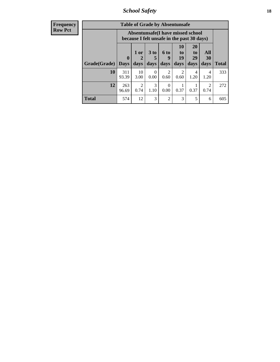*School Safety* **18**

| <b>Frequency</b> |              |                                                                                 |                        | <b>Table of Grade by Absentunsafe</b> |                        |                       |                       |           |              |  |
|------------------|--------------|---------------------------------------------------------------------------------|------------------------|---------------------------------------|------------------------|-----------------------|-----------------------|-----------|--------------|--|
| Row Pct          |              | Absentunsafe(I have missed school<br>because I felt unsafe in the past 30 days) |                        |                                       |                        |                       |                       |           |              |  |
|                  |              | $\boldsymbol{0}$                                                                | $1$ or<br>2            | 3 to<br>5                             | 6 to<br>y              | <b>10</b><br>to<br>19 | <b>20</b><br>to<br>29 | All<br>30 |              |  |
|                  | Grade(Grade) | <b>Days</b>                                                                     | days                   | days                                  | days                   | days                  | days                  | days      | <b>Total</b> |  |
|                  | 10           | 311<br>93.39                                                                    | 10<br>3.00             | $\Omega$<br>0.00                      | $\mathfrak{D}$<br>0.60 | っ<br>0.60             | 4<br>1.20             | 4<br>1.20 | 333          |  |
|                  | 12           | 263<br>96.69                                                                    | $\overline{2}$<br>0.74 | 3<br>1.10                             | $\Omega$<br>0.00       | 0.37                  | 0.37                  | 2<br>0.74 | 272          |  |
|                  | <b>Total</b> | 574                                                                             | 12                     | 3                                     | $\overline{2}$         | 3                     | 5                     | 6         | 605          |  |
|                  |              |                                                                                 |                        |                                       |                        |                       |                       |           |              |  |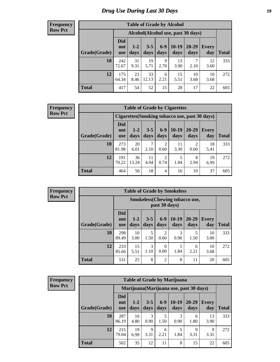# *Drug Use During Last 30 Days* **19**

#### **Frequency Row Pct**

| <b>Table of Grade by Alcohol</b> |                                 |                 |                 |               |                 |                                     |              |       |  |  |  |  |  |
|----------------------------------|---------------------------------|-----------------|-----------------|---------------|-----------------|-------------------------------------|--------------|-------|--|--|--|--|--|
|                                  |                                 |                 |                 |               |                 | Alcohol (Alcohol use, past 30 days) |              |       |  |  |  |  |  |
| Grade(Grade)                     | <b>Did</b><br>not<br><b>use</b> | $1 - 2$<br>days | $3 - 5$<br>days | $6-9$<br>days | $10-19$<br>days | $20 - 29$<br>days                   | Every<br>day | Total |  |  |  |  |  |
| 10                               | 242<br>72.67                    | 31<br>9.31      | 19<br>5.71      | 9<br>2.70     | 13<br>3.90      | 7<br>2.10                           | 12<br>3.60   | 333   |  |  |  |  |  |
| 12                               | 175<br>64.34                    | 23<br>8.46      | 33<br>12.13     | 6<br>2.21     | 15<br>5.51      | 10<br>3.68                          | 10<br>3.68   | 272   |  |  |  |  |  |
| <b>Total</b>                     | 417                             | 54              | 52              | 15            | 28              | 17                                  | 22           | 605   |  |  |  |  |  |

#### **Frequency Row Pct**

| <b>Table of Grade by Cigarettes</b> |                                 |                                                |                 |                 |                 |               |                     |              |  |  |  |  |  |
|-------------------------------------|---------------------------------|------------------------------------------------|-----------------|-----------------|-----------------|---------------|---------------------|--------------|--|--|--|--|--|
|                                     |                                 | Cigarettes (Smoking tobacco use, past 30 days) |                 |                 |                 |               |                     |              |  |  |  |  |  |
| Grade(Grade)                        | <b>Did</b><br>not<br><b>use</b> | $1 - 2$<br>days                                | $3 - 5$<br>days | $6 - 9$<br>days | $10-19$<br>days | 20-29<br>days | <b>Every</b><br>day | <b>Total</b> |  |  |  |  |  |
| 10                                  | 273<br>81.98                    | 20<br>6.01                                     | 2.10            | 2<br>0.60       | 11<br>3.30      | ◠<br>0.60     | 18<br>5.41          | 333          |  |  |  |  |  |
| 12                                  | 191<br>70.22                    | 36<br>13.24                                    | 11<br>4.04      | 2<br>0.74       | 5<br>1.84       | 8<br>2.94     | 19<br>6.99          | 272          |  |  |  |  |  |
| <b>Total</b>                        | 464                             | 56                                             | 18              | 4               | 16              | 10            | 37                  | 605          |  |  |  |  |  |

**Frequency Row Pct**

| <b>Table of Grade by Smokeless</b> |                                 |                                                        |                 |                        |                 |               |              |              |  |  |  |  |
|------------------------------------|---------------------------------|--------------------------------------------------------|-----------------|------------------------|-----------------|---------------|--------------|--------------|--|--|--|--|
|                                    |                                 | <b>Smokeless</b> (Chewing tobaccouse,<br>past 30 days) |                 |                        |                 |               |              |              |  |  |  |  |
| Grade(Grade)                       | <b>Did</b><br>not<br><b>use</b> | $1 - 2$<br>days                                        | $3 - 5$<br>days | $6 - 9$<br>days        | $10-19$<br>days | 20-29<br>days | Every<br>day | <b>Total</b> |  |  |  |  |
| 10                                 | 298<br>89.49                    | 10<br>3.00                                             | 5<br>1.50       | $\overline{2}$<br>0.60 | 3<br>0.90       | 5<br>1.50     | 10<br>3.00   | 333          |  |  |  |  |
| 12                                 | 233<br>85.66                    | 15<br>5.51                                             | 3<br>1.10       | $\Omega$<br>0.00       | 5<br>1.84       | 6<br>2.21     | 10<br>3.68   | 272          |  |  |  |  |
| <b>Total</b>                       | 531                             | 25                                                     | 8               | $\overline{c}$         | 8               | 11            | 20           | 605          |  |  |  |  |

|              | <b>Table of Grade by Marijuana</b> |                                         |                 |                 |                 |                   |                     |              |  |  |  |  |  |
|--------------|------------------------------------|-----------------------------------------|-----------------|-----------------|-----------------|-------------------|---------------------|--------------|--|--|--|--|--|
|              |                                    | Marijuana (Marijuana use, past 30 days) |                 |                 |                 |                   |                     |              |  |  |  |  |  |
| Grade(Grade) | <b>Did</b><br>not<br><b>use</b>    | $1 - 2$<br>days                         | $3 - 5$<br>days | $6 - 9$<br>days | $10-19$<br>days | $20 - 29$<br>days | <b>Every</b><br>day | <b>Total</b> |  |  |  |  |  |
| 10           | 287<br>86.19                       | 16<br>4.80                              | 3<br>0.90       | 5<br>1.50       | 3<br>0.90       | 6<br>1.80         | 13<br>3.90          | 333          |  |  |  |  |  |
| 12           | 215<br>79.04                       | 19<br>6.99                              | 9<br>3.31       | 6<br>2.21       | 5<br>1.84       | 9<br>3.31         | 9<br>3.31           | 272          |  |  |  |  |  |
| <b>Total</b> | 502                                | 35                                      | 12              | 11              | 8               | 15                | 22                  | 605          |  |  |  |  |  |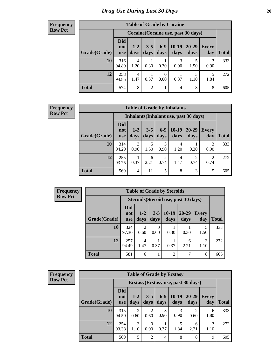#### **Frequency Row Pct**

| <b>Table of Grade by Cocaine</b> |                                 |                                     |                 |                        |                 |               |              |       |  |  |
|----------------------------------|---------------------------------|-------------------------------------|-----------------|------------------------|-----------------|---------------|--------------|-------|--|--|
|                                  |                                 | Cocaine (Cocaine use, past 30 days) |                 |                        |                 |               |              |       |  |  |
| Grade(Grade)                     | <b>Did</b><br>not<br><b>use</b> | $1 - 2$<br>days                     | $3 - 5$<br>days | $6-9$<br>days          | $10-19$<br>days | 20-29<br>days | Every<br>day | Total |  |  |
| 10                               | 316<br>94.89                    | 4<br>1.20                           | 0.30            | 0.30                   | 3<br>0.90       | 1.50          | 3<br>0.90    | 333   |  |  |
| 12                               | 258<br>94.85                    | 4<br>1.47                           | 0.37            | $\overline{0}$<br>0.00 | 0.37            | 3<br>1.10     | 5<br>1.84    | 272   |  |  |
| <b>Total</b>                     | 574                             | 8                                   | $\overline{2}$  | 1                      | 4               | 8             | 8            | 605   |  |  |

| <b>Table of Grade by Inhalants</b> |                                                                                                                                                  |                                        |           |                        |           |      |      |     |  |
|------------------------------------|--------------------------------------------------------------------------------------------------------------------------------------------------|----------------------------------------|-----------|------------------------|-----------|------|------|-----|--|
|                                    |                                                                                                                                                  | Inhalants (Inhalant use, past 30 days) |           |                        |           |      |      |     |  |
| Grade(Grade)                       | Did<br>$6 - 9$<br>$10-19$<br>$20 - 29$<br>$1 - 2$<br>$3 - 5$<br><b>Every</b><br>not<br>days<br>days<br>days<br>days<br>day<br>days<br><b>use</b> |                                        |           |                        |           |      |      |     |  |
| 10                                 | 314<br>94.29                                                                                                                                     | 3<br>0.90                              | 5<br>1.50 | 3<br>0.90              | 4<br>1.20 | 0.30 | 0.90 | 333 |  |
| 12                                 | 255<br>93.75                                                                                                                                     | 0.37                                   | 6<br>2.21 | $\overline{2}$<br>0.74 | 4<br>1.47 | 0.74 | 0.74 | 272 |  |
| <b>Total</b>                       | 569                                                                                                                                              | 4                                      | 11        | 5                      | 8         | 3    | 5    | 605 |  |

| <b>Frequency</b> |
|------------------|
| <b>Row Pct</b>   |

| <b>Table of Grade by Steroids</b>    |                                 |                 |                 |                 |                   |              |              |  |  |
|--------------------------------------|---------------------------------|-----------------|-----------------|-----------------|-------------------|--------------|--------------|--|--|
| Steroids (Steroid use, past 30 days) |                                 |                 |                 |                 |                   |              |              |  |  |
| Grade(Grade)                         | <b>Did</b><br>not<br><b>use</b> | $1 - 2$<br>days | $3 - 5$<br>days | $10-19$<br>days | $20 - 29$<br>days | Every<br>day | <b>Total</b> |  |  |
| 10                                   | 324<br>97.30                    | 0.60            | 0<br>0.00       | 0.30            | 0.30              | 1.50         | 333          |  |  |
| 12                                   | 257<br>94.49                    | 4<br>1.47       | 0.37            | 0.37            | 6<br>2.21         | 3<br>1.10    | 272          |  |  |
| <b>Total</b>                         | 581                             | 6               |                 | $\overline{2}$  | 7                 | 8            | 605          |  |  |

| <b>Frequency</b> |  |
|------------------|--|
| <b>Row Pct</b>   |  |

| <b>Table of Grade by Ecstasy</b> |                                                                                                                                                |           |                        |                |                                     |           |           |     |  |
|----------------------------------|------------------------------------------------------------------------------------------------------------------------------------------------|-----------|------------------------|----------------|-------------------------------------|-----------|-----------|-----|--|
|                                  |                                                                                                                                                |           |                        |                | Ecstasy (Ecstasy use, past 30 days) |           |           |     |  |
| Grade(Grade)                     | <b>Did</b><br>$10-19$<br>$6-9$<br>$20 - 29$<br>$3 - 5$<br>$1 - 2$<br>Every<br>not<br>days<br>days<br>days<br>days<br>day<br>days<br><b>use</b> |           |                        |                |                                     |           |           |     |  |
| 10                               | 315<br>94.59                                                                                                                                   | 2<br>0.60 | $\overline{c}$<br>0.60 | 3<br>0.90      | 3<br>0.90                           | 0.60      | 6<br>1.80 | 333 |  |
| 12                               | 254<br>93.38                                                                                                                                   | 3<br>1.10 | 0<br>0.00              | 0.37           | 5<br>1.84                           | 6<br>2.21 | 3<br>1.10 | 272 |  |
| <b>Total</b>                     | 569                                                                                                                                            | 5         | $\overline{2}$         | $\overline{4}$ | 8                                   | 8         | 9         | 605 |  |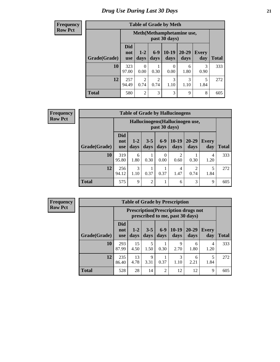#### **Frequency Row Pct**

| <b>Table of Grade by Meth</b> |              |                                                                                                                                                                                               |                        |           |           |           |     |  |  |
|-------------------------------|--------------|-----------------------------------------------------------------------------------------------------------------------------------------------------------------------------------------------|------------------------|-----------|-----------|-----------|-----|--|--|
|                               |              | Meth (Methamphetamine use,<br>past 30 days)<br><b>Did</b><br>$6-9$<br>$10-19$<br>20-29<br>$1 - 2$<br><b>Every</b><br>not<br>days<br>days<br>days<br>day<br><b>Total</b><br>days<br><b>use</b> |                        |           |           |           |     |  |  |
| Grade(Grade)                  |              |                                                                                                                                                                                               |                        |           |           |           |     |  |  |
| 10                            | 323<br>97.00 | 0<br>0.00                                                                                                                                                                                     | 0.30                   | 0.00      | 6<br>1.80 | 3<br>0.90 | 333 |  |  |
| 12                            | 257<br>94.49 | 2<br>0.74                                                                                                                                                                                     | $\overline{2}$<br>0.74 | 3<br>1.10 | 3<br>1.10 | 5<br>1.84 | 272 |  |  |
| <b>Total</b>                  | 580          | $\overline{2}$                                                                                                                                                                                | 3                      | 3         | 9         | 8         | 605 |  |  |

**Frequency Row Pct**

| <b>Table of Grade by Hallucinogens</b> |                                 |                                                                                                                                |                |                  |           |                        |           |     |  |  |
|----------------------------------------|---------------------------------|--------------------------------------------------------------------------------------------------------------------------------|----------------|------------------|-----------|------------------------|-----------|-----|--|--|
|                                        |                                 | Hallucinogens (Hallucinogen use,<br>past 30 days)                                                                              |                |                  |           |                        |           |     |  |  |
| Grade(Grade)                           | <b>Did</b><br>not<br><b>use</b> | $10-19$<br>$6-9$<br>20-29<br>$1 - 2$<br>$3 - 5$<br><b>Every</b><br>days<br><b>Total</b><br>days<br>days<br>day<br>days<br>days |                |                  |           |                        |           |     |  |  |
| 10                                     | 319<br>95.80                    | 6<br>1.80                                                                                                                      | 0.30           | $\Omega$<br>0.00 | 2<br>0.60 | 0.30                   | 4<br>1.20 | 333 |  |  |
| 12                                     | 256<br>94.12                    | 3<br>1.10                                                                                                                      | 0.37           | 0.37             | 4<br>1.47 | $\overline{2}$<br>0.74 | 5<br>1.84 | 272 |  |  |
| <b>Total</b>                           | 575                             | $\mathbf Q$                                                                                                                    | $\overline{2}$ | 1                | 6         | 3                      | 9         | 605 |  |  |

| <b>Table of Grade by Prescription</b> |                                 |                                                                                |                 |                |                 |                   |              |       |  |
|---------------------------------------|---------------------------------|--------------------------------------------------------------------------------|-----------------|----------------|-----------------|-------------------|--------------|-------|--|
|                                       |                                 | <b>Prescription</b> (Prescription drugs not<br>prescribed to me, past 30 days) |                 |                |                 |                   |              |       |  |
| Grade(Grade)                          | <b>Did</b><br>not<br><b>use</b> | $1 - 2$<br>days                                                                | $3 - 5$<br>days | $6-9$<br>days  | $10-19$<br>days | $20 - 29$<br>days | Every<br>day | Total |  |
| 10                                    | 293<br>87.99                    | 15<br>4.50                                                                     | 5<br>1.50       | 0.30           | 9<br>2.70       | 6<br>1.80         | 4<br>1.20    | 333   |  |
| 12                                    | 235<br>86.40                    | 13<br>4.78                                                                     | 9<br>3.31       | 0.37           | 3<br>1.10       | 6<br>2.21         | 5<br>1.84    | 272   |  |
| <b>Total</b>                          | 528                             | 28                                                                             | 14              | $\mathfrak{D}$ | 12              | 12                | 9            | 605   |  |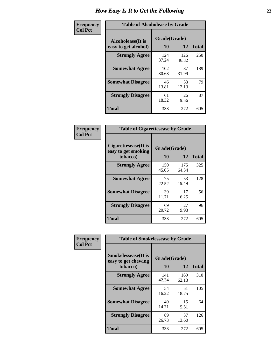| Frequency      | <b>Table of Alcoholease by Grade</b>       |                    |              |     |  |  |  |  |
|----------------|--------------------------------------------|--------------------|--------------|-----|--|--|--|--|
| <b>Col Pct</b> | Alcoholease (It is<br>easy to get alcohol) | Grade(Grade)<br>10 | <b>Total</b> |     |  |  |  |  |
|                | <b>Strongly Agree</b>                      | 124<br>37.24       | 126<br>46.32 | 250 |  |  |  |  |
|                | <b>Somewhat Agree</b>                      | 102<br>30.63       | 87<br>31.99  | 189 |  |  |  |  |
|                | <b>Somewhat Disagree</b>                   | 46<br>13.81        | 33<br>12.13  | 79  |  |  |  |  |
|                | <b>Strongly Disagree</b>                   | 61<br>18.32        | 26<br>9.56   | 87  |  |  |  |  |
|                | <b>Total</b>                               | 333                | 272          | 605 |  |  |  |  |

| Frequency      |                                                          | <b>Table of Cigarettesease by Grade</b> |              |              |  |  |  |  |
|----------------|----------------------------------------------------------|-----------------------------------------|--------------|--------------|--|--|--|--|
| <b>Col Pct</b> | Cigarettesease (It is<br>easy to get smoking<br>tobacco) | Grade(Grade)<br><b>10</b>               | 12           | <b>Total</b> |  |  |  |  |
|                | <b>Strongly Agree</b>                                    | 150<br>45.05                            | 175<br>64.34 | 325          |  |  |  |  |
|                | <b>Somewhat Agree</b>                                    | 75<br>22.52                             | 53<br>19.49  | 128          |  |  |  |  |
|                | <b>Somewhat Disagree</b>                                 | 39<br>11.71                             | 17<br>6.25   | 56           |  |  |  |  |
|                | <b>Strongly Disagree</b>                                 | 69<br>20.72                             | 27<br>9.93   | 96           |  |  |  |  |
|                | <b>Total</b>                                             | 333                                     | 272          | 605          |  |  |  |  |

| Frequency      | <b>Table of Smokelessease by Grade</b>                         |                           |              |              |  |  |  |  |  |
|----------------|----------------------------------------------------------------|---------------------------|--------------|--------------|--|--|--|--|--|
| <b>Col Pct</b> | <b>Smokelessease</b> (It is<br>easy to get chewing<br>tobacco) | Grade(Grade)<br><b>10</b> | 12           | <b>Total</b> |  |  |  |  |  |
|                | <b>Strongly Agree</b>                                          | 141<br>42.34              | 169<br>62.13 | 310          |  |  |  |  |  |
|                | <b>Somewhat Agree</b>                                          | 54<br>16.22               | 51<br>18.75  | 105          |  |  |  |  |  |
|                | <b>Somewhat Disagree</b>                                       | 49<br>14.71               | 15<br>5.51   | 64           |  |  |  |  |  |
|                | <b>Strongly Disagree</b>                                       | 89<br>26.73               | 37<br>13.60  | 126          |  |  |  |  |  |
|                | Total                                                          | 333                       | 272          | 605          |  |  |  |  |  |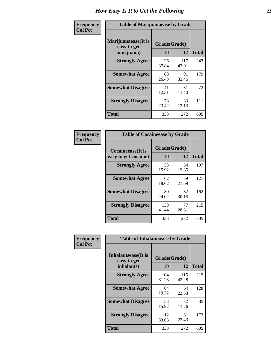| Frequency      | <b>Table of Marijuanaease by Grade</b>           |                    |              |              |  |  |  |  |  |
|----------------|--------------------------------------------------|--------------------|--------------|--------------|--|--|--|--|--|
| <b>Col Pct</b> | Marijuanaease(It is<br>easy to get<br>marijuana) | Grade(Grade)<br>10 | 12           | <b>Total</b> |  |  |  |  |  |
|                | <b>Strongly Agree</b>                            | 126<br>37.84       | 117<br>43.01 | 243          |  |  |  |  |  |
|                | <b>Somewhat Agree</b>                            | 88<br>26.43        | 91<br>33.46  | 179          |  |  |  |  |  |
|                | <b>Somewhat Disagree</b>                         | 41<br>12.31        | 31<br>11.40  | 72           |  |  |  |  |  |
|                | <b>Strongly Disagree</b>                         | 78<br>23.42        | 33<br>12.13  | 111          |  |  |  |  |  |
|                | Total                                            | 333                | 272          | 605          |  |  |  |  |  |

| <b>Table of Cocaineease by Grade</b>      |                    |              |     |  |  |  |  |  |  |
|-------------------------------------------|--------------------|--------------|-----|--|--|--|--|--|--|
| Cocaineease(It is<br>easy to get cocaine) | Grade(Grade)<br>10 | <b>Total</b> |     |  |  |  |  |  |  |
| <b>Strongly Agree</b>                     | 53<br>15.92        | 54<br>19.85  | 107 |  |  |  |  |  |  |
| <b>Somewhat Agree</b>                     | 62<br>18.62        | 59<br>21.69  | 121 |  |  |  |  |  |  |
| <b>Somewhat Disagree</b>                  | 80<br>24.02        | 82<br>30.15  | 162 |  |  |  |  |  |  |
| <b>Strongly Disagree</b>                  | 138<br>41.44       | 77<br>28.31  | 215 |  |  |  |  |  |  |
| <b>Total</b>                              | 333                | 272          | 605 |  |  |  |  |  |  |

| Frequency      | <b>Table of Inhalantsease by Grade</b>                   |                    |                    |     |  |  |  |  |  |  |
|----------------|----------------------------------------------------------|--------------------|--------------------|-----|--|--|--|--|--|--|
| <b>Col Pct</b> | <b>Inhalantsease</b> (It is<br>easy to get<br>inhalants) | Grade(Grade)<br>10 | <b>Total</b>       |     |  |  |  |  |  |  |
|                | <b>Strongly Agree</b>                                    | 104<br>31.23       | 12<br>115<br>42.28 | 219 |  |  |  |  |  |  |
|                | <b>Somewhat Agree</b>                                    | 64<br>19.22        | 64<br>23.53        | 128 |  |  |  |  |  |  |
|                | <b>Somewhat Disagree</b>                                 | 53<br>15.92        | 32<br>11.76        | 85  |  |  |  |  |  |  |
|                | <b>Strongly Disagree</b>                                 | 112<br>33.63       | 61<br>22.43        | 173 |  |  |  |  |  |  |
|                | <b>Total</b>                                             | 333                | 272                | 605 |  |  |  |  |  |  |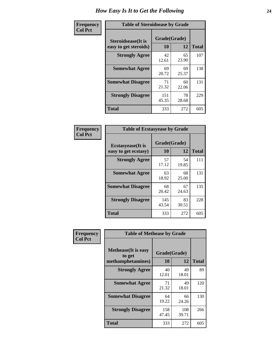| Frequency      | <b>Table of Steroidsease by Grade</b>               |                    |              |     |  |  |  |  |  |
|----------------|-----------------------------------------------------|--------------------|--------------|-----|--|--|--|--|--|
| <b>Col Pct</b> | <b>Steroidsease</b> (It is<br>easy to get steroids) | Grade(Grade)<br>10 | <b>Total</b> |     |  |  |  |  |  |
|                | <b>Strongly Agree</b>                               | 42<br>12.61        | 65<br>23.90  | 107 |  |  |  |  |  |
|                | <b>Somewhat Agree</b>                               | 69<br>20.72        | 69<br>25.37  | 138 |  |  |  |  |  |
|                | <b>Somewhat Disagree</b>                            | 71<br>21.32        | 60<br>22.06  | 131 |  |  |  |  |  |
|                | <b>Strongly Disagree</b>                            | 151<br>45.35       | 78<br>28.68  | 229 |  |  |  |  |  |
|                | <b>Total</b>                                        | 333                | 272          | 605 |  |  |  |  |  |

| Frequency      | <b>Table of Ecstasyease by Grade</b>              |                           |              |     |  |  |  |  |  |
|----------------|---------------------------------------------------|---------------------------|--------------|-----|--|--|--|--|--|
| <b>Col Pct</b> | <b>Ecstasyease</b> (It is<br>easy to get ecstasy) | Grade(Grade)<br><b>10</b> | <b>Total</b> |     |  |  |  |  |  |
|                | <b>Strongly Agree</b>                             | 57<br>17.12               | 54<br>19.85  | 111 |  |  |  |  |  |
|                | <b>Somewhat Agree</b>                             | 63<br>18.92               | 68<br>25.00  | 131 |  |  |  |  |  |
|                | <b>Somewhat Disagree</b>                          | 68<br>20.42               | 67<br>24.63  | 135 |  |  |  |  |  |
|                | <b>Strongly Disagree</b>                          | 145<br>43.54              | 83<br>30.51  | 228 |  |  |  |  |  |
|                | <b>Total</b>                                      | 333                       | 272          | 605 |  |  |  |  |  |

| Frequency      | <b>Table of Methease by Grade</b>                          |                    |              |              |
|----------------|------------------------------------------------------------|--------------------|--------------|--------------|
| <b>Col Pct</b> | <b>Methease</b> (It is easy<br>to get<br>methamphetamines) | Grade(Grade)<br>10 | 12           | <b>Total</b> |
|                | <b>Strongly Agree</b>                                      | 40<br>12.01        | 49<br>18.01  | 89           |
|                | <b>Somewhat Agree</b>                                      | 71<br>21.32        | 49<br>18.01  | 120          |
|                | <b>Somewhat Disagree</b>                                   | 64<br>19.22        | 66<br>24.26  | 130          |
|                | <b>Strongly Disagree</b>                                   | 158<br>47.45       | 108<br>39.71 | 266          |
|                | <b>Total</b>                                               | 333                | 272          | 605          |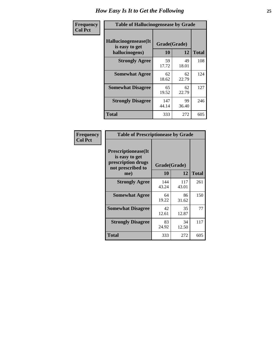| <b>Frequency</b> | <b>Table of Hallucinogensease by Grade</b>               |                    |             |              |  |  |  |  |  |
|------------------|----------------------------------------------------------|--------------------|-------------|--------------|--|--|--|--|--|
| <b>Col Pct</b>   | Hallucinogensease(It<br>is easy to get<br>hallucinogens) | Grade(Grade)<br>10 | 12          | <b>Total</b> |  |  |  |  |  |
|                  | <b>Strongly Agree</b>                                    | 59<br>17.72        | 49<br>18.01 | 108          |  |  |  |  |  |
|                  | <b>Somewhat Agree</b>                                    | 62<br>18.62        | 62<br>22.79 | 124          |  |  |  |  |  |
|                  | <b>Somewhat Disagree</b>                                 | 65<br>19.52        | 62<br>22.79 | 127          |  |  |  |  |  |
|                  | <b>Strongly Disagree</b>                                 | 147<br>44.14       | 99<br>36.40 | 246          |  |  |  |  |  |
|                  | <b>Total</b>                                             | 333                | 272         | 605          |  |  |  |  |  |

| Frequency<br>Col Pct |
|----------------------|
|                      |

| <b>Table of Prescriptionease by Grade</b>                                                |              |              |              |  |  |  |  |  |  |
|------------------------------------------------------------------------------------------|--------------|--------------|--------------|--|--|--|--|--|--|
| <b>Prescriptionease</b> (It<br>is easy to get<br>prescription drugs<br>not prescribed to |              | Grade(Grade) |              |  |  |  |  |  |  |
| me)                                                                                      | 10           | 12           | <b>Total</b> |  |  |  |  |  |  |
| <b>Strongly Agree</b>                                                                    | 144<br>43.24 | 117<br>43.01 | 261          |  |  |  |  |  |  |
| <b>Somewhat Agree</b>                                                                    | 64<br>19.22  | 86<br>31.62  | 150          |  |  |  |  |  |  |
| <b>Somewhat Disagree</b>                                                                 | 42<br>12.61  | 35<br>12.87  | 77           |  |  |  |  |  |  |
| <b>Strongly Disagree</b>                                                                 | 83<br>24.92  | 34<br>12.50  | 117          |  |  |  |  |  |  |
| Total                                                                                    | 333          | 272          | 605          |  |  |  |  |  |  |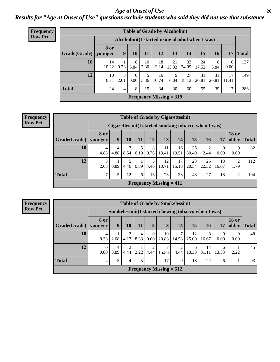### *Age at Onset of Use* **26** *Results for "Age at Onset of Use" questions exclude students who said they did not use that substance*

| Frequency      | <b>Table of Grade by Alcoholinit</b> |                                                  |           |                  |            |                           |             |             |             |             |             |              |
|----------------|--------------------------------------|--------------------------------------------------|-----------|------------------|------------|---------------------------|-------------|-------------|-------------|-------------|-------------|--------------|
| <b>Row Pct</b> |                                      | Alcoholinit (I started using alcohol when I was) |           |                  |            |                           |             |             |             |             |             |              |
|                | Grade(Grade)   younger               | <b>8 or</b>                                      | 9         | 10               | <b>11</b>  | 12                        | 13          | 14          | 15          | <b>16</b>   | 17          | <b>Total</b> |
|                | 10                                   | 14<br>10.22                                      | 0.73      | 8<br>5.84        | 10<br>7.30 | 18<br>13.14               | 21<br>15.33 | 33<br>24.09 | 24<br>17.52 | 8<br>5.84   | 0<br>0.00   | 137          |
|                | 12                                   | 10<br>6.71                                       | 3<br>2.01 | $\Omega$<br>0.00 | 5<br>3.36  | 16<br>10.74               | 9<br>6.04   | 27<br>18.12 | 31<br>20.81 | 31<br>20.81 | 17<br>11.41 | 149          |
|                | <b>Total</b>                         | 24                                               | 4         | 8                | 15         | 34                        | 30          | 60          | 55          | 39          | 17          | 286          |
|                |                                      |                                                  |           |                  |            | Frequency Missing $= 319$ |             |             |             |             |             |              |

| <b>Frequency</b> |
|------------------|
| <b>Row Pct</b>   |

| <b>Table of Grade by Cigarettesinit</b> |                                             |                                                       |           |           |           |             |             |             |             |                  |                       |              |
|-----------------------------------------|---------------------------------------------|-------------------------------------------------------|-----------|-----------|-----------|-------------|-------------|-------------|-------------|------------------|-----------------------|--------------|
|                                         |                                             | Cigarettesinit (I started smoking tobacco when I was) |           |           |           |             |             |             |             |                  |                       |              |
| Grade(Grade)                            | <b>8 or</b><br>vounger                      | 9                                                     | 10        | 11        | 12        | 13          | 14          | 15          | 16          | 17               | <b>18 or</b><br>older | <b>Total</b> |
| 10                                      | 4<br>4.88                                   | $\overline{4}$<br>4.88                                | 7<br>8.54 | 5<br>6.10 | 8<br>9.76 | 11<br>13.41 | 16<br>19.51 | 25<br>30.49 | 2<br>2.44   | $\Omega$<br>0.00 | $\Omega$<br>0.00      | 82           |
| 12                                      | 3<br>2.68                                   | 0.89                                                  | 5<br>4.46 | 0.89      | 5<br>4.46 | 12<br>10.71 | 17<br>15.18 | 23<br>20.54 | 25<br>22.32 | 18<br>16.07      | 2<br>1.79             | 112          |
| <b>Total</b>                            | $\mathcal{L}$                               | 5                                                     | 12        | 6         | 13        | 23          | 33          | 48          | 27          | 18               | 2                     | 194          |
|                                         | <b>Frequency Missing <math>= 411</math></b> |                                                       |           |           |           |             |             |             |             |                  |                       |              |

| <b>Table of Grade by Smokelessinit</b>                                  |                 |           |           |                        |                         |                                                      |            |             |             |                  |                       |              |
|-------------------------------------------------------------------------|-----------------|-----------|-----------|------------------------|-------------------------|------------------------------------------------------|------------|-------------|-------------|------------------|-----------------------|--------------|
|                                                                         |                 |           |           |                        |                         | Smokelessinit (I started chewing tobacco when I was) |            |             |             |                  |                       |              |
| Grade(Grade)                                                            | 8 or<br>vounger | 9         | 10        | 11                     | 12                      | 13                                                   | 14         | 15          | 16          | 17               | <b>18 or</b><br>older | <b>Total</b> |
| 10                                                                      | 4<br>8.33       | 2.08      | 2<br>4.17 | $\overline{4}$<br>8.33 | $\theta$<br>$0.00\perp$ | 10<br>20.83                                          | 7<br>14.58 | 12<br>25.00 | 8<br>16.67  | $\Omega$<br>0.00 | $\Omega$<br>0.00      | 48           |
| 12                                                                      | 0<br>0.00       | 4<br>8.89 | 2<br>4.44 | 2.22                   | $\mathfrak{D}$<br>4.44  | 7<br>15.56                                           | 2<br>4.44  | 6<br>13.33  | 14<br>31.11 | 6<br>13.33       | 2.22                  | 45           |
| <b>Total</b><br>5<br>17<br>18<br>5<br>2<br>9<br>22<br>4<br>93<br>4<br>6 |                 |           |           |                        |                         |                                                      |            |             |             |                  |                       |              |
| Frequency Missing $= 512$                                               |                 |           |           |                        |                         |                                                      |            |             |             |                  |                       |              |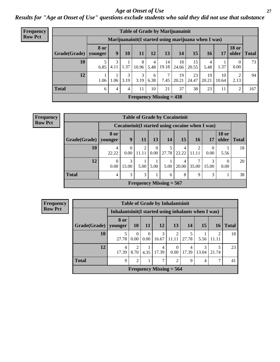#### *Age at Onset of Use* **27**

*Results for "Age at Onset of Use" questions exclude students who said they did not use that substance*

| <b>Frequency</b> |                           |                        |           |           |            |           |             | <b>Table of Grade by Marijuanainit</b>               |             |             |             |                       |              |
|------------------|---------------------------|------------------------|-----------|-----------|------------|-----------|-------------|------------------------------------------------------|-------------|-------------|-------------|-----------------------|--------------|
| <b>Row Pct</b>   |                           |                        |           |           |            |           |             | Marijuanainit (I started using marijuana when I was) |             |             |             |                       |              |
|                  | Grade(Grade)              | <b>8 or</b><br>younger | 9         | 10        | 11         | 12        | 13          | 14                                                   | 15          | 16          | 17          | <b>18 or</b><br>older | <b>Total</b> |
|                  | 10                        | 6.85                   | 3<br>4.11 | 1.37      | 8<br>10.96 | 4<br>5.48 | 14<br>19.18 | 18<br>24.66                                          | 15<br>20.55 | 4<br>5.48   | 1.37        | 0.00                  | 73           |
|                  | 12                        | 1.06                   | 1.06      | 3<br>3.19 | 3<br>3.19  | 6<br>6.38 | 7<br>7.45   | 19<br>20.21                                          | 23<br>24.47 | 19<br>20.21 | 10<br>10.64 | 2.13                  | 94           |
|                  | <b>Total</b>              | 6                      | 4         | 4         | 11         | 10        | 21          | 37                                                   | 38          | 23          | 11          | $\overline{2}$        | 167          |
|                  | Frequency Missing $= 438$ |                        |           |           |            |           |             |                                                      |             |             |             |                       |              |

| Frequency      |                           |                  |                  |                         |                   | <b>Table of Grade by Cocaineinit</b> |            |             |                                                  |                       |       |  |
|----------------|---------------------------|------------------|------------------|-------------------------|-------------------|--------------------------------------|------------|-------------|--------------------------------------------------|-----------------------|-------|--|
| <b>Row Pct</b> |                           |                  |                  |                         |                   |                                      |            |             | Cocaineinit (I started using cocaine when I was) |                       |       |  |
|                | Grade(Grade)              | 8 or<br>younger  | 9                | 11                      | 13                | 14                                   | 15         | <b>16</b>   | 17                                               | <b>18 or</b><br>older | Total |  |
|                | <b>10</b>                 | 4<br>22.22       | $\Omega$<br>0.00 | $\overline{2}$<br>11.11 | $\theta$<br>0.00  | 5<br>27.78                           | 4<br>22.22 | 2<br>11.11  | $\left( \right)$<br>0.00                         | 5.56                  | 18    |  |
|                | 12                        | $\theta$<br>0.00 | 3<br>15.00       | 5.00                    | 5.00 <sub>1</sub> | 5.00                                 | 4<br>20.00 | ┑<br>35.00  | 3<br>15.00                                       | $\Omega$<br>0.00      | 20    |  |
|                | <b>Total</b>              | 4                | 3                | 3                       |                   | 6                                    | 8          | $\mathbf Q$ | 3                                                |                       | 38    |  |
|                | Frequency Missing $= 567$ |                  |                  |                         |                   |                                      |            |             |                                                  |                       |       |  |

| <b>Row Pct</b> |
|----------------|
|----------------|

| <b>Table of Grade by Inhalantsinit</b>                                                       |                                                     |           |                  |            |            |            |            |                         |              |  |  |  |
|----------------------------------------------------------------------------------------------|-----------------------------------------------------|-----------|------------------|------------|------------|------------|------------|-------------------------|--------------|--|--|--|
|                                                                                              | Inhalantsinit(I started using inhalants when I was) |           |                  |            |            |            |            |                         |              |  |  |  |
| Grade(Grade)                                                                                 | 8 or<br>younger                                     | <b>10</b> | <b>11</b>        | 12         | <b>13</b>  | 14         | 15         | <b>16</b>               | <b>Total</b> |  |  |  |
| 10                                                                                           | 5<br>27.78                                          | 0<br>0.00 | $\Omega$<br>0.00 | 3<br>16.67 | 2<br>11.11 | 27.78      | 5.56       | $\overline{c}$<br>11.11 | 18           |  |  |  |
| 12                                                                                           | 4<br>17.39                                          | 2<br>8.70 | 4.35             | 4<br>17.39 | 0.00       | 4<br>17.39 | 3<br>13.04 | 5<br>21.74              | 23           |  |  |  |
| <b>Total</b><br>9<br>7<br>2<br>$\overline{2}$<br>$\overline{7}$<br>9<br>41<br>$\overline{4}$ |                                                     |           |                  |            |            |            |            |                         |              |  |  |  |
| Frequency Missing $= 564$                                                                    |                                                     |           |                  |            |            |            |            |                         |              |  |  |  |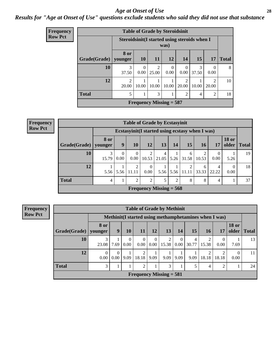#### *Age at Onset of Use* **28**

### *Results for "Age at Onset of Use" questions exclude students who said they did not use that substance*

| Frequency      |              |                                                 | <b>Table of Grade by Steroidsinit</b> |                         |                  |                  |            |                        |              |  |  |  |  |
|----------------|--------------|-------------------------------------------------|---------------------------------------|-------------------------|------------------|------------------|------------|------------------------|--------------|--|--|--|--|
| <b>Row Pct</b> |              | Steroidsinit (I started using steroids when I   |                                       |                         | was)             |                  |            |                        |              |  |  |  |  |
|                | Grade(Grade) | 8 or<br>younger                                 | <b>10</b>                             | <b>11</b>               | <b>12</b>        | 14               | 15         | 17                     | <b>Total</b> |  |  |  |  |
|                | 10           | 3<br>37.50                                      | $\Omega$<br>0.00                      | $\overline{2}$<br>25.00 | $\Omega$<br>0.00 | $\Omega$<br>0.00 | 3<br>37.50 | $\theta$<br>0.00       | 8            |  |  |  |  |
|                | 12           | $\overline{2}$<br>20.00                         | 10.00                                 | 10.00                   | 10.00            | 2<br>20.00       | 10.00      | $\mathcal{D}$<br>20.00 | 10           |  |  |  |  |
|                | <b>Total</b> | 3<br>5<br>2<br>$\mathcal{D}_{\mathcal{A}}$<br>4 |                                       |                         |                  |                  |            |                        |              |  |  |  |  |
|                |              | <b>Frequency Missing = 587</b>                  |                                       |                         |                  |                  |            |                        |              |  |  |  |  |

**Frequency Row Pct**

|                        |                                                                                                                                               |      | <b>Table of Grade by Ecstasyinit</b> |                      |           |      |                                                  |            |            |                       |       |  |  |
|------------------------|-----------------------------------------------------------------------------------------------------------------------------------------------|------|--------------------------------------|----------------------|-----------|------|--------------------------------------------------|------------|------------|-----------------------|-------|--|--|
|                        |                                                                                                                                               |      |                                      |                      |           |      | Ecstasyinit (I started using ecstasy when I was) |            |            |                       |       |  |  |
| Grade(Grade)   younger | 8 or                                                                                                                                          | 9    | <b>10</b>                            | 12                   | <b>13</b> | 14   | 15                                               | <b>16</b>  | 17         | <b>18 or</b><br>older | Total |  |  |
| 10                     | 19<br>3<br>2<br>$\Omega$<br>2<br>0<br>4<br>6<br>0.00 <sub>l</sub><br>0.00<br>10.53<br>21.05<br>$5.26$ 31.58<br>0.00<br>15.79<br>10.53<br>5.26 |      |                                      |                      |           |      |                                                  |            |            |                       |       |  |  |
| 12                     | 5.56                                                                                                                                          | 5.56 | $\overline{2}$<br>  11.11            | $\Omega$<br>$0.00\,$ | 5.56      | 5.56 | 2<br>  11.11                                     | 6<br>33.33 | 4<br>22.22 | 0.00                  | 18    |  |  |
| <b>Total</b>           | $\overline{2}$<br>2<br>8<br>8<br>37<br>5<br>2<br>$\overline{4}$<br>4                                                                          |      |                                      |                      |           |      |                                                  |            |            |                       |       |  |  |
|                        | Frequency Missing $= 568$                                                                                                                     |      |                                      |                      |           |      |                                                  |            |            |                       |       |  |  |

**Frequency Row Pct**

|                                                                                                                                                                                                         | <b>Table of Grade by Methinit</b> |                               |           |                         |                  |            |                      |                                                        |            |            |                       |              |
|---------------------------------------------------------------------------------------------------------------------------------------------------------------------------------------------------------|-----------------------------------|-------------------------------|-----------|-------------------------|------------------|------------|----------------------|--------------------------------------------------------|------------|------------|-----------------------|--------------|
|                                                                                                                                                                                                         |                                   |                               |           |                         |                  |            |                      | Methinit (I started using methamphetamines when I was) |            |            |                       |              |
| $ $ Grade(Grade) $ $                                                                                                                                                                                    | 8 or<br>younger                   | 9                             | 10        | <b>11</b>               | <b>12</b>        | 13         | 14                   | 15                                                     | 16         | 17         | <b>18 or</b><br>older | <b>Total</b> |
| 10                                                                                                                                                                                                      | 3<br>23.08                        | 7.69                          | 0<br>0.00 | $\Omega$<br>0.00        | $\Omega$<br>0.00 | 2<br>15.38 | $\left($<br>$0.00\,$ | 4<br>30.77                                             | 2<br>15.38 | 0<br>0.00  | 7.69                  | 13           |
| 12                                                                                                                                                                                                      | 0<br>0.00                         | $\Omega$<br>0.00 <sub>l</sub> | 9.09      | $\mathfrak{D}$<br>18.18 | 9.09             | 9.09       | 9.09                 | 9.09                                                   | ∍<br>18.18 | ◠<br>18.18 | $\Omega$<br>0.00      | 11           |
| Total<br>5<br>3<br>$\mathcal{D}_{\mathcal{A}}^{\mathcal{A}}(\mathcal{A})=\mathcal{D}_{\mathcal{A}}^{\mathcal{A}}(\mathcal{A})\mathcal{D}_{\mathcal{A}}^{\mathcal{A}}(\mathcal{A})$<br>3<br>2<br>24<br>4 |                                   |                               |           |                         |                  |            |                      |                                                        |            |            |                       |              |
| Frequency Missing $= 581$                                                                                                                                                                               |                                   |                               |           |                         |                  |            |                      |                                                        |            |            |                       |              |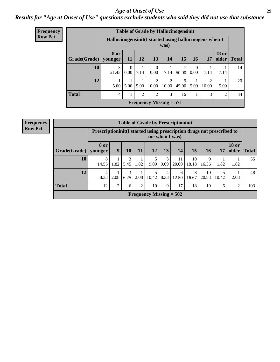#### *Age at Onset of Use* **29**

### *Results for "Age at Onset of Use" questions exclude students who said they did not use that substance*

| Frequency      |                                                               |                                                         |                      |      |                                   |                           | <b>Table of Grade by Hallucinogensinit</b> |                  |                         |                               |    |  |
|----------------|---------------------------------------------------------------|---------------------------------------------------------|----------------------|------|-----------------------------------|---------------------------|--------------------------------------------|------------------|-------------------------|-------------------------------|----|--|
| <b>Row Pct</b> |                                                               | Hallucinogensinit (I started using hallucinogens when I |                      |      |                                   | was)                      |                                            |                  |                         |                               |    |  |
|                | Grade(Grade)                                                  | <b>8 or</b><br>younger                                  | <b>11</b>            | 12   | 13                                | 14                        | 15                                         | <b>16</b>        | <b>17</b>               | <b>18 or</b><br>older   Total |    |  |
|                | 10                                                            | 3<br>21.43                                              | $\Omega$<br>$0.00\,$ | 7.14 | $\Omega$<br>0.00                  | 7.14                      | 50.00                                      | $\Omega$<br>0.00 | 7.14                    | 7.14                          | 14 |  |
|                | 12                                                            | 5.00                                                    | 5.00                 | 5.00 | $\overline{\mathcal{L}}$<br>10.00 | $\mathfrak{D}$<br>10.00   | $\mathbf Q$<br>45.00                       | 5.00             | $\overline{2}$<br>10.00 | 5.00                          | 20 |  |
|                | <b>Total</b><br>3<br>2<br>2<br>3<br>$\overline{c}$<br>16<br>4 |                                                         |                      |      |                                   |                           |                                            |                  |                         |                               |    |  |
|                |                                                               |                                                         |                      |      |                                   | Frequency Missing $= 571$ |                                            |                  |                         |                               |    |  |

| <b>Frequency</b> |                                     |                                                                          |                |           |      |           |                | <b>Table of Grade by Prescriptioninit</b> |             |             |            |                       |              |
|------------------|-------------------------------------|--------------------------------------------------------------------------|----------------|-----------|------|-----------|----------------|-------------------------------------------|-------------|-------------|------------|-----------------------|--------------|
| <b>Row Pct</b>   |                                     | Prescription in it (I started using prescription drugs not prescribed to |                |           |      |           | me when I was) |                                           |             |             |            |                       |              |
|                  | Grade(Grade)   younger<br><b>10</b> | 8 or                                                                     | 9              | 10        | 11   | 12        | 13             | 14                                        | 15          | 16          | 17         | <b>18 or</b><br>older | <b>Total</b> |
|                  |                                     | 8<br>14.55                                                               | 1.82           | 3<br>5.45 | 1.82 | 5<br>9.09 | 5<br>9.09      | 11<br>20.00                               | 10<br>18.18 | 9<br>16.36  | 1.82       | 1.82                  | 55           |
|                  | 12                                  | 4<br>8.33                                                                | 2.08           | 3<br>6.25 | 2.08 | 10.42     | 4<br>8.33      | 6<br>12.50                                | 8<br>16.67  | 10<br>20.83 | 5<br>10.42 | 2.08                  | 48           |
|                  | <b>Total</b>                        | 12                                                                       | $\overline{2}$ | 6         | 2    | 10        | 9              | 17                                        | 18          | 19          | 6          | 2                     | 103          |
|                  | Frequency Missing $= 502$           |                                                                          |                |           |      |           |                |                                           |             |             |            |                       |              |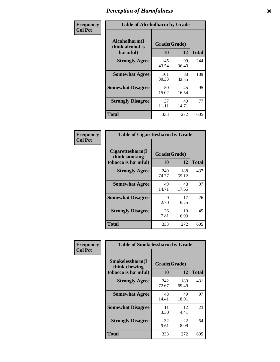| Frequency      | <b>Table of Alcoholharm by Grade</b>          |                    |             |              |  |  |
|----------------|-----------------------------------------------|--------------------|-------------|--------------|--|--|
| <b>Col Pct</b> | Alcoholharm(I<br>think alcohol is<br>harmful) | Grade(Grade)<br>10 | 12          | <b>Total</b> |  |  |
|                | <b>Strongly Agree</b>                         | 145<br>43.54       | 99<br>36.40 | 244          |  |  |
|                | <b>Somewhat Agree</b>                         | 101<br>30.33       | 88<br>32.35 | 189          |  |  |
|                | <b>Somewhat Disagree</b>                      | 50<br>15.02        | 45<br>16.54 | 95           |  |  |
|                | <b>Strongly Disagree</b>                      | 37<br>11.11        | 40<br>14.71 | 77           |  |  |
|                | <b>Total</b>                                  | 333                | 272         | 605          |  |  |

|                                                          | <b>Table of Cigarettesharm by Grade</b> |              |              |  |  |  |  |  |  |  |  |
|----------------------------------------------------------|-----------------------------------------|--------------|--------------|--|--|--|--|--|--|--|--|
| Cigarettesharm(I<br>think smoking<br>tobacco is harmful) | Grade(Grade)<br>10                      | 12           | <b>Total</b> |  |  |  |  |  |  |  |  |
| <b>Strongly Agree</b>                                    | 249<br>74.77                            | 188<br>69.12 | 437          |  |  |  |  |  |  |  |  |
| <b>Somewhat Agree</b>                                    | 49<br>14.71                             | 48<br>17.65  | 97           |  |  |  |  |  |  |  |  |
| <b>Somewhat Disagree</b>                                 | 9<br>2.70                               | 17<br>6.25   | 26           |  |  |  |  |  |  |  |  |
| <b>Strongly Disagree</b>                                 | 26<br>7.81                              | 19<br>6.99   | 45           |  |  |  |  |  |  |  |  |
| Total                                                    | 333                                     | 272          | 605          |  |  |  |  |  |  |  |  |

| Frequency      | <b>Table of Smokelessharm by Grade</b>                  |                    |              |              |
|----------------|---------------------------------------------------------|--------------------|--------------|--------------|
| <b>Col Pct</b> | Smokelessharm(I<br>think chewing<br>tobacco is harmful) | Grade(Grade)<br>10 | 12           | <b>Total</b> |
|                | <b>Strongly Agree</b>                                   | 242<br>72.67       | 189<br>69.49 | 431          |
|                | <b>Somewhat Agree</b>                                   | 48<br>14.41        | 49<br>18.01  | 97           |
|                | <b>Somewhat Disagree</b>                                | 11<br>3.30         | 12<br>4.41   | 23           |
|                | <b>Strongly Disagree</b>                                | 32<br>9.61         | 22<br>8.09   | 54           |
|                | Total                                                   | 333                | 272          | 605          |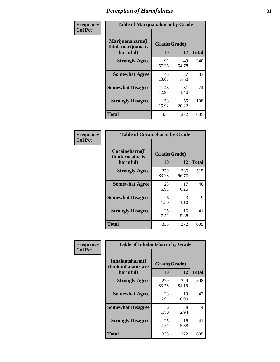| Frequency      | <b>Table of Marijuanaharm by Grade</b>            |                    |              |              |
|----------------|---------------------------------------------------|--------------------|--------------|--------------|
| <b>Col Pct</b> | Marijuanaharm(I<br>think marijuana is<br>harmful) | Grade(Grade)<br>10 | 12           | <b>Total</b> |
|                | <b>Strongly Agree</b>                             | 191<br>57.36       | 149<br>54.78 | 340          |
|                | <b>Somewhat Agree</b>                             | 46<br>13.81        | 37<br>13.60  | 83           |
|                | <b>Somewhat Disagree</b>                          | 43<br>12.91        | 31<br>11.40  | 74           |
|                | <b>Strongly Disagree</b>                          | 53<br>15.92        | 55<br>20.22  | 108          |
|                | <b>Total</b>                                      | 333                | 272          | 605          |

| <b>Table of Cocaineharm by Grade</b>          |                    |              |     |  |  |  |
|-----------------------------------------------|--------------------|--------------|-----|--|--|--|
| Cocaineharm(I<br>think cocaine is<br>harmful) | Grade(Grade)<br>10 | <b>Total</b> |     |  |  |  |
| <b>Strongly Agree</b>                         | 279<br>83.78       | 236<br>86.76 | 515 |  |  |  |
| <b>Somewhat Agree</b>                         | 23<br>6.91         | 17<br>6.25   | 40  |  |  |  |
| <b>Somewhat Disagree</b>                      | 6<br>1.80          | 3<br>1.10    | 9   |  |  |  |
| <b>Strongly Disagree</b>                      | 25<br>7.51         | 16<br>5.88   | 41  |  |  |  |
| Total                                         | 333                | 272          | 605 |  |  |  |

| Frequency      | <b>Table of Inhalantsharm by Grade</b>              |                           |              |              |
|----------------|-----------------------------------------------------|---------------------------|--------------|--------------|
| <b>Col Pct</b> | Inhalantsharm(I)<br>think inhalants are<br>harmful) | Grade(Grade)<br><b>10</b> | 12           | <b>Total</b> |
|                | <b>Strongly Agree</b>                               | 279<br>83.78              | 229<br>84.19 | 508          |
|                | <b>Somewhat Agree</b>                               | 23<br>6.91                | 19<br>6.99   | 42           |
|                | <b>Somewhat Disagree</b>                            | 6<br>1.80                 | 8<br>2.94    | 14           |
|                | <b>Strongly Disagree</b>                            | 25<br>7.51                | 16<br>5.88   | 41           |
|                | Total                                               | 333                       | 272          | 605          |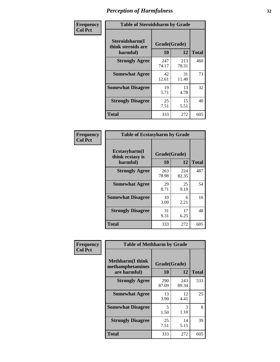| Frequency      | <b>Table of Steroidsharm by Grade</b>            |                    |              |              |
|----------------|--------------------------------------------------|--------------------|--------------|--------------|
| <b>Col Pct</b> | Steroidsharm(I<br>think steroids are<br>harmful) | Grade(Grade)<br>10 | 12           | <b>Total</b> |
|                | <b>Strongly Agree</b>                            | 247<br>74.17       | 213<br>78.31 | 460          |
|                | <b>Somewhat Agree</b>                            | 42<br>12.61        | 31<br>11.40  | 73           |
|                | <b>Somewhat Disagree</b>                         | 19<br>5.71         | 13<br>4.78   | 32           |
|                | <b>Strongly Disagree</b>                         | 25<br>7.51         | 15<br>5.51   | 40           |
|                | <b>Total</b>                                     | 333                | 272          | 605          |

| <b>Table of Ecstasyharm by Grade</b>          |                          |              |     |  |  |  |
|-----------------------------------------------|--------------------------|--------------|-----|--|--|--|
| Ecstasyharm(I<br>think ecstasy is<br>harmful) | Grade(Grade)<br>10<br>12 |              |     |  |  |  |
| <b>Strongly Agree</b>                         | 263<br>78.98             | 224<br>82.35 | 487 |  |  |  |
| <b>Somewhat Agree</b>                         | 29<br>8.71               | 25<br>9.19   | 54  |  |  |  |
| <b>Somewhat Disagree</b>                      | 10<br>3.00               | 6<br>2.21    | 16  |  |  |  |
| <b>Strongly Disagree</b>                      | 31<br>9.31               | 17<br>6.25   | 48  |  |  |  |
| <b>Total</b>                                  | 333                      | 272          | 605 |  |  |  |

| Frequency      | <b>Table of Methharm by Grade</b>                            |                           |              |              |
|----------------|--------------------------------------------------------------|---------------------------|--------------|--------------|
| <b>Col Pct</b> | <b>Methharm</b> (I think<br>methamphetamines<br>are harmful) | Grade(Grade)<br><b>10</b> | 12           | <b>Total</b> |
|                | <b>Strongly Agree</b>                                        | 290<br>87.09              | 243<br>89.34 | 533          |
|                | <b>Somewhat Agree</b>                                        | 13<br>3.90                | 12<br>4.41   | 25           |
|                | <b>Somewhat Disagree</b>                                     | 5<br>1.50                 | 3<br>1.10    | 8            |
|                | <b>Strongly Disagree</b>                                     | 25<br>7.51                | 14<br>5.15   | 39           |
|                | <b>Total</b>                                                 | 333                       | 272          | 605          |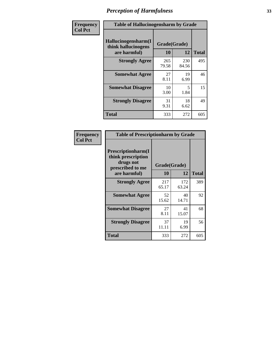| Frequency      | <b>Table of Hallucinogensharm by Grade</b>                 |                    |                                  |              |
|----------------|------------------------------------------------------------|--------------------|----------------------------------|--------------|
| <b>Col Pct</b> | Hallucinogensharm(I<br>think hallucinogens<br>are harmful) | Grade(Grade)<br>10 | 12                               | <b>Total</b> |
|                | <b>Strongly Agree</b>                                      | 265<br>79.58       | 230<br>84.56                     | 495          |
|                | <b>Somewhat Agree</b>                                      | 27<br>8.11         | 19<br>6.99                       | 46           |
|                | <b>Somewhat Disagree</b>                                   | 10<br>3.00         | $\overline{\phantom{0}}$<br>1.84 | 15           |
|                | <b>Strongly Disagree</b>                                   | 31<br>9.31         | 18<br>6.62                       | 49           |
|                | <b>Total</b>                                               | 333                | 272                              | 605          |

| <b>Table of Prescriptionharm by Grade</b>                                         |              |              |              |  |
|-----------------------------------------------------------------------------------|--------------|--------------|--------------|--|
| <b>Prescriptionharm(I)</b><br>think prescription<br>drugs not<br>prescribed to me | Grade(Grade) |              |              |  |
| are harmful)                                                                      | 10           | 12           | <b>Total</b> |  |
| <b>Strongly Agree</b>                                                             | 217<br>65.17 | 172<br>63.24 | 389          |  |
| <b>Somewhat Agree</b>                                                             | 52<br>15.62  | 40<br>14.71  | 92           |  |
| <b>Somewhat Disagree</b>                                                          | 27<br>8.11   | 41<br>15.07  | 68           |  |
| <b>Strongly Disagree</b>                                                          | 37<br>11.11  | 19<br>6.99   | 56           |  |
| <b>Total</b>                                                                      | 333          | 272          | 605          |  |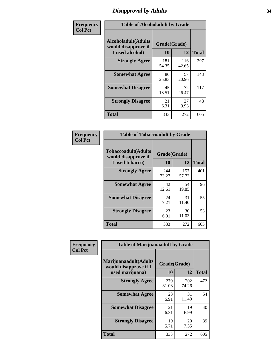# *Disapproval by Adults* **34**

| Frequency      | <b>Table of Alcoholadult by Grade</b>                         |                    |              |              |
|----------------|---------------------------------------------------------------|--------------------|--------------|--------------|
| <b>Col Pct</b> | Alcoholadult(Adults<br>would disapprove if<br>I used alcohol) | Grade(Grade)<br>10 | 12           | <b>Total</b> |
|                | <b>Strongly Agree</b>                                         | 181<br>54.35       | 116<br>42.65 | 297          |
|                | <b>Somewhat Agree</b>                                         | 86<br>25.83        | 57<br>20.96  | 143          |
|                | <b>Somewhat Disagree</b>                                      | 45<br>13.51        | 72<br>26.47  | 117          |
|                | <b>Strongly Disagree</b>                                      | 21<br>6.31         | 27<br>9.93   | 48           |
|                | <b>Total</b>                                                  | 333                | 272          | 605          |

| <b>Table of Tobaccoadult by Grade</b>                                                             |              |              |     |  |  |
|---------------------------------------------------------------------------------------------------|--------------|--------------|-----|--|--|
| <b>Tobaccoadult</b> (Adults<br>Grade(Grade)<br>would disapprove if<br>10<br>12<br>I used tobacco) |              |              |     |  |  |
| <b>Strongly Agree</b>                                                                             | 244<br>73.27 | 157<br>57.72 | 401 |  |  |
| <b>Somewhat Agree</b>                                                                             | 42<br>12.61  | 54<br>19.85  | 96  |  |  |
| <b>Somewhat Disagree</b>                                                                          | 24<br>7.21   | 31<br>11.40  | 55  |  |  |
| <b>Strongly Disagree</b>                                                                          | 23<br>6.91   | 30<br>11.03  | 53  |  |  |
| Total                                                                                             | 333          | 272          | 605 |  |  |

| Frequency      | <b>Table of Marijuanaadult by Grade</b>                           |                    |              |              |
|----------------|-------------------------------------------------------------------|--------------------|--------------|--------------|
| <b>Col Pct</b> | Marijuanaadult(Adults<br>would disapprove if I<br>used marijuana) | Grade(Grade)<br>10 | 12           | <b>Total</b> |
|                | <b>Strongly Agree</b>                                             | 270<br>81.08       | 202<br>74.26 | 472          |
|                | <b>Somewhat Agree</b>                                             | 23<br>6.91         | 31<br>11.40  | 54           |
|                | <b>Somewhat Disagree</b>                                          | 21<br>6.31         | 19<br>6.99   | 40           |
|                | <b>Strongly Disagree</b>                                          | 19<br>5.71         | 20<br>7.35   | 39           |
|                | <b>Total</b>                                                      | 333                | 272          | 605          |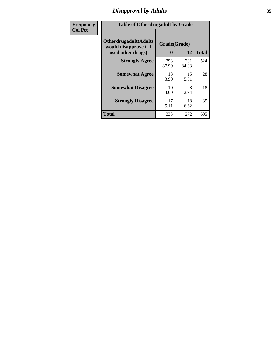# *Disapproval by Adults* **35**

| Frequency      | <b>Table of Otherdrugadult by Grade</b>                                     |                    |              |              |
|----------------|-----------------------------------------------------------------------------|--------------------|--------------|--------------|
| <b>Col Pct</b> | <b>Otherdrugadult</b> (Adults<br>would disapprove if I<br>used other drugs) | Grade(Grade)<br>10 | 12           | <b>Total</b> |
|                | <b>Strongly Agree</b>                                                       | 293<br>87.99       | 231<br>84.93 | 524          |
|                | <b>Somewhat Agree</b>                                                       | 13<br>3.90         | 15<br>5.51   | 28           |
|                | <b>Somewhat Disagree</b>                                                    | 10<br>3.00         | 8<br>2.94    | 18           |
|                | <b>Strongly Disagree</b>                                                    | 17<br>5.11         | 18<br>6.62   | 35           |
|                | <b>Total</b>                                                                | 333                | 272          | 605          |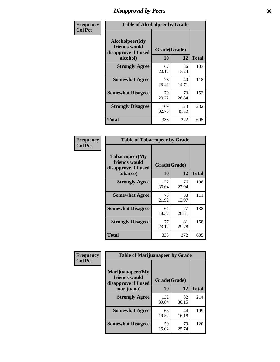# *Disapproval by Peers* **36**

| Frequency      | <b>Table of Alcoholpeer by Grade</b>                    |              |              |              |  |
|----------------|---------------------------------------------------------|--------------|--------------|--------------|--|
| <b>Col Pct</b> | Alcoholpeer(My<br>friends would<br>disapprove if I used | Grade(Grade) |              |              |  |
|                | alcohol)                                                | 10           | 12           | <b>Total</b> |  |
|                | <b>Strongly Agree</b>                                   | 67<br>20.12  | 36<br>13.24  | 103          |  |
|                | <b>Somewhat Agree</b>                                   | 78<br>23.42  | 40<br>14.71  | 118          |  |
|                | <b>Somewhat Disagree</b>                                | 79<br>23.72  | 73<br>26.84  | 152          |  |
|                | <b>Strongly Disagree</b>                                | 109<br>32.73 | 123<br>45.22 | 232          |  |
|                | Total                                                   | 333          | 272          | 605          |  |

| Frequency      | <b>Table of Tobaccopeer by Grade</b>                                |                    |             |              |
|----------------|---------------------------------------------------------------------|--------------------|-------------|--------------|
| <b>Col Pct</b> | Tobaccopeer(My<br>friends would<br>disapprove if I used<br>tobacco) | Grade(Grade)<br>10 | 12          | <b>Total</b> |
|                | <b>Strongly Agree</b>                                               | 122<br>36.64       | 76<br>27.94 | 198          |
|                | <b>Somewhat Agree</b>                                               | 73<br>21.92        | 38<br>13.97 | 111          |
|                | <b>Somewhat Disagree</b>                                            | 61<br>18.32        | 77<br>28.31 | 138          |
|                | <b>Strongly Disagree</b>                                            | 77<br>23.12        | 81<br>29.78 | 158          |
|                | Total                                                               | 333                | 272         | 605          |

| Frequency      | <b>Table of Marijuanapeer by Grade</b>                    |              |             |              |
|----------------|-----------------------------------------------------------|--------------|-------------|--------------|
| <b>Col Pct</b> | Marijuanapeer(My<br>friends would<br>disapprove if I used | Grade(Grade) |             |              |
|                | marijuana)                                                | <b>10</b>    | 12          | <b>Total</b> |
|                | <b>Strongly Agree</b>                                     | 132<br>39.64 | 82<br>30.15 | 214          |
|                | <b>Somewhat Agree</b>                                     | 65<br>19.52  | 44<br>16.18 | 109          |
|                | <b>Somewhat Disagree</b>                                  | 50<br>15.02  | 70<br>25.74 | 120          |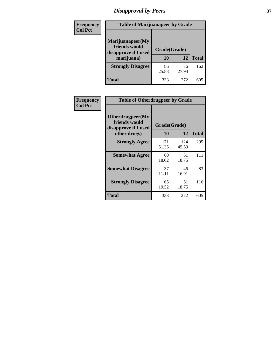# *Disapproval by Peers* **37**

| Frequency<br><b>Col Pct</b> | <b>Table of Marijuanapeer by Grade</b>                                  |                    |             |              |
|-----------------------------|-------------------------------------------------------------------------|--------------------|-------------|--------------|
|                             | Marijuanapeer(My<br>friends would<br>disapprove if I used<br>marijuana) | Grade(Grade)<br>10 | 12          | <b>Total</b> |
|                             | <b>Strongly Disagree</b>                                                | 86<br>25.83        | 76<br>27.94 | 162          |
|                             | Total                                                                   | 333                | 272         | 605          |

| Frequency      | <b>Table of Otherdrugpeer by Grade</b>                                    |                           |              |              |
|----------------|---------------------------------------------------------------------------|---------------------------|--------------|--------------|
| <b>Col Pct</b> | Otherdrugpeer(My<br>friends would<br>disapprove if I used<br>other drugs) | Grade(Grade)<br><b>10</b> | 12           | <b>Total</b> |
|                | <b>Strongly Agree</b>                                                     | 171<br>51.35              | 124<br>45.59 | 295          |
|                | <b>Somewhat Agree</b>                                                     | 60<br>18.02               | 51<br>18.75  | 111          |
|                | <b>Somewhat Disagree</b>                                                  | 37<br>11.11               | 46<br>16.91  | 83           |
|                | <b>Strongly Disagree</b>                                                  | 65<br>19.52               | 51<br>18.75  | 116          |
|                | <b>Total</b>                                                              | 333                       | 272          | 605          |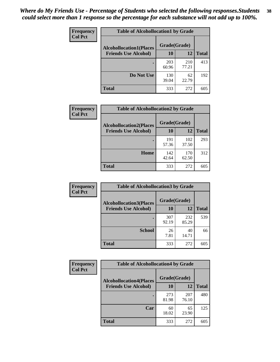| Frequency<br><b>Col Pct</b> | <b>Table of Alcohollocation1 by Grade</b> |              |              |              |  |
|-----------------------------|-------------------------------------------|--------------|--------------|--------------|--|
|                             | <b>Alcohollocation1(Places</b>            | Grade(Grade) |              |              |  |
|                             | <b>Friends Use Alcohol)</b>               | 10           | 12           | <b>Total</b> |  |
|                             |                                           | 203<br>60.96 | 210<br>77.21 | 413          |  |
|                             | Do Not Use                                | 130<br>39.04 | 62<br>22.79  | 192          |  |
|                             | <b>Total</b>                              | 333          | 272          | 605          |  |

| Frequency      | <b>Table of Alcohollocation2 by Grade</b>                     |                    |              |              |
|----------------|---------------------------------------------------------------|--------------------|--------------|--------------|
| <b>Col Pct</b> | <b>Alcohollocation2(Places</b><br><b>Friends Use Alcohol)</b> | Grade(Grade)<br>10 | 12           | <b>Total</b> |
|                |                                                               | 191<br>57.36       | 102<br>37.50 | 293          |
|                | Home                                                          | 142<br>42.64       | 170<br>62.50 | 312          |
|                | <b>Total</b>                                                  | 333                | 272          | 605          |

| Frequency<br><b>Col Pct</b> | <b>Table of Alcohollocation 3 by Grade</b>                    |                    |              |              |
|-----------------------------|---------------------------------------------------------------|--------------------|--------------|--------------|
|                             | <b>Alcohollocation3(Places</b><br><b>Friends Use Alcohol)</b> | Grade(Grade)<br>10 | 12           | <b>Total</b> |
|                             |                                                               | 307<br>92.19       | 232<br>85.29 | 539          |
|                             | <b>School</b>                                                 | 26<br>7.81         | 40<br>14.71  | 66           |
|                             | <b>Total</b>                                                  | 333                | 272          | 605          |

| Frequency      | <b>Table of Alcohollocation4 by Grade</b> |              |              |              |
|----------------|-------------------------------------------|--------------|--------------|--------------|
| <b>Col Pct</b> | <b>Alcohollocation4(Places</b>            | Grade(Grade) |              |              |
|                | <b>Friends Use Alcohol)</b>               | 10           | 12           | <b>Total</b> |
|                |                                           | 273<br>81.98 | 207<br>76.10 | 480          |
|                | Car                                       | 60<br>18.02  | 65<br>23.90  | 125          |
|                | <b>Total</b>                              | 333          | 272          | 605          |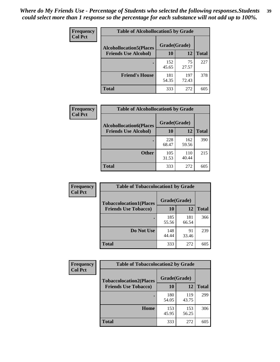| <b>Frequency</b><br><b>Col Pct</b> | <b>Table of Alcohollocation5 by Grade</b> |              |              |              |  |
|------------------------------------|-------------------------------------------|--------------|--------------|--------------|--|
|                                    | <b>Alcohollocation5</b> (Places           |              | Grade(Grade) |              |  |
|                                    | <b>Friends Use Alcohol)</b>               | 10           | 12           | <b>Total</b> |  |
|                                    |                                           | 152<br>45.65 | 75<br>27.57  | 227          |  |
|                                    | <b>Friend's House</b>                     | 181<br>54.35 | 197<br>72.43 | 378          |  |
|                                    | Total                                     | 333          | 272          | 605          |  |

| Frequency      | <b>Table of Alcohollocation6 by Grade</b>                     |                    |              |              |
|----------------|---------------------------------------------------------------|--------------------|--------------|--------------|
| <b>Col Pct</b> | <b>Alcohollocation6(Places</b><br><b>Friends Use Alcohol)</b> | Grade(Grade)<br>10 | 12           | <b>Total</b> |
|                |                                                               | 228<br>68.47       | 162<br>59.56 | 390          |
|                | <b>Other</b>                                                  | 105<br>31.53       | 110<br>40.44 | 215          |
|                | Total                                                         | 333                | 272          | 605          |

| <b>Frequency</b> | <b>Table of Tobaccolocation1 by Grade</b> |              |              |              |
|------------------|-------------------------------------------|--------------|--------------|--------------|
| <b>Col Pct</b>   | <b>Tobaccolocation1(Places</b>            | Grade(Grade) |              |              |
|                  | <b>Friends Use Tobacco)</b>               | 10           | 12           | <b>Total</b> |
|                  |                                           | 185<br>55.56 | 181<br>66.54 | 366          |
|                  | Do Not Use                                | 148<br>44.44 | 91<br>33.46  | 239          |
|                  | <b>Total</b>                              | 333          | 272          | 605          |

| Frequency      | <b>Table of Tobaccolocation2 by Grade</b> |              |              |              |
|----------------|-------------------------------------------|--------------|--------------|--------------|
| <b>Col Pct</b> | <b>Tobaccolocation2(Places</b>            | Grade(Grade) |              |              |
|                | <b>Friends Use Tobacco)</b>               | 10           | 12           | <b>Total</b> |
|                |                                           | 180<br>54.05 | 119<br>43.75 | 299          |
|                | Home                                      | 153<br>45.95 | 153<br>56.25 | 306          |
|                | <b>Total</b>                              | 333          | 272          | 605          |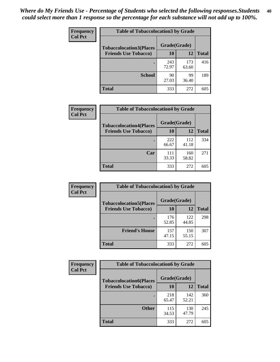| Frequency      | <b>Table of Tobaccolocation 3 by Grade</b> |              |              |              |
|----------------|--------------------------------------------|--------------|--------------|--------------|
| <b>Col Pct</b> | <b>Tobaccolocation3(Places</b>             | Grade(Grade) |              |              |
|                | <b>Friends Use Tobacco)</b>                | 10           | 12           | <b>Total</b> |
|                |                                            | 243<br>72.97 | 173<br>63.60 | 416          |
|                | <b>School</b>                              | 90<br>27.03  | 99<br>36.40  | 189          |
|                | <b>Total</b>                               | 333          | 272          | 605          |

| Frequency<br><b>Col Pct</b> | <b>Table of Tobaccolocation4 by Grade</b> |              |              |              |
|-----------------------------|-------------------------------------------|--------------|--------------|--------------|
|                             | <b>Tobaccolocation4(Places</b>            | Grade(Grade) |              |              |
|                             | <b>Friends Use Tobacco)</b>               | 10           | <b>12</b>    | <b>Total</b> |
|                             |                                           | 222<br>66.67 | 112<br>41.18 | 334          |
|                             | Car                                       | 111<br>33.33 | 160<br>58.82 | 271          |
|                             | <b>Total</b>                              | 333          | 272          | 605          |

| Frequency      | <b>Table of Tobaccolocation5 by Grade</b> |              |              |              |  |
|----------------|-------------------------------------------|--------------|--------------|--------------|--|
| <b>Col Pct</b> | <b>Tobaccolocation5(Places</b>            | Grade(Grade) |              |              |  |
|                | <b>Friends Use Tobacco)</b>               | 10           | 12           | <b>Total</b> |  |
|                |                                           | 176<br>52.85 | 122<br>44.85 | 298          |  |
|                | <b>Friend's House</b>                     | 157<br>47.15 | 150<br>55.15 | 307          |  |
|                | <b>Total</b>                              | 333          | 272          | 605          |  |

| <b>Frequency</b> | <b>Table of Tobaccolocation6 by Grade</b> |              |              |              |  |
|------------------|-------------------------------------------|--------------|--------------|--------------|--|
| <b>Col Pct</b>   | <b>Tobaccolocation6(Places</b>            | Grade(Grade) |              |              |  |
|                  | <b>Friends Use Tobacco)</b>               | 10           | 12           | <b>Total</b> |  |
|                  |                                           | 218<br>65.47 | 142<br>52.21 | 360          |  |
|                  | <b>Other</b>                              | 115<br>34.53 | 130<br>47.79 | 245          |  |
|                  | <b>Total</b>                              | 333          | 272          | 605          |  |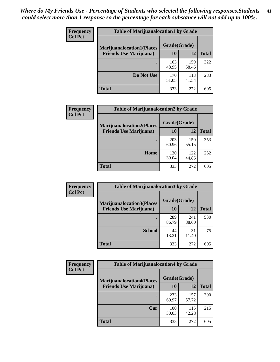| <b>Frequency</b> | <b>Table of Marijuanalocation1 by Grade</b> |              |              |              |  |
|------------------|---------------------------------------------|--------------|--------------|--------------|--|
| <b>Col Pct</b>   | <b>Marijuanalocation1(Places</b>            | Grade(Grade) |              |              |  |
|                  | <b>Friends Use Marijuana</b> )              | 10           | 12           | <b>Total</b> |  |
|                  |                                             | 163<br>48.95 | 159<br>58.46 | 322          |  |
|                  | Do Not Use                                  | 170<br>51.05 | 113<br>41.54 | 283          |  |
|                  | <b>Total</b>                                | 333          | 272          | 605          |  |

| <b>Frequency</b><br><b>Col Pct</b> | <b>Table of Marijuanalocation2 by Grade</b>                        |                    |              |              |
|------------------------------------|--------------------------------------------------------------------|--------------------|--------------|--------------|
|                                    | <b>Marijuanalocation2(Places</b><br><b>Friends Use Marijuana</b> ) | Grade(Grade)<br>10 | 12           | <b>Total</b> |
|                                    |                                                                    | 203<br>60.96       | 150<br>55.15 | 353          |
|                                    | Home                                                               | 130<br>39.04       | 122<br>44.85 | 252          |
|                                    | <b>Total</b>                                                       | 333                | 272          | 605          |

| <b>Frequency</b><br><b>Col Pct</b> | <b>Table of Marijuanalocation3 by Grade</b> |              |              |              |
|------------------------------------|---------------------------------------------|--------------|--------------|--------------|
|                                    | <b>Marijuanalocation3</b> (Places           | Grade(Grade) |              |              |
|                                    | <b>Friends Use Marijuana</b> )              | <b>10</b>    | 12           | <b>Total</b> |
|                                    |                                             | 289<br>86.79 | 241<br>88.60 | 530          |
|                                    | <b>School</b>                               | 44<br>13.21  | 31<br>11.40  | 75           |
|                                    | <b>Total</b>                                | 333          | 272          | 605          |

| <b>Frequency</b><br><b>Col Pct</b> | <b>Table of Marijuanalocation4 by Grade</b> |              |              |              |  |  |
|------------------------------------|---------------------------------------------|--------------|--------------|--------------|--|--|
|                                    | <b>Marijuanalocation4(Places</b>            | Grade(Grade) |              |              |  |  |
|                                    | <b>Friends Use Marijuana</b> )              | <b>10</b>    | 12           | <b>Total</b> |  |  |
|                                    |                                             | 233<br>69.97 | 157<br>57.72 | 390          |  |  |
|                                    | Car                                         | 100<br>30.03 | 115<br>42.28 | 215          |  |  |
|                                    | Total                                       | 333          | 272          | 605          |  |  |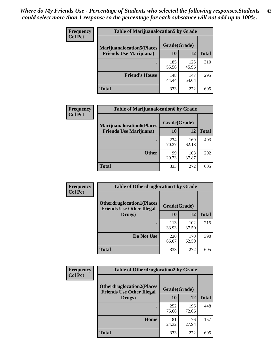| <b>Frequency</b> | <b>Table of Marijuanalocation5 by Grade</b> |              |              |              |
|------------------|---------------------------------------------|--------------|--------------|--------------|
| <b>Col Pct</b>   | <b>Marijuanalocation5</b> (Places           | Grade(Grade) |              |              |
|                  | <b>Friends Use Marijuana</b> )              | 10           | 12           | <b>Total</b> |
|                  |                                             | 185<br>55.56 | 125<br>45.96 | 310          |
|                  | <b>Friend's House</b>                       | 148<br>44.44 | 147<br>54.04 | 295          |
|                  | <b>Total</b>                                | 333          | 272          | 605          |

| <b>Frequency</b> | <b>Table of Marijuanalocation6 by Grade</b>                        |                    |              |              |
|------------------|--------------------------------------------------------------------|--------------------|--------------|--------------|
| <b>Col Pct</b>   | <b>Marijuanalocation6(Places</b><br><b>Friends Use Marijuana</b> ) | Grade(Grade)<br>10 | 12           | <b>Total</b> |
|                  |                                                                    | 234<br>70.27       | 169<br>62.13 | 403          |
|                  | <b>Other</b>                                                       | 99<br>29.73        | 103<br>37.87 | 202          |
|                  | <b>Total</b>                                                       | 333                | 272          | 605          |

| <b>Frequency</b> | <b>Table of Otherdruglocation1 by Grade</b>                          |              |              |              |  |
|------------------|----------------------------------------------------------------------|--------------|--------------|--------------|--|
| <b>Col Pct</b>   | <b>Otherdruglocation1(Places</b><br><b>Friends Use Other Illegal</b> | Grade(Grade) |              |              |  |
|                  | Drugs)                                                               | 10           | 12           | <b>Total</b> |  |
|                  |                                                                      | 113<br>33.93 | 102<br>37.50 | 215          |  |
|                  | Do Not Use                                                           | 220<br>66.07 | 170<br>62.50 | 390          |  |
|                  | <b>Total</b>                                                         | 333          | 272          | 605          |  |

| Frequency      | <b>Table of Otherdruglocation2 by Grade</b>                          |              |              |              |
|----------------|----------------------------------------------------------------------|--------------|--------------|--------------|
| <b>Col Pct</b> | <b>Otherdruglocation2(Places</b><br><b>Friends Use Other Illegal</b> | Grade(Grade) |              |              |
|                | Drugs)                                                               | 10           | 12           | <b>Total</b> |
|                |                                                                      | 252<br>75.68 | 196<br>72.06 | 448          |
|                | Home                                                                 | 81<br>24.32  | 76<br>27.94  | 157          |
|                | <b>Total</b>                                                         | 333          | 272          | 605          |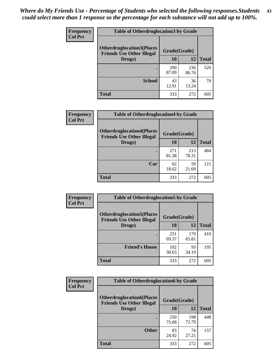| <b>Frequency</b> | <b>Table of Otherdruglocation3 by Grade</b>                          |              |              |              |
|------------------|----------------------------------------------------------------------|--------------|--------------|--------------|
| <b>Col Pct</b>   | <b>Otherdruglocation3(Places</b><br><b>Friends Use Other Illegal</b> | Grade(Grade) |              |              |
|                  | Drugs)                                                               | <b>10</b>    | 12           | <b>Total</b> |
|                  |                                                                      | 290<br>87.09 | 236<br>86.76 | 526          |
|                  | <b>School</b>                                                        | 43<br>12.91  | 36<br>13.24  | 79           |
|                  | <b>Total</b>                                                         | 333          | 272          | 605          |

| <b>Frequency</b> | <b>Table of Otherdruglocation4 by Grade</b>                          |              |              |              |
|------------------|----------------------------------------------------------------------|--------------|--------------|--------------|
| <b>Col Pct</b>   | <b>Otherdruglocation4(Places</b><br><b>Friends Use Other Illegal</b> | Grade(Grade) |              |              |
|                  | Drugs)                                                               | 10           | 12           | <b>Total</b> |
|                  |                                                                      | 271<br>81.38 | 213<br>78.31 | 484          |
|                  | Car                                                                  | 62<br>18.62  | 59<br>21.69  | 121          |
|                  | <b>Total</b>                                                         | 333          | 272          | 605          |

| <b>Frequency</b> | <b>Table of Otherdruglocation5 by Grade</b>                          |              |              |              |
|------------------|----------------------------------------------------------------------|--------------|--------------|--------------|
| <b>Col Pct</b>   | <b>Otherdruglocation5(Places</b><br><b>Friends Use Other Illegal</b> | Grade(Grade) |              |              |
|                  | Drugs)                                                               | 10           | 12           | <b>Total</b> |
|                  |                                                                      | 231<br>69.37 | 179<br>65.81 | 410          |
|                  | <b>Friend's House</b>                                                | 102<br>30.63 | 93<br>34.19  | 195          |
|                  | <b>Total</b>                                                         | 333          | 272          | 605          |

| <b>Frequency</b> | <b>Table of Otherdruglocation6 by Grade</b>                          |              |              |              |
|------------------|----------------------------------------------------------------------|--------------|--------------|--------------|
| <b>Col Pct</b>   | <b>Otherdruglocation6(Places</b><br><b>Friends Use Other Illegal</b> |              | Grade(Grade) |              |
|                  | Drugs)                                                               | 10           | 12           | <b>Total</b> |
|                  |                                                                      | 250<br>75.08 | 198<br>72.79 | 448          |
|                  | <b>Other</b>                                                         | 83<br>24.92  | 74<br>27.21  | 157          |
|                  | <b>Total</b>                                                         | 333          | 272          | 605          |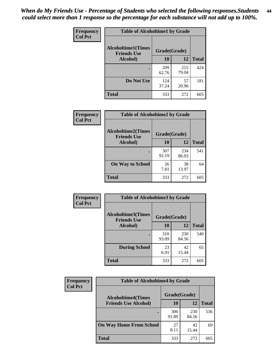| <b>Frequency</b> | <b>Table of Alcoholtime1 by Grade</b>           |              |              |              |
|------------------|-------------------------------------------------|--------------|--------------|--------------|
| <b>Col Pct</b>   | <b>Alcoholtime1(Times</b><br><b>Friends Use</b> | Grade(Grade) |              |              |
|                  | Alcohol)                                        | 10           | 12           | <b>Total</b> |
|                  |                                                 | 209<br>62.76 | 215<br>79.04 | 424          |
|                  | Do Not Use                                      | 124<br>37.24 | 57<br>20.96  | 181          |
|                  | <b>Total</b>                                    | 333          | 272          | 605          |

| Frequency      | <b>Table of Alcoholtime2 by Grade</b>           |              |              |              |  |
|----------------|-------------------------------------------------|--------------|--------------|--------------|--|
| <b>Col Pct</b> | <b>Alcoholtime2(Times</b><br><b>Friends Use</b> | Grade(Grade) |              |              |  |
|                | Alcohol)                                        | 10           | 12           | <b>Total</b> |  |
|                |                                                 | 307<br>92.19 | 234<br>86.03 | 541          |  |
|                | <b>On Way to School</b>                         | 26<br>7.81   | 38<br>13.97  | 64           |  |
|                | <b>Total</b>                                    | 333          | 272          | 605          |  |

| Frequency<br><b>Col Pct</b> | <b>Table of Alcoholtime3 by Grade</b>                           |              |              |              |  |
|-----------------------------|-----------------------------------------------------------------|--------------|--------------|--------------|--|
|                             | <b>Alcoholtime3(Times</b><br>Grade(Grade)<br><b>Friends Use</b> |              |              |              |  |
|                             | Alcohol)                                                        | 10           | 12           | <b>Total</b> |  |
|                             |                                                                 | 310<br>93.09 | 230<br>84.56 | 540          |  |
|                             | <b>During School</b>                                            | 23<br>6.91   | 42<br>15.44  | 65           |  |
|                             | <b>Total</b>                                                    | 333          | 272          | 605          |  |

| <b>Frequency</b> | <b>Table of Alcoholtime4 by Grade</b> |              |              |              |  |
|------------------|---------------------------------------|--------------|--------------|--------------|--|
| <b>Col Pct</b>   | <b>Alcoholtime4(Times</b>             | Grade(Grade) |              |              |  |
|                  | <b>Friends Use Alcohol)</b>           | 10           | 12           | <b>Total</b> |  |
|                  |                                       | 306<br>91.89 | 230<br>84.56 | 536          |  |
|                  | <b>On Way Home From School</b>        | 27<br>8.11   | 42<br>15.44  | 69           |  |
|                  | <b>Total</b>                          | 333          | 272          | 605          |  |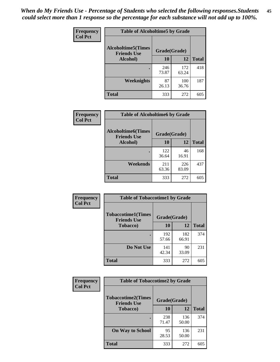*When do My Friends Use - Percentage of Students who selected the following responses.Students could select more than 1 response so the percentage for each substance will not add up to 100%.* **45**

| Frequency      | <b>Table of Alcoholtime5 by Grade</b>           |              |              |              |
|----------------|-------------------------------------------------|--------------|--------------|--------------|
| <b>Col Pct</b> | <b>Alcoholtime5(Times</b><br><b>Friends Use</b> | Grade(Grade) |              |              |
|                | Alcohol)                                        | 10           | 12           | <b>Total</b> |
|                |                                                 | 246<br>73.87 | 172<br>63.24 | 418          |
|                | Weeknights                                      | 87<br>26.13  | 100<br>36.76 | 187          |
|                | <b>Total</b>                                    | 333          | 272          | 605          |

| <b>Frequency</b> | <b>Table of Alcoholtime6 by Grade</b>           |              |              |              |  |
|------------------|-------------------------------------------------|--------------|--------------|--------------|--|
| <b>Col Pct</b>   | <b>Alcoholtime6(Times</b><br><b>Friends Use</b> | Grade(Grade) |              |              |  |
|                  | Alcohol)                                        | 10           | 12           | <b>Total</b> |  |
|                  |                                                 | 122<br>36.64 | 46<br>16.91  | 168          |  |
|                  | Weekends                                        | 211<br>63.36 | 226<br>83.09 | 437          |  |
|                  | <b>Total</b>                                    | 333          | 272          | 605          |  |

| Frequency      | <b>Table of Tobaccotime1 by Grade</b>           |              |              |              |
|----------------|-------------------------------------------------|--------------|--------------|--------------|
| <b>Col Pct</b> | <b>Tobaccotime1(Times</b><br><b>Friends Use</b> | Grade(Grade) |              |              |
|                | <b>Tobacco</b> )                                | 10           | 12           | <b>Total</b> |
|                |                                                 | 192<br>57.66 | 182<br>66.91 | 374          |
|                | Do Not Use                                      | 141<br>42.34 | 90<br>33.09  | 231          |
|                | <b>Total</b>                                    | 333          | 272          | 605          |

| <b>Frequency</b> | <b>Table of Tobaccotime2 by Grade</b>           |              |              |              |
|------------------|-------------------------------------------------|--------------|--------------|--------------|
| <b>Col Pct</b>   | <b>Tobaccotime2(Times</b><br><b>Friends Use</b> | Grade(Grade) |              |              |
|                  | <b>Tobacco</b> )                                | 10           | 12           | <b>Total</b> |
|                  |                                                 | 238<br>71.47 | 136<br>50.00 | 374          |
|                  | <b>On Way to School</b>                         | 95<br>28.53  | 136<br>50.00 | 231          |
|                  | <b>Total</b>                                    | 333          | 272          | 605          |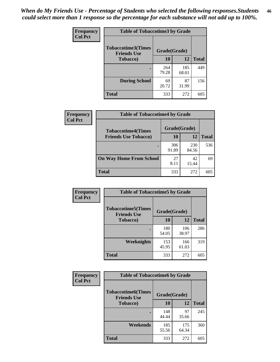| <b>Frequency</b> | <b>Table of Tobaccotime3 by Grade</b>           |              |              |              |
|------------------|-------------------------------------------------|--------------|--------------|--------------|
| <b>Col Pct</b>   | <b>Tobaccotime3(Times</b><br><b>Friends Use</b> | Grade(Grade) |              |              |
|                  | <b>Tobacco</b> )                                | 10           | 12           | <b>Total</b> |
|                  |                                                 | 264<br>79.28 | 185<br>68.01 | 449          |
|                  | <b>During School</b>                            | 69<br>20.72  | 87<br>31.99  | 156          |
|                  | Total                                           | 333          | 272          | 605          |

| <b>Frequency</b><br><b>Col Pct</b> | <b>Table of Tobaccotime4 by Grade</b> |              |              |              |  |
|------------------------------------|---------------------------------------|--------------|--------------|--------------|--|
|                                    | <b>Tobaccotime4(Times</b>             | Grade(Grade) |              |              |  |
|                                    | <b>Friends Use Tobacco)</b>           | 10           | 12           | <b>Total</b> |  |
|                                    |                                       | 306<br>91.89 | 230<br>84.56 | 536          |  |
|                                    | <b>On Way Home From School</b>        | 27<br>8.11   | 42<br>15.44  | 69           |  |
|                                    | Total                                 | 333          | 272          | 605          |  |

| Frequency      | <b>Table of Tobaccotime5 by Grade</b>            |              |              |              |
|----------------|--------------------------------------------------|--------------|--------------|--------------|
| <b>Col Pct</b> | <b>Tobaccotime5</b> (Times<br><b>Friends Use</b> | Grade(Grade) |              |              |
|                | <b>Tobacco</b> )                                 | 10           | 12           | <b>Total</b> |
|                |                                                  | 180<br>54.05 | 106<br>38.97 | 286          |
|                | Weeknights                                       | 153<br>45.95 | 166<br>61.03 | 319          |
|                | <b>Total</b>                                     | 333          | 272          | 605          |

| Frequency      | <b>Table of Tobaccotime6 by Grade</b>                           |              |              |              |
|----------------|-----------------------------------------------------------------|--------------|--------------|--------------|
| <b>Col Pct</b> | <b>Tobaccotime6(Times</b><br>Grade(Grade)<br><b>Friends Use</b> |              |              |              |
|                | <b>Tobacco</b> )                                                | 10           | 12           | <b>Total</b> |
|                |                                                                 | 148<br>44.44 | 97<br>35.66  | 245          |
|                | Weekends                                                        | 185<br>55.56 | 175<br>64.34 | 360          |
|                | <b>Total</b>                                                    | 333          | 272          | 605          |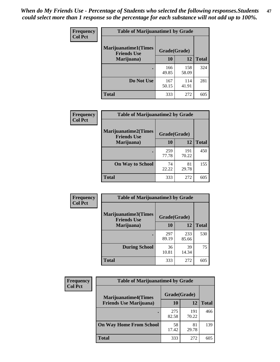| Frequency      | <b>Table of Marijuanatime1 by Grade</b>           |              |              |              |  |
|----------------|---------------------------------------------------|--------------|--------------|--------------|--|
| <b>Col Pct</b> | <b>Marijuanatime1(Times</b><br><b>Friends Use</b> | Grade(Grade) |              |              |  |
|                | Marijuana)                                        | 10           | 12           | <b>Total</b> |  |
|                |                                                   | 166<br>49.85 | 158<br>58.09 | 324          |  |
|                | Do Not Use                                        | 167<br>50.15 | 114<br>41.91 | 281          |  |
|                | <b>Total</b>                                      | 333          | 272          | 605          |  |

| Frequency      | <b>Table of Marijuanatime2 by Grade</b>           |              |              |              |  |
|----------------|---------------------------------------------------|--------------|--------------|--------------|--|
| <b>Col Pct</b> | <b>Marijuanatime2(Times</b><br><b>Friends Use</b> | Grade(Grade) |              |              |  |
|                | Marijuana)                                        | 10           | 12           | <b>Total</b> |  |
|                |                                                   | 259<br>77.78 | 191<br>70.22 | 450          |  |
|                | <b>On Way to School</b>                           | 74<br>22.22  | 81<br>29.78  | 155          |  |
|                | <b>Total</b>                                      | 333          | 272          | 605          |  |

| Frequency      | <b>Table of Marijuanatime3 by Grade</b>    |              |              |              |
|----------------|--------------------------------------------|--------------|--------------|--------------|
| <b>Col Pct</b> | Marijuanatime3(Times<br><b>Friends Use</b> | Grade(Grade) |              |              |
|                | Marijuana)                                 | 10           | 12           | <b>Total</b> |
|                |                                            | 297<br>89.19 | 233<br>85.66 | 530          |
|                | <b>During School</b>                       | 36<br>10.81  | 39<br>14.34  | 75           |
|                | <b>Total</b>                               | 333          | 272          | 605          |

| <b>Frequency</b><br><b>Col Pct</b> | <b>Table of Marijuanatime4 by Grade</b> |              |              |       |
|------------------------------------|-----------------------------------------|--------------|--------------|-------|
|                                    | <b>Marijuanatime4(Times</b>             | Grade(Grade) |              |       |
|                                    | <b>Friends Use Marijuana</b> )          | 10           | 12           | Total |
|                                    |                                         | 275<br>82.58 | 191<br>70.22 | 466   |
|                                    | <b>On Way Home From School</b>          | 58<br>17.42  | 81<br>29.78  | 139   |
|                                    | <b>Total</b>                            | 333          | 272          | 605   |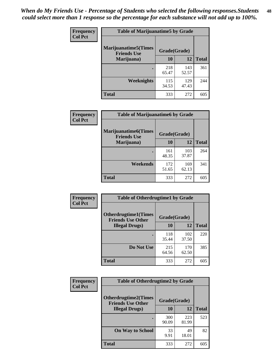| Frequency      | <b>Table of Marijuanatime5 by Grade</b>            |              |              |              |  |
|----------------|----------------------------------------------------|--------------|--------------|--------------|--|
| <b>Col Pct</b> | <b>Marijuanatime5</b> (Times<br><b>Friends Use</b> | Grade(Grade) |              |              |  |
|                | Marijuana)                                         | 10           | 12           | <b>Total</b> |  |
|                |                                                    | 218<br>65.47 | 143<br>52.57 | 361          |  |
|                | Weeknights                                         | 115<br>34.53 | 129<br>47.43 | 244          |  |
|                | <b>Total</b>                                       | 333          | 272          | 605          |  |

| Frequency      | <b>Table of Marijuanatime6 by Grade</b>            |              |              |              |
|----------------|----------------------------------------------------|--------------|--------------|--------------|
| <b>Col Pct</b> | <b>Marijuanatime6</b> (Times<br><b>Friends Use</b> | Grade(Grade) |              |              |
|                | Marijuana)                                         | 10           | 12           | <b>Total</b> |
|                |                                                    | 161<br>48.35 | 103<br>37.87 | 264          |
|                | Weekends                                           | 172<br>51.65 | 169<br>62.13 | 341          |
|                | <b>Total</b>                                       | 333          | 272          | 605          |

| Frequency      | <b>Table of Otherdrugtime1 by Grade</b>                 |              |              |              |  |
|----------------|---------------------------------------------------------|--------------|--------------|--------------|--|
| <b>Col Pct</b> | <b>Otherdrugtime1(Times</b><br><b>Friends Use Other</b> | Grade(Grade) |              |              |  |
|                | <b>Illegal Drugs</b> )                                  | 10           | 12           | <b>Total</b> |  |
|                |                                                         | 118<br>35.44 | 102<br>37.50 | 220          |  |
|                | Do Not Use                                              | 215<br>64.56 | 170<br>62.50 | 385          |  |
|                | Total                                                   | 333          | 272          | 605          |  |

| <b>Frequency</b> | <b>Table of Otherdrugtime2 by Grade</b>                 |              |              |              |
|------------------|---------------------------------------------------------|--------------|--------------|--------------|
| <b>Col Pct</b>   | <b>Otherdrugtime2(Times</b><br><b>Friends Use Other</b> | Grade(Grade) |              |              |
|                  | <b>Illegal Drugs</b> )                                  | 10           | 12           | <b>Total</b> |
|                  |                                                         | 300<br>90.09 | 223<br>81.99 | 523          |
|                  | <b>On Way to School</b>                                 | 33<br>9.91   | 49<br>18.01  | 82           |
|                  | <b>Total</b>                                            | 333          | 272          | 605          |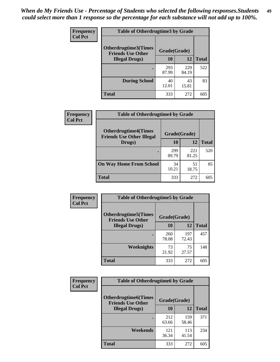| <b>Frequency</b> | <b>Table of Otherdrugtime3 by Grade</b>          |              |              |              |
|------------------|--------------------------------------------------|--------------|--------------|--------------|
| <b>Col Pct</b>   | Otherdrugtime3(Times<br><b>Friends Use Other</b> | Grade(Grade) |              |              |
|                  | <b>Illegal Drugs</b> )                           | 10           | 12           | <b>Total</b> |
|                  |                                                  | 293<br>87.99 | 229<br>84.19 | 522          |
|                  | <b>During School</b>                             | 40<br>12.01  | 43<br>15.81  | 83           |
|                  | Total                                            | 333          | 272          | 605          |

| Frequency      | <b>Table of Otherdrugtime4 by Grade</b>                         |              |              |              |
|----------------|-----------------------------------------------------------------|--------------|--------------|--------------|
| <b>Col Pct</b> | <b>Otherdrugtime4(Times</b><br><b>Friends Use Other Illegal</b> | Grade(Grade) |              |              |
|                | Drugs)                                                          | 10           | 12           | <b>Total</b> |
|                | $\bullet$                                                       | 299<br>89.79 | 221<br>81.25 | 520          |
|                | <b>On Way Home From School</b>                                  | 34<br>10.21  | 51<br>18.75  | 85           |
|                | <b>Total</b>                                                    | 333          | 272          | 605          |

| <b>Frequency</b> | <b>Table of Otherdrugtime5 by Grade</b>                 |              |              |              |  |  |
|------------------|---------------------------------------------------------|--------------|--------------|--------------|--|--|
| <b>Col Pct</b>   | <b>Otherdrugtime5(Times</b><br><b>Friends Use Other</b> | Grade(Grade) |              |              |  |  |
|                  | <b>Illegal Drugs</b> )                                  | 10           | 12           | <b>Total</b> |  |  |
|                  |                                                         | 260<br>78.08 | 197<br>72.43 | 457          |  |  |
|                  | Weeknights                                              | 73<br>21.92  | 75<br>27.57  | 148          |  |  |
|                  | Total                                                   | 333          | 272          | 605          |  |  |

| Frequency      | <b>Table of Otherdrugtime6 by Grade</b>                 |              |              |              |  |  |
|----------------|---------------------------------------------------------|--------------|--------------|--------------|--|--|
| <b>Col Pct</b> | <b>Otherdrugtime6(Times</b><br><b>Friends Use Other</b> | Grade(Grade) |              |              |  |  |
|                | <b>Illegal Drugs</b> )                                  | 10           | 12           | <b>Total</b> |  |  |
|                |                                                         | 212<br>63.66 | 159<br>58.46 | 371          |  |  |
|                | Weekends                                                | 121<br>36.34 | 113<br>41.54 | 234          |  |  |
|                | <b>Total</b>                                            | 333          | 272          | 605          |  |  |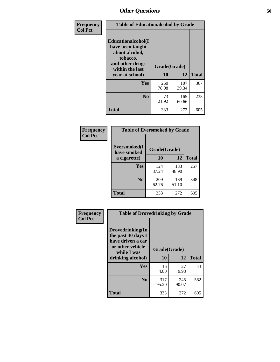| Frequency      | <b>Table of Educationalcohol by Grade</b>                                                                  |              |              |              |  |
|----------------|------------------------------------------------------------------------------------------------------------|--------------|--------------|--------------|--|
| <b>Col Pct</b> | Educationalcohol(I<br>have been taught<br>about alcohol,<br>tobacco,<br>and other drugs<br>within the last | Grade(Grade) |              |              |  |
|                | year at school)                                                                                            | 10           | 12           | <b>Total</b> |  |
|                | Yes                                                                                                        | 260<br>78.08 | 107<br>39.34 | 367          |  |
|                | N <sub>0</sub>                                                                                             | 73<br>21.92  | 165<br>60.66 | 238          |  |
|                | <b>Total</b>                                                                                               | 333          | 272          | 605          |  |

| Frequency      | <b>Table of Eversmoked by Grade</b> |              |              |              |  |  |
|----------------|-------------------------------------|--------------|--------------|--------------|--|--|
| <b>Col Pct</b> | Eversmoked(I<br>have smoked         | Grade(Grade) |              |              |  |  |
|                | a cigarette)                        | 10           | 12           | <b>Total</b> |  |  |
|                | <b>Yes</b>                          | 124<br>37.24 | 133<br>48.90 | 257          |  |  |
|                | N <sub>0</sub>                      | 209<br>62.76 | 139<br>51.10 | 348          |  |  |
|                | <b>Total</b>                        | 333          | 272          | 605          |  |  |

| Frequency      | <b>Table of Drovedrinking by Grade</b>                                                         |              |       |              |  |
|----------------|------------------------------------------------------------------------------------------------|--------------|-------|--------------|--|
| <b>Col Pct</b> | Drovedrinking(In<br>the past 30 days I<br>have driven a car<br>or other vehicle<br>while I was | Grade(Grade) |       |              |  |
|                | drinking alcohol)                                                                              | 10           | 12    | <b>Total</b> |  |
|                | <b>Yes</b>                                                                                     | 16           | 27    | 43           |  |
|                |                                                                                                | 4.80         | 9.93  |              |  |
|                | N <sub>0</sub>                                                                                 | 317          | 245   | 562          |  |
|                |                                                                                                | 95.20        | 90.07 |              |  |
|                | <b>Total</b>                                                                                   | 333          | 272   | 605          |  |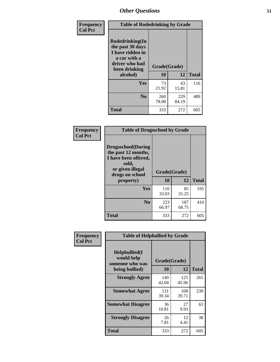| Frequency<br><b>Col Pct</b> | <b>Table of Rodedrinking by Grade</b>                                                                      |              |              |              |
|-----------------------------|------------------------------------------------------------------------------------------------------------|--------------|--------------|--------------|
|                             | Rodedrinking(In<br>the past 30 days<br>I have ridden in<br>a car with a<br>driver who had<br>been drinking | Grade(Grade) |              |              |
|                             | alcohol)                                                                                                   | 10           | 12           | <b>Total</b> |
|                             | <b>Yes</b>                                                                                                 | 73<br>21.92  | 43<br>15.81  | 116          |
|                             | N <sub>0</sub>                                                                                             | 260<br>78.08 | 229<br>84.19 | 489          |
|                             | <b>Total</b>                                                                                               | 333          | 272          | 605          |

#### **Frequency Col Pct**

| <b>Table of Drugsschool by Grade</b>                                                                                      |              |              |              |  |  |  |
|---------------------------------------------------------------------------------------------------------------------------|--------------|--------------|--------------|--|--|--|
| <b>Drugsschool</b> (During<br>the past 12 months,<br>I have been offered,<br>sold,<br>or given illegal<br>drugs on school | Grade(Grade) |              |              |  |  |  |
| property)                                                                                                                 | 10           | 12           | <b>Total</b> |  |  |  |
| Yes                                                                                                                       | 110<br>33.03 | 85<br>31.25  | 195          |  |  |  |
| $\bf No$                                                                                                                  | 223<br>66.97 | 187<br>68.75 | 410          |  |  |  |
| Total                                                                                                                     | 333          | 272          | 605          |  |  |  |

| Frequency      | <b>Table of Helpbullied by Grade</b>                                                                |              |              |              |  |  |
|----------------|-----------------------------------------------------------------------------------------------------|--------------|--------------|--------------|--|--|
| <b>Col Pct</b> | $Helpb$ ullied $(I$<br>would help<br>Grade(Grade)<br>someone who was<br><b>10</b><br>being bullied) |              | 12           | <b>Total</b> |  |  |
|                | <b>Strongly Agree</b>                                                                               | 140<br>42.04 | 125<br>45.96 | 265          |  |  |
|                | <b>Somewhat Agree</b>                                                                               | 131<br>39.34 | 108<br>39.71 | 239          |  |  |
|                | <b>Somewhat Disagree</b>                                                                            | 36<br>10.81  | 27<br>9.93   | 63           |  |  |
|                | <b>Strongly Disagree</b>                                                                            | 26<br>7.81   | 12<br>4.41   | 38           |  |  |
|                | Total                                                                                               | 333          | 272          | 605          |  |  |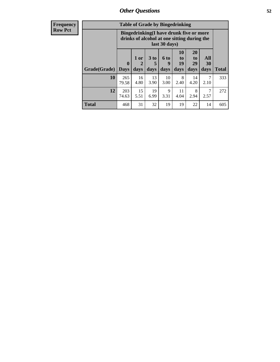| <b>Frequency</b> | <b>Table of Grade by Bingedrinking</b> |                                                                                                         |              |                         |                          |                               |                        |                   |
|------------------|----------------------------------------|---------------------------------------------------------------------------------------------------------|--------------|-------------------------|--------------------------|-------------------------------|------------------------|-------------------|
| <b>Row Pct</b>   |                                        | Bingedrinking(I have drunk five or more<br>drinks of alcohol at one sitting during the<br>last 30 days) |              |                         |                          |                               |                        |                   |
|                  | <b>Grade</b> (Grade)                   | $\bf{0}$<br><b>Days</b>                                                                                 | 1 or<br>days | 3 <sub>to</sub><br>days | <b>6 to</b><br>9<br>days | <b>10</b><br>to<br>19<br>days | 20<br>to<br>29<br>days | All<br>30<br>days |
|                  | 10                                     | 265<br>79.58                                                                                            | 16<br>4.80   | 13<br>3.90              | 10<br>3.00               | 8<br>2.40                     | 14<br>4.20             | 7<br>2.10         |
|                  | 12                                     | 203                                                                                                     | 15           | 19                      | 9                        | 11                            | 8                      | 7                 |

74.63

5.51

6.99

**Total** 468 31 32 19 19 22 14 605

3.31

4.04

2.94

2.57

**Total**

333

272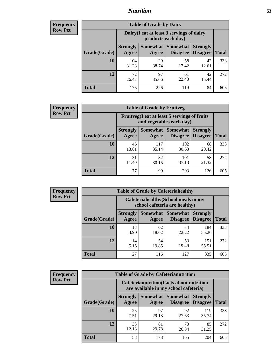## *Nutrition* **53**

| Frequency |
|-----------|
| Row Pct   |

| <b>Table of Grade by Dairy</b> |                          |                                                                 |                                    |                                    |              |  |  |
|--------------------------------|--------------------------|-----------------------------------------------------------------|------------------------------------|------------------------------------|--------------|--|--|
|                                |                          | Dairy (I eat at least 3 servings of dairy<br>products each day) |                                    |                                    |              |  |  |
| Grade(Grade)                   | <b>Strongly</b><br>Agree | Somewhat<br>Agree                                               | <b>Somewhat</b><br><b>Disagree</b> | <b>Strongly</b><br><b>Disagree</b> | <b>Total</b> |  |  |
| 10                             | 104<br>31.23             | 129<br>38.74                                                    | 58<br>17.42                        | 42<br>12.61                        | 333          |  |  |
| 12                             | 72<br>26.47              | 97<br>35.66                                                     | 61<br>22.43                        | 42<br>15.44                        | 272          |  |  |
| <b>Total</b>                   | 176                      | 226                                                             | 119                                | 84                                 | 605          |  |  |

| <b>Frequency</b> |  |
|------------------|--|
| <b>Row Pct</b>   |  |

| <b>Table of Grade by Fruitveg</b> |                          |                                                                          |                                 |                                    |              |  |  |
|-----------------------------------|--------------------------|--------------------------------------------------------------------------|---------------------------------|------------------------------------|--------------|--|--|
|                                   |                          | Fruitveg(I eat at least 5 servings of fruits<br>and vegetables each day) |                                 |                                    |              |  |  |
| Grade(Grade)                      | <b>Strongly</b><br>Agree | Agree                                                                    | Somewhat   Somewhat<br>Disagree | <b>Strongly</b><br><b>Disagree</b> | <b>Total</b> |  |  |
| 10                                | 46<br>13.81              | 117<br>35.14                                                             | 102<br>30.63                    | 68<br>20.42                        | 333          |  |  |
| 12                                | 31<br>11.40              | 82<br>30.15                                                              | 101<br>37.13                    | 58<br>21.32                        | 272          |  |  |
| <b>Total</b>                      | 77                       | 199                                                                      | 203                             | 126                                | 605          |  |  |

| <b>Frequency</b> | <b>Table of Grade by Cafeteriahealthy</b> |                                                                       |             |                                          |                                    |              |  |  |  |
|------------------|-------------------------------------------|-----------------------------------------------------------------------|-------------|------------------------------------------|------------------------------------|--------------|--|--|--|
| <b>Row Pct</b>   |                                           | Cafeteriahealthy (School meals in my<br>school cafeteria are healthy) |             |                                          |                                    |              |  |  |  |
|                  | Grade(Grade)                              | <b>Strongly</b><br>Agree                                              | Agree       | Somewhat   Somewhat  <br><b>Disagree</b> | <b>Strongly</b><br><b>Disagree</b> | <b>Total</b> |  |  |  |
|                  | 10                                        | 13<br>3.90                                                            | 62<br>18.62 | 74<br>22.22                              | 184<br>55.26                       | 333          |  |  |  |
|                  | 12                                        | 14<br>5.15                                                            | 54<br>19.85 | 53<br>19.49                              | 151<br>55.51                       | 272          |  |  |  |
|                  | Total                                     | 27                                                                    | 116         | 127                                      | 335                                | 605          |  |  |  |

| <b>Frequency</b> |
|------------------|
| <b>Row Pct</b>   |

| <b>Table of Grade by Cafeterianutrition</b> |                          |                                                                                           |                                        |                                    |              |  |  |
|---------------------------------------------|--------------------------|-------------------------------------------------------------------------------------------|----------------------------------------|------------------------------------|--------------|--|--|
|                                             |                          | <b>Cafeterianutrition</b> (Facts about nutrition<br>are available in my school cafeteria) |                                        |                                    |              |  |  |
| Grade(Grade)                                | <b>Strongly</b><br>Agree | Agree                                                                                     | Somewhat   Somewhat<br><b>Disagree</b> | <b>Strongly</b><br><b>Disagree</b> | <b>Total</b> |  |  |
| 10                                          | 25<br>7.51               | 97<br>29.13                                                                               | 92<br>27.63                            | 119<br>35.74                       | 333          |  |  |
| 12                                          | 33<br>12.13              | 81<br>29.78                                                                               | 73<br>26.84                            | 85<br>31.25                        | 272          |  |  |
| <b>Total</b>                                | 58                       | 178                                                                                       | 165                                    | 204                                | 605          |  |  |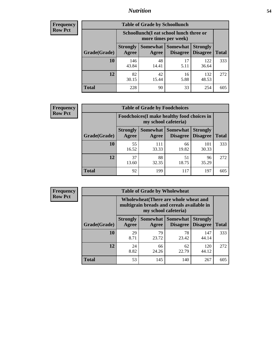# *Nutrition* **54**

| <b>Frequency</b> |
|------------------|
| <b>Row Pct</b>   |

| <b>Table of Grade by Schoollunch</b> |                                                                                                                                      |                                                                 |            |              |     |  |  |
|--------------------------------------|--------------------------------------------------------------------------------------------------------------------------------------|-----------------------------------------------------------------|------------|--------------|-----|--|--|
|                                      |                                                                                                                                      | Schoollunch(I eat school lunch three or<br>more times per week) |            |              |     |  |  |
| Grade(Grade)                         | Somewhat  <br><b>Somewhat</b><br><b>Strongly</b><br><b>Strongly</b><br><b>Disagree</b><br>Disagree<br><b>Total</b><br>Agree<br>Agree |                                                                 |            |              |     |  |  |
| 10                                   | 146<br>43.84                                                                                                                         | 48<br>14.41                                                     | 17<br>5.11 | 122<br>36.64 | 333 |  |  |
| 12                                   | 82<br>30.15                                                                                                                          | 42<br>15.44                                                     | 16<br>5.88 | 132<br>48.53 | 272 |  |  |
| <b>Total</b>                         | 228                                                                                                                                  | 90                                                              | 33         | 254          | 605 |  |  |

| <b>Frequency</b> |  |
|------------------|--|
| <b>Row Pct</b>   |  |

| <b>Table of Grade by Foodchoices</b>                                |                          |              |                     |                                        |              |  |
|---------------------------------------------------------------------|--------------------------|--------------|---------------------|----------------------------------------|--------------|--|
| Foodchoices (I make healthy food choices in<br>my school cafeteria) |                          |              |                     |                                        |              |  |
| Grade(Grade)                                                        | <b>Strongly</b><br>Agree | Agree        | Somewhat   Somewhat | <b>Strongly</b><br>Disagree   Disagree | <b>Total</b> |  |
| 10                                                                  | 55<br>16.52              | 111<br>33.33 | 66<br>19.82         | 101<br>30.33                           | 333          |  |
| 12                                                                  | 37<br>13.60              | 88<br>32.35  | 51<br>18.75         | 96<br>35.29                            | 272          |  |
| <b>Total</b>                                                        | 92                       | 199          | 117                 | 197                                    | 605          |  |

| Frequency      | <b>Table of Grade by Wholewheat</b> |                                                                                                             |             |                                          |                                    |              |  |  |
|----------------|-------------------------------------|-------------------------------------------------------------------------------------------------------------|-------------|------------------------------------------|------------------------------------|--------------|--|--|
| <b>Row Pct</b> |                                     | Wholewheat (There are whole wheat and<br>multigrain breads and cereals available in<br>my school cafeteria) |             |                                          |                                    |              |  |  |
|                | Grade(Grade)                        | <b>Strongly</b><br>Agree                                                                                    | Agree       | Somewhat   Somewhat  <br><b>Disagree</b> | <b>Strongly</b><br><b>Disagree</b> | <b>Total</b> |  |  |
|                | 10                                  | 29<br>8.71                                                                                                  | 79<br>23.72 | 78<br>23.42                              | 147<br>44.14                       | 333          |  |  |
|                | 12                                  | 24<br>8.82                                                                                                  | 66<br>24.26 | 62<br>22.79                              | 120<br>44.12                       | 272          |  |  |
|                | <b>Total</b>                        | 53                                                                                                          | 145         | 140                                      | 267                                | 605          |  |  |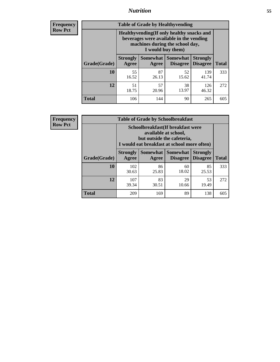## *Nutrition* **55**

**Frequency Row Pct**

| <b>Table of Grade by Healthyvending</b> |                                                                                                                                               |                          |                                    |                                    |              |  |  |  |
|-----------------------------------------|-----------------------------------------------------------------------------------------------------------------------------------------------|--------------------------|------------------------------------|------------------------------------|--------------|--|--|--|
|                                         | Healthyvending (If only healthy snacks and<br>beverages were available in the vending<br>machines during the school day,<br>I would buy them) |                          |                                    |                                    |              |  |  |  |
| Grade(Grade)                            | <b>Strongly</b><br>Agree                                                                                                                      | <b>Somewhat</b><br>Agree | <b>Somewhat</b><br><b>Disagree</b> | <b>Strongly</b><br><b>Disagree</b> | <b>Total</b> |  |  |  |
| 10                                      | 55<br>16.52                                                                                                                                   | 87<br>26.13              | 52<br>15.62                        | 139<br>41.74                       | 333          |  |  |  |
| 12                                      | 51<br>18.75                                                                                                                                   | 57<br>20.96              | 38<br>13.97                        | 126<br>46.32                       | 272          |  |  |  |
| <b>Total</b>                            | 106                                                                                                                                           | 144                      | 90                                 | 265                                | 605          |  |  |  |

**Frequency Row Pct**

| <b>Table of Grade by Schoolbreakfast</b> |                                                                                                                                        |             |                                        |                                    |              |  |  |  |
|------------------------------------------|----------------------------------------------------------------------------------------------------------------------------------------|-------------|----------------------------------------|------------------------------------|--------------|--|--|--|
|                                          | Schoolbreakfast(If breakfast were<br>available at school,<br>but outside the cafeteria,<br>I would eat breakfast at school more often) |             |                                        |                                    |              |  |  |  |
| Grade(Grade)                             | <b>Strongly</b><br>Agree                                                                                                               | Agree       | Somewhat   Somewhat<br><b>Disagree</b> | <b>Strongly</b><br><b>Disagree</b> | <b>Total</b> |  |  |  |
| 10                                       | 102<br>30.63                                                                                                                           | 86<br>25.83 | 60<br>18.02                            | 85<br>25.53                        | 333          |  |  |  |
| 12                                       | 107<br>39.34                                                                                                                           | 83<br>30.51 | 29<br>10.66                            | 53<br>19.49                        | 272          |  |  |  |
| <b>Total</b>                             | 209                                                                                                                                    | 169         | 89                                     | 138                                | 605          |  |  |  |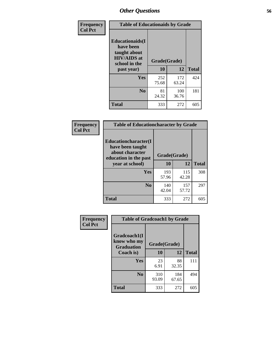| Frequency<br><b>Col Pct</b> | <b>Table of Educationaids by Grade</b>                                                                    |                    |              |     |  |  |  |
|-----------------------------|-----------------------------------------------------------------------------------------------------------|--------------------|--------------|-----|--|--|--|
|                             | <b>Educationaids</b> (I<br>have been<br>taught about<br><b>HIV/AIDS</b> at<br>school in the<br>past year) | Grade(Grade)<br>10 | <b>Total</b> |     |  |  |  |
|                             | Yes                                                                                                       | 252<br>75.68       | 172<br>63.24 | 424 |  |  |  |
|                             | N <sub>0</sub>                                                                                            | 81<br>24.32        | 100<br>36.76 | 181 |  |  |  |
|                             | <b>Total</b>                                                                                              | 333                | 272          | 605 |  |  |  |

| <b>Frequency</b> | <b>Table of Educationcharacter by Grade</b>                                          |              |              |              |
|------------------|--------------------------------------------------------------------------------------|--------------|--------------|--------------|
| <b>Col Pct</b>   | Educationcharacter(I<br>have been taught<br>about character<br>education in the past | Grade(Grade) |              |              |
|                  | year at school)                                                                      | 10           | 12           | <b>Total</b> |
|                  | <b>Yes</b>                                                                           | 193<br>57.96 | 115<br>42.28 | 308          |
|                  | N <sub>0</sub>                                                                       | 140<br>42.04 | 157<br>57.72 | 297          |
|                  | <b>Total</b>                                                                         | 333          | 272          | 605          |

| Frequency      | <b>Table of Gradcoach1 by Grade</b>              |              |              |              |
|----------------|--------------------------------------------------|--------------|--------------|--------------|
| <b>Col Pct</b> | Gradcoach1(I<br>know who my<br><b>Graduation</b> | Grade(Grade) |              |              |
|                | Coach is)                                        | 10           | 12           | <b>Total</b> |
|                | Yes                                              | 23<br>6.91   | 88<br>32.35  | 111          |
|                | N <sub>0</sub>                                   | 310<br>93.09 | 184<br>67.65 | 494          |
|                | <b>Total</b>                                     | 333          | 272          | 605          |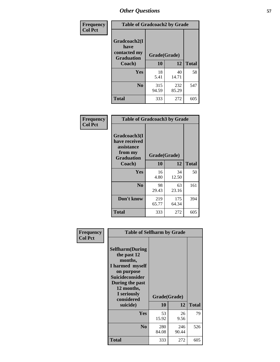| Frequency      | <b>Table of Gradcoach2 by Grade</b> |              |              |              |
|----------------|-------------------------------------|--------------|--------------|--------------|
| <b>Col Pct</b> | Gradcoach2(I<br>have                |              |              |              |
|                | contacted my<br><b>Graduation</b>   | Grade(Grade) |              |              |
|                | Coach)                              | 10           | 12           | <b>Total</b> |
|                | Yes                                 | 18<br>5.41   | 40<br>14.71  | 58           |
|                | N <sub>0</sub>                      | 315<br>94.59 | 232<br>85.29 | 547          |
|                | <b>Total</b>                        | 333          | 272          | 605          |

| <b>Frequency</b><br><b>Col Pct</b> | <b>Table of Gradcoach3 by Grade</b>                                         |              |              |              |
|------------------------------------|-----------------------------------------------------------------------------|--------------|--------------|--------------|
|                                    | Gradcoach3(I<br>have received<br>assistance<br>from my<br><b>Graduation</b> | Grade(Grade) |              |              |
|                                    | Coach)                                                                      | 10           | 12           | <b>Total</b> |
|                                    | Yes                                                                         | 16<br>4.80   | 34<br>12.50  | 50           |
|                                    | N <sub>0</sub>                                                              | 98<br>29.43  | 63<br>23.16  | 161          |
|                                    | Don't know                                                                  | 219<br>65.77 | 175<br>64.34 | 394          |
|                                    | <b>Total</b>                                                                | 333          | 272          | 605          |

| Frequency      | <b>Table of Selfharm by Grade</b>                                                                                                                                                      |                    |              |              |
|----------------|----------------------------------------------------------------------------------------------------------------------------------------------------------------------------------------|--------------------|--------------|--------------|
| <b>Col Pct</b> | <b>Selfharm</b> (During<br>the past 12<br>months,<br>I harmed myself<br>on purpose<br><b>Suicideconsider</b><br>During the past<br>12 months,<br>I seriously<br>considered<br>suicide) | Grade(Grade)<br>10 | 12           | <b>Total</b> |
|                | Yes                                                                                                                                                                                    | 53<br>15.92        | 26<br>9.56   | 79           |
|                | N <sub>0</sub>                                                                                                                                                                         | 280<br>84.08       | 246<br>90.44 | 526          |
|                | <b>Total</b>                                                                                                                                                                           | 333                | 272          | 605          |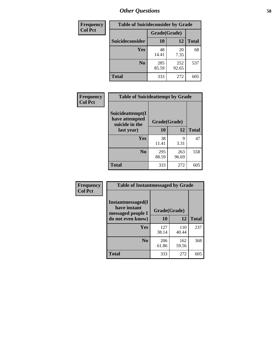| <b>Frequency</b> | <b>Table of Suicideconsider by Grade</b> |              |              |              |  |
|------------------|------------------------------------------|--------------|--------------|--------------|--|
| <b>Col Pct</b>   |                                          | Grade(Grade) |              |              |  |
|                  | Suicideconsider                          | <b>10</b>    | 12           | <b>Total</b> |  |
|                  | Yes                                      | 48<br>14.41  | 20<br>7.35   | 68           |  |
|                  | N <sub>0</sub>                           | 285<br>85.59 | 252<br>92.65 | 537          |  |
|                  | Total                                    | 333          | 272          | 605          |  |

| Frequency      | <b>Table of Suicideattempt by Grade</b>              |              |              |              |
|----------------|------------------------------------------------------|--------------|--------------|--------------|
| <b>Col Pct</b> | Suicideattempt(I<br>have attempted<br>suicide in the | Grade(Grade) |              |              |
|                | last year)                                           | 10           | 12           | <b>Total</b> |
|                | Yes                                                  | 38<br>11.41  | 9<br>3.31    | 47           |
|                | N <sub>0</sub>                                       | 295<br>88.59 | 263<br>96.69 | 558          |
|                | <b>Total</b>                                         | 333          | 272          | 605          |

| Frequency      | <b>Table of Instantmessaged by Grade</b>                |              |              |              |  |  |
|----------------|---------------------------------------------------------|--------------|--------------|--------------|--|--|
| <b>Col Pct</b> | Instantmessaged(I)<br>have instant<br>messaged people I | Grade(Grade) |              |              |  |  |
|                | do not even know)                                       | 10           | 12           | <b>Total</b> |  |  |
|                | Yes                                                     | 127<br>38.14 | 110<br>40.44 | 237          |  |  |
|                | N <sub>0</sub>                                          | 206<br>61.86 | 162<br>59.56 | 368          |  |  |
|                | <b>Total</b>                                            | 333          | 272          | 605          |  |  |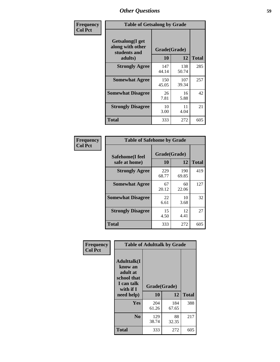| Frequency      | <b>Table of Getsalong by Grade</b>                  |              |              |              |  |
|----------------|-----------------------------------------------------|--------------|--------------|--------------|--|
| <b>Col Pct</b> | Getsalong(I get<br>along with other<br>students and | Grade(Grade) |              |              |  |
|                | adults)                                             | 10           | 12           | <b>Total</b> |  |
|                | <b>Strongly Agree</b>                               | 147<br>44.14 | 138<br>50.74 | 285          |  |
|                | <b>Somewhat Agree</b>                               | 150<br>45.05 | 107<br>39.34 | 257          |  |
|                | <b>Somewhat Disagree</b>                            | 26<br>7.81   | 16<br>5.88   | 42           |  |
|                | <b>Strongly Disagree</b>                            | 10<br>3.00   | 11<br>4.04   | 21           |  |
|                | Total                                               | 333          | 272          | 605          |  |

| Frequency      | <b>Table of Safehome by Grade</b> |                    |              |              |  |
|----------------|-----------------------------------|--------------------|--------------|--------------|--|
| <b>Col Pct</b> | Safehome(I feel<br>safe at home)  | Grade(Grade)<br>10 | 12           | <b>Total</b> |  |
|                | <b>Strongly Agree</b>             | 229<br>68.77       | 190<br>69.85 | 419          |  |
|                | <b>Somewhat Agree</b>             | 67<br>20.12        | 60<br>22.06  | 127          |  |
|                | <b>Somewhat Disagree</b>          | 22<br>6.61         | 10<br>3.68   | 32           |  |
|                | <b>Strongly Disagree</b>          | 15<br>4.50         | 12<br>4.41   | 27           |  |
|                | <b>Total</b>                      | 333                | 272          | 605          |  |

| Frequency      | <b>Table of Adulttalk by Grade</b>                                                   |              |              |              |  |
|----------------|--------------------------------------------------------------------------------------|--------------|--------------|--------------|--|
| <b>Col Pct</b> | <b>Adulttalk</b> (I<br>know an<br>adult at<br>school that<br>I can talk<br>with if I | Grade(Grade) |              |              |  |
|                | need help)                                                                           | 10           | 12           | <b>Total</b> |  |
|                | <b>Yes</b>                                                                           | 204<br>61.26 | 184<br>67.65 | 388          |  |
|                | N <sub>0</sub>                                                                       | 129<br>38.74 | 88<br>32.35  | 217          |  |
|                | <b>Total</b>                                                                         | 333          | 272          | 605          |  |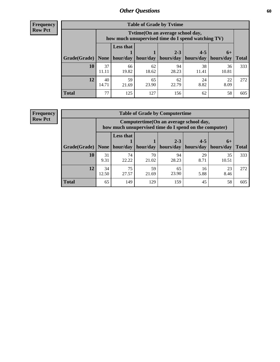**Frequency Row Pct**

| <b>Table of Grade by Tvtime</b> |             |                                                                                         |             |                       |             |             |              |
|---------------------------------|-------------|-----------------------------------------------------------------------------------------|-------------|-----------------------|-------------|-------------|--------------|
|                                 |             | Tytime (On an average school day,<br>how much unsupervised time do I spend watching TV) |             |                       |             |             |              |
|                                 |             | <b>Less that</b><br>$2 - 3$<br>$4 - 5$<br>$6+$                                          |             |                       |             |             |              |
| Grade(Grade)                    | None        | hour/day                                                                                | hour/day    | hours/day   hours/day |             | hours/day   | <b>Total</b> |
| 10                              | 37<br>11.11 | 66<br>19.82                                                                             | 62<br>18.62 | 94<br>28.23           | 38<br>11.41 | 36<br>10.81 | 333          |
| 12                              | 40<br>14.71 | 59<br>21.69                                                                             | 65<br>23.90 | 62<br>22.79           | 24<br>8.82  | 22<br>8.09  | 272          |
| <b>Total</b>                    | 77          | 125                                                                                     | 127         | 156                   | 62          | 58          | 605          |

**Frequency Row Pct**

| <b>Table of Grade by Computertime</b> |             |                                                                                                                               |             |             |            |             |     |  |  |
|---------------------------------------|-------------|-------------------------------------------------------------------------------------------------------------------------------|-------------|-------------|------------|-------------|-----|--|--|
|                                       |             | Computertime (On an average school day,<br>how much unsupervised time do I spend on the computer)                             |             |             |            |             |     |  |  |
| Grade(Grade)                          | None        | <b>Less that</b><br>$4 - 5$<br>$2 - 3$<br>$6+$<br>hours/day<br>hours/day<br>hour/day<br>hour/day<br>hours/day<br><b>Total</b> |             |             |            |             |     |  |  |
| 10                                    | 31<br>9.31  | 74<br>22.22                                                                                                                   | 70<br>21.02 | 94<br>28.23 | 29<br>8.71 | 35<br>10.51 | 333 |  |  |
| 12                                    | 34<br>12.50 | 75<br>59<br>23<br>65<br>16<br>23.90<br>27.57<br>5.88<br>8.46<br>21.69                                                         |             |             |            |             |     |  |  |
| <b>Total</b>                          | 65          | 149                                                                                                                           | 129         | 159         | 45         | 58          | 605 |  |  |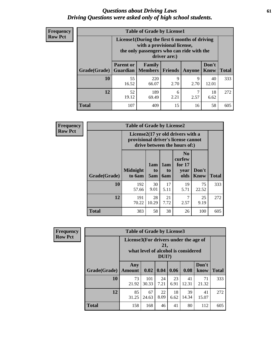#### *Questions about Driving Laws* **61** *Driving Questions were asked only of high school students.*

| <b>Frequency</b> |
|------------------|
| <b>Row Pct</b>   |

| <b>Table of Grade by License1</b> |                                                                                                                                           |                          |                |               |                      |              |  |  |  |  |
|-----------------------------------|-------------------------------------------------------------------------------------------------------------------------------------------|--------------------------|----------------|---------------|----------------------|--------------|--|--|--|--|
|                                   | License1(During the first 6 months of driving<br>with a provisional license,<br>the only passengers who can ride with the<br>driver are:) |                          |                |               |                      |              |  |  |  |  |
| Grade(Grade)                      | <b>Parent or</b><br><b>Guardian</b>                                                                                                       | Family<br><b>Members</b> | <b>Friends</b> | <b>Anyone</b> | Don't<br><b>Know</b> | <b>Total</b> |  |  |  |  |
| 10                                | 55<br>16.52                                                                                                                               | 220<br>66.07             | 9<br>2.70      | 9<br>2.70     | 40<br>12.01          | 333          |  |  |  |  |
| 12                                | 52<br>19.12                                                                                                                               | 189<br>69.49             | 6<br>2.21      | 7<br>2.57     | 18<br>6.62           | 272          |  |  |  |  |
| <b>Total</b>                      | 107                                                                                                                                       | 409                      | 15             | 16            | 58                   | 605          |  |  |  |  |

| <b>Frequency</b> | <b>Table of Grade by License2</b>                                                                        |                           |                  |                  |                                                      |                      |              |  |  |
|------------------|----------------------------------------------------------------------------------------------------------|---------------------------|------------------|------------------|------------------------------------------------------|----------------------|--------------|--|--|
| <b>Row Pct</b>   | License2(17 yr old drivers with a<br>provisional driver's license cannot<br>drive between the hours of:) |                           |                  |                  |                                                      |                      |              |  |  |
|                  | Grade(Grade)                                                                                             | <b>Midnight</b><br>to 6am | 1am<br>to<br>5am | 1am<br>to<br>6am | N <sub>0</sub><br>curfew<br>for $17$<br>year<br>olds | Don't<br><b>Know</b> | <b>Total</b> |  |  |
|                  | 10                                                                                                       | 192<br>57.66              | 30<br>9.01       | 17<br>5.11       | 19<br>5.71                                           | 75<br>22.52          | 333          |  |  |
|                  | 12                                                                                                       | 191<br>70.22              | 28<br>10.29      | 21<br>7.72       | 7<br>2.57                                            | 25<br>9.19           | 272          |  |  |
|                  | <b>Total</b>                                                                                             | 383                       | 58               | 38               | 26                                                   | 100                  | 605          |  |  |

| Frequency      |                                                                                                 | <b>Table of Grade by License3</b> |              |            |            |             |               |              |
|----------------|-------------------------------------------------------------------------------------------------|-----------------------------------|--------------|------------|------------|-------------|---------------|--------------|
| <b>Row Pct</b> | License3(For drivers under the age of<br>21,<br>what level of alcohol is considered<br>$DUI$ ?) |                                   |              |            |            |             |               |              |
|                | Grade(Grade)                                                                                    | Any<br><b>Amount</b>              | 0.02         | 0.04       | 0.06       | 0.08        | Don't<br>know | <b>Total</b> |
|                | 10                                                                                              | 73<br>21.92                       | 101<br>30.33 | 24<br>7.21 | 23<br>6.91 | 41<br>12.31 | 71<br>21.32   | 333          |
|                | 12                                                                                              | 85<br>31.25                       | 67<br>24.63  | 22<br>8.09 | 18<br>6.62 | 39<br>14.34 | 41<br>15.07   | 272          |
|                | <b>Total</b>                                                                                    | 158                               | 168          | 46         | 41         | 80          | 112           | 605          |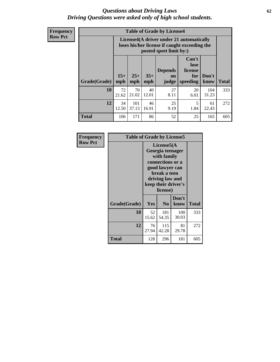#### *Questions about Driving Laws* **62** *Driving Questions were asked only of high school students.*

**Frequency Row Pct**

| <b>Table of Grade by License4</b> |              |                                                                                                                                                      |             |            |            |              |     |  |  |
|-----------------------------------|--------------|------------------------------------------------------------------------------------------------------------------------------------------------------|-------------|------------|------------|--------------|-----|--|--|
|                                   |              | License4(A driver under 21 automatically<br>loses his/her license if caught exceeding the<br>posted speet limit by:)                                 |             |            |            |              |     |  |  |
| Grade(Grade)                      | $15+$<br>mph | Can't<br>lose<br>license<br><b>Depends</b><br>$25+$<br>$35+$<br>Don't<br>for<br><b>on</b><br><b>Total</b><br>speeding<br>mph<br>know<br>mph<br>judge |             |            |            |              |     |  |  |
| 10                                | 72<br>21.62  | 70<br>21.02                                                                                                                                          | 40<br>12.01 | 27<br>8.11 | 20<br>6.01 | 104<br>31.23 | 333 |  |  |
| 12                                | 34<br>12.50  | 101<br>37.13                                                                                                                                         | 46<br>16.91 | 25<br>9.19 | 5<br>1.84  | 61<br>22.43  | 272 |  |  |
| <b>Total</b>                      | 106          | 171                                                                                                                                                  | 86          | 52         | 25         | 165          | 605 |  |  |

| Frequency      | <b>Table of Grade by License5</b> |                                                                                                                                                             |                |               |       |
|----------------|-----------------------------------|-------------------------------------------------------------------------------------------------------------------------------------------------------------|----------------|---------------|-------|
| <b>Row Pct</b> |                                   | License5(A)<br>Georgia teenager<br>with family<br>connections or a<br>good lawyer can<br>break a teen<br>driving law and<br>keep their driver's<br>license) |                |               |       |
|                | Grade(Grade)                      | <b>Yes</b>                                                                                                                                                  | N <sub>0</sub> | Don't<br>know | Total |
|                | 10                                | 52<br>15.62                                                                                                                                                 | 181<br>54.35   | 100<br>30.03  | 333   |
|                | 12                                | 76<br>27.94                                                                                                                                                 | 115<br>42.28   | 81<br>29.78   | 272   |
|                | Total                             | 128                                                                                                                                                         | 296            | 181           | 605   |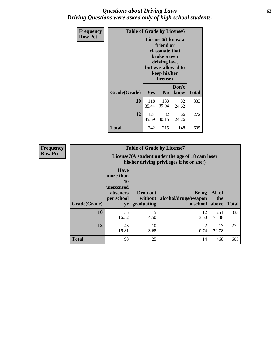#### *Questions about Driving Laws* **63** *Driving Questions were asked only of high school students.*

| <b>Frequency</b> | <b>Table of Grade by License6</b> |                                                                                                                                                 |                |               |              |  |  |
|------------------|-----------------------------------|-------------------------------------------------------------------------------------------------------------------------------------------------|----------------|---------------|--------------|--|--|
| <b>Row Pct</b>   |                                   | License <sub>6</sub> (I know a<br>friend or<br>classmate that<br>broke a teen<br>driving law,<br>but was allowed to<br>keep his/her<br>license) |                |               |              |  |  |
|                  | Grade(Grade)                      | <b>Yes</b>                                                                                                                                      | N <sub>0</sub> | Don't<br>know | <b>Total</b> |  |  |
|                  | 10                                | 118<br>35.44                                                                                                                                    | 133<br>39.94   | 82<br>24.62   | 333          |  |  |
|                  | 12                                | 124<br>45.59                                                                                                                                    | 82<br>30.15    | 66<br>24.26   | 272          |  |  |
|                  | Total                             | 242                                                                                                                                             | 215            | 148           | 605          |  |  |

| <b>Frequency</b> |              |                                                                                               | <b>Table of Grade by License7</b>   |                                                   |                        |              |  |  |
|------------------|--------------|-----------------------------------------------------------------------------------------------|-------------------------------------|---------------------------------------------------|------------------------|--------------|--|--|
| <b>Row Pct</b>   |              | License7(A student under the age of 18 cam loser<br>his/her driving privileges if he or she:) |                                     |                                                   |                        |              |  |  |
|                  | Grade(Grade) | <b>Have</b><br>more than<br>10<br>unexcused<br>absences<br>per school<br>yr                   | Drop out<br>without  <br>graduating | <b>Bring</b><br>alcohol/drugs/weapon<br>to school | All of<br>the<br>above | <b>Total</b> |  |  |
|                  | 10           | 55<br>16.52                                                                                   | 15<br>4.50                          | 12<br>3.60                                        | 251<br>75.38           | 333          |  |  |
|                  | 12           | 43<br>15.81                                                                                   | 10<br>3.68                          | 2<br>0.74                                         | 217<br>79.78           | 272          |  |  |
|                  | <b>Total</b> | 98                                                                                            | 25                                  | 14                                                | 468                    | 605          |  |  |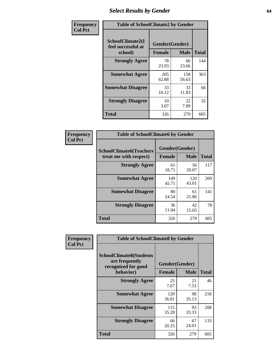# *Select Results by Gender* **64**

| Frequency      | <b>Table of SchoolClimate2 by Gender</b>          |                                 |              |              |  |  |  |
|----------------|---------------------------------------------------|---------------------------------|--------------|--------------|--|--|--|
| <b>Col Pct</b> | SchoolClimate2(I<br>feel successful at<br>school) | Gender(Gender)<br><b>Female</b> | <b>Male</b>  | <b>Total</b> |  |  |  |
|                | <b>Strongly Agree</b>                             | 78<br>23.93                     | 66<br>23.66  | 144          |  |  |  |
|                | <b>Somewhat Agree</b>                             | 205<br>62.88                    | 158<br>56.63 | 363          |  |  |  |
|                | <b>Somewhat Disagree</b>                          | 33<br>10.12                     | 33<br>11.83  | 66           |  |  |  |
|                | <b>Strongly Disagree</b>                          | 10<br>3.07                      | 22<br>7.89   | 32           |  |  |  |
|                | <b>Total</b>                                      | 326                             | 279          | 605          |  |  |  |

| Frequency      | <b>Table of SchoolClimate6 by Gender</b>                 |                                 |              |              |  |  |  |  |
|----------------|----------------------------------------------------------|---------------------------------|--------------|--------------|--|--|--|--|
| <b>Col Pct</b> | <b>SchoolClimate6(Teachers</b><br>treat me with respect) | Gender(Gender)<br><b>Female</b> | <b>Male</b>  | <b>Total</b> |  |  |  |  |
|                | <b>Strongly Agree</b>                                    | 61<br>18.71                     | 56<br>20.07  | 117          |  |  |  |  |
|                | <b>Somewhat Agree</b>                                    | 149<br>45.71                    | 120<br>43.01 | 269          |  |  |  |  |
|                | <b>Somewhat Disagree</b>                                 | 80<br>24.54                     | 61<br>21.86  | 141          |  |  |  |  |
|                | <b>Strongly Disagree</b>                                 | 36<br>11.04                     | 42<br>15.05  | 78           |  |  |  |  |
|                | <b>Total</b>                                             | 326                             | 279          | 605          |  |  |  |  |

| Frequency      | <b>Table of SchoolClimate8 by Gender</b>                                             |                                 |             |              |  |  |
|----------------|--------------------------------------------------------------------------------------|---------------------------------|-------------|--------------|--|--|
| <b>Col Pct</b> | <b>SchoolClimate8(Students</b><br>are frequently<br>recognized for good<br>behavior) | Gender(Gender)<br><b>Female</b> | <b>Male</b> | <b>Total</b> |  |  |
|                | <b>Strongly Agree</b>                                                                | 25<br>7.67                      | 21<br>7.53  | 46           |  |  |
|                | <b>Somewhat Agree</b>                                                                | 120<br>36.81                    | 98<br>35.13 | 218          |  |  |
|                | <b>Somewhat Disagree</b>                                                             | 115<br>35.28                    | 93<br>33.33 | 208          |  |  |
|                | <b>Strongly Disagree</b>                                                             | 66<br>20.25                     | 67<br>24.01 | 133          |  |  |
|                | Total                                                                                | 326                             | 279         | 605          |  |  |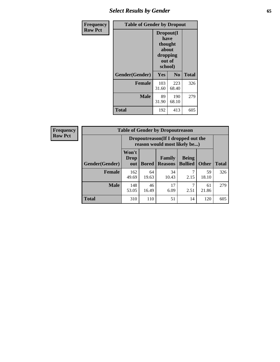# *Select Results by Gender* **65**

| Frequency      | <b>Table of Gender by Dropout</b> |                                                                        |                |              |
|----------------|-----------------------------------|------------------------------------------------------------------------|----------------|--------------|
| <b>Row Pct</b> |                                   | Dropout(I<br>have<br>thought<br>about<br>dropping<br>out of<br>school) |                |              |
|                | Gender(Gender)                    | Yes                                                                    | N <sub>0</sub> | <b>Total</b> |
|                | <b>Female</b>                     | 103<br>31.60                                                           | 223<br>68.40   | 326          |
|                | <b>Male</b>                       | 89<br>31.90                                                            | 190<br>68.10   | 279          |
|                | <b>Total</b>                      | 192                                                                    | 413            | 605          |

| <b>Frequency</b> |                       | <b>Table of Gender by Dropoutreason</b>                             |              |                          |                                |              |              |
|------------------|-----------------------|---------------------------------------------------------------------|--------------|--------------------------|--------------------------------|--------------|--------------|
| <b>Row Pct</b>   |                       | Dropoutreason (If I dropped out the<br>reason would most likely be) |              |                          |                                |              |              |
|                  | <b>Gender(Gender)</b> | Won't<br><b>Drop</b><br>out                                         | <b>Bored</b> | Family<br><b>Reasons</b> | <b>Being</b><br><b>Bullied</b> | <b>Other</b> | <b>Total</b> |
|                  | <b>Female</b>         | 162<br>49.69                                                        | 64<br>19.63  | 34<br>10.43              | 2.15                           | 59<br>18.10  | 326          |
|                  | <b>Male</b>           | 148<br>53.05                                                        | 46<br>16.49  | 17<br>6.09               | 2.51                           | 61<br>21.86  | 279          |
|                  | <b>Total</b>          | 310                                                                 | 110          | 51                       | 14                             | 120          | 605          |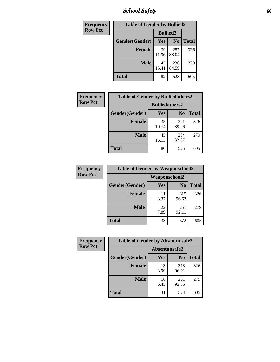*School Safety* **66**

| Frequency      | <b>Table of Gender by Bullied2</b> |                 |                |              |
|----------------|------------------------------------|-----------------|----------------|--------------|
| <b>Row Pct</b> |                                    | <b>Bullied2</b> |                |              |
|                | Gender(Gender)                     | Yes             | N <sub>0</sub> | <b>Total</b> |
|                | <b>Female</b>                      | 39<br>11.96     | 287<br>88.04   | 326          |
|                | <b>Male</b>                        | 43<br>15.41     | 236<br>84.59   | 279          |
|                | <b>Total</b>                       | 82              | 523            | 605          |

| <b>Frequency</b> | <b>Table of Gender by Bulliedothers2</b> |                       |                |              |  |
|------------------|------------------------------------------|-----------------------|----------------|--------------|--|
| <b>Row Pct</b>   |                                          | <b>Bulliedothers2</b> |                |              |  |
|                  | Gender(Gender)                           | Yes                   | N <sub>0</sub> | <b>Total</b> |  |
|                  | <b>Female</b>                            | 35<br>10.74           | 291<br>89.26   | 326          |  |
|                  | <b>Male</b>                              | 45<br>16.13           | 234<br>83.87   | 279          |  |
|                  | <b>Total</b>                             | 80                    | 525            | 605          |  |

| Frequency      | <b>Table of Gender by Weaponschool2</b> |                      |                |              |
|----------------|-----------------------------------------|----------------------|----------------|--------------|
| <b>Row Pct</b> |                                         | <b>Weaponschool2</b> |                |              |
|                | Gender(Gender)                          | Yes                  | N <sub>0</sub> | <b>Total</b> |
|                | <b>Female</b>                           | 11<br>3.37           | 315<br>96.63   | 326          |
|                | <b>Male</b>                             | 22<br>7.89           | 257<br>92.11   | 279          |
|                | <b>Total</b>                            | 33                   | 572            | 605          |

| Frequency      | <b>Table of Gender by Absentunsafe2</b> |               |                |              |  |
|----------------|-----------------------------------------|---------------|----------------|--------------|--|
| <b>Row Pct</b> |                                         | Absentunsafe2 |                |              |  |
|                | Gender(Gender)                          | Yes           | N <sub>0</sub> | <b>Total</b> |  |
|                | <b>Female</b>                           | 13<br>3.99    | 313<br>96.01   | 326          |  |
|                | <b>Male</b>                             | 18<br>6.45    | 261<br>93.55   | 279          |  |
|                | <b>Total</b>                            | 31            | 574            | 605          |  |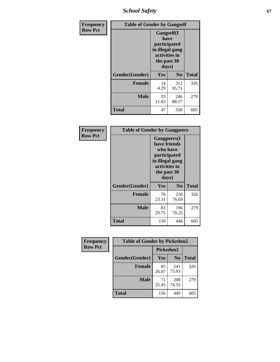*School Safety* **67**

| Frequency      | <b>Table of Gender by Gangself</b> |                                                                                                        |              |              |
|----------------|------------------------------------|--------------------------------------------------------------------------------------------------------|--------------|--------------|
| <b>Row Pct</b> |                                    | <b>Gangself</b> (I<br>have<br>participated<br>in illegal gang<br>activities in<br>the past 30<br>days) |              |              |
|                | Gender(Gender)                     | Yes                                                                                                    | No           | <b>Total</b> |
|                | <b>Female</b>                      | 14<br>4.29                                                                                             | 312<br>95.71 | 326          |
|                | <b>Male</b>                        | 33<br>11.83                                                                                            | 246<br>88.17 | 279          |
|                | <b>Total</b>                       | 47                                                                                                     | 558          | 605          |

| Frequency      | <b>Table of Gender by Gangpeers</b> |                                                                                                                             |                |              |
|----------------|-------------------------------------|-----------------------------------------------------------------------------------------------------------------------------|----------------|--------------|
| <b>Row Pct</b> |                                     | <b>Gangpeers</b> (I<br>have friends<br>who have<br>participated<br>in illegal gang<br>activities in<br>the past 30<br>days) |                |              |
|                | Gender(Gender)                      | Yes                                                                                                                         | N <sub>0</sub> | <b>Total</b> |
|                | <b>Female</b>                       | 76<br>23.31                                                                                                                 | 250<br>76.69   | 326          |
|                | <b>Male</b>                         | 83<br>29.75                                                                                                                 | 196<br>70.25   | 279          |
|                | <b>Total</b>                        | 159                                                                                                                         | 446            | 605          |

| Frequency      | <b>Table of Gender by Pickedon2</b> |             |                |              |
|----------------|-------------------------------------|-------------|----------------|--------------|
| <b>Row Pct</b> |                                     | Pickedon2   |                |              |
|                | Gender(Gender)                      | Yes         | N <sub>0</sub> | <b>Total</b> |
|                | <b>Female</b>                       | 85<br>26.07 | 241<br>73.93   | 326          |
|                | <b>Male</b>                         | 71<br>25.45 | 208<br>74.55   | 279          |
|                | <b>Total</b>                        | 156         | 449            | 605          |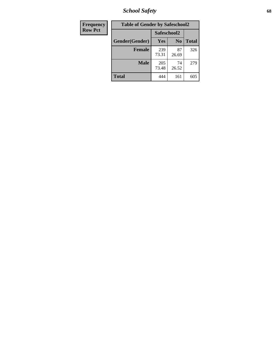*School Safety* **68**

| Frequency      | <b>Table of Gender by Safeschool2</b> |              |                |              |
|----------------|---------------------------------------|--------------|----------------|--------------|
| <b>Row Pct</b> |                                       | Safeschool2  |                |              |
|                | Gender(Gender)                        | <b>Yes</b>   | N <sub>0</sub> | <b>Total</b> |
|                | <b>Female</b>                         | 239<br>73.31 | 87<br>26.69    | 326          |
|                | <b>Male</b>                           | 205<br>73.48 | 74<br>26.52    | 279          |
|                | <b>Total</b>                          | 444          | 161            | 605          |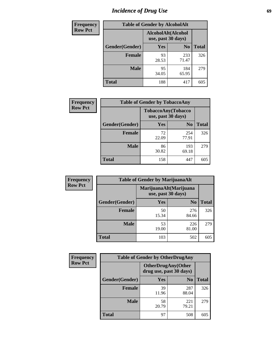# *Incidence of Drug Use* 69

| <b>Frequency</b> | <b>Table of Gender by AlcoholAlt</b> |                                          |                |              |  |
|------------------|--------------------------------------|------------------------------------------|----------------|--------------|--|
| <b>Row Pct</b>   |                                      | AlcoholAlt(Alcohol<br>use, past 30 days) |                |              |  |
|                  | Gender(Gender)                       | <b>Yes</b>                               | N <sub>0</sub> | <b>Total</b> |  |
|                  | <b>Female</b>                        | 93<br>28.53                              | 233<br>71.47   | 326          |  |
|                  | <b>Male</b>                          | 95<br>34.05                              | 184<br>65.95   | 279          |  |
|                  | <b>Total</b>                         | 188                                      | 417            | 605          |  |

| <b>Frequency</b> | <b>Table of Gender by TobaccoAny</b> |                                          |                |              |  |
|------------------|--------------------------------------|------------------------------------------|----------------|--------------|--|
| <b>Row Pct</b>   |                                      | TobaccoAny(Tobacco<br>use, past 30 days) |                |              |  |
|                  | Gender(Gender)                       | Yes                                      | N <sub>0</sub> | <b>Total</b> |  |
|                  | <b>Female</b>                        | 72<br>22.09                              | 254<br>77.91   | 326          |  |
|                  | <b>Male</b>                          | 86<br>30.82                              | 193<br>69.18   | 279          |  |
|                  | <b>Total</b>                         | 158                                      | 447            | 605          |  |

| <b>Frequency</b> | <b>Table of Gender by MarijuanaAlt</b> |                    |                        |              |
|------------------|----------------------------------------|--------------------|------------------------|--------------|
| <b>Row Pct</b>   |                                        | use, past 30 days) | MarijuanaAlt(Marijuana |              |
|                  | Gender(Gender)                         | <b>Yes</b>         | N <sub>0</sub>         | <b>Total</b> |
|                  | Female                                 | 50<br>15.34        | 276<br>84.66           | 326          |
|                  | <b>Male</b>                            | 53<br>19.00        | 226<br>81.00           | 279          |
|                  | <b>Total</b>                           | 103                | 502                    | 605          |

| <b>Frequency</b> | <b>Table of Gender by OtherDrugAny</b> |                         |                            |              |
|------------------|----------------------------------------|-------------------------|----------------------------|--------------|
| <b>Row Pct</b>   |                                        | drug use, past 30 days) | <b>OtherDrugAny</b> (Other |              |
|                  | Gender(Gender)                         | <b>Yes</b>              | N <sub>0</sub>             | <b>Total</b> |
|                  | <b>Female</b>                          | 39<br>11.96             | 287<br>88.04               | 326          |
|                  | <b>Male</b>                            | 58<br>20.79             | 221<br>79.21               | 279          |
|                  | <b>Total</b>                           | 97                      | 508                        | 605          |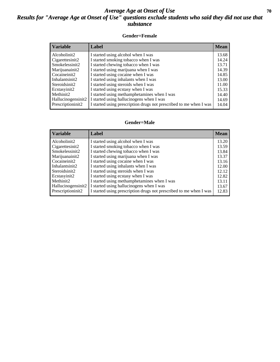### *Average Age at Onset of Use* 70 *Results for "Average Age at Onset of Use" questions exclude students who said they did not use that substance*

#### **Gender=Female**

| <b>Variable</b>                 | Label                                                              | <b>Mean</b> |
|---------------------------------|--------------------------------------------------------------------|-------------|
| Alcoholinit2                    | I started using alcohol when I was                                 | 13.68       |
| Cigarettesinit2                 | I started smoking tobacco when I was                               | 14.24       |
| Smokelessinit2                  | I started chewing tobacco when I was                               | 13.71       |
| Marijuanainit2                  | I started using marijuana when I was                               | 14.39       |
| Cocaineinit2                    | I started using cocaine when I was                                 | 14.85       |
| Inhalantsinit2                  | I started using inhalants when I was                               | 13.00       |
| Steroidsinit2                   | I started using steroids when I was                                | 11.00       |
| Ecstasyinit2                    | I started using ecstasy when I was                                 | 15.33       |
| Methinit2                       | I started using methamphetamines when I was                        | 14.40       |
| Hallucinogensinit2              | I started using hallucinogens when I was                           | 14.69       |
| Prescription in it <sub>2</sub> | I started using prescription drugs not prescribed to me when I was | 14.04       |

#### **Gender=Male**

| <b>Variable</b>                 | Label                                                              | <b>Mean</b> |
|---------------------------------|--------------------------------------------------------------------|-------------|
| Alcoholinit2                    | I started using alcohol when I was                                 | 13.20       |
| Cigarettesinit2                 | I started smoking tobacco when I was                               | 13.59       |
| Smokelessinit2                  | I started chewing tobacco when I was                               | 13.84       |
| Marijuanainit2                  | I started using marijuana when I was                               | 13.37       |
| Cocaineinit2                    | I started using cocaine when I was                                 | 13.16       |
| Inhalantsinit2                  | I started using inhalants when I was                               | 12.00       |
| Steroidsinit2                   | I started using steroids when I was                                | 12.12       |
| Ecstasyinit2                    | I started using ecstasy when I was                                 | 12.82       |
| Methinit2                       | I started using methamphetamines when I was                        | 13.11       |
| Hallucinogensinit2              | I started using hallucinogens when I was                           | 13.67       |
| Prescription in it <sub>2</sub> | I started using prescription drugs not prescribed to me when I was | 12.83       |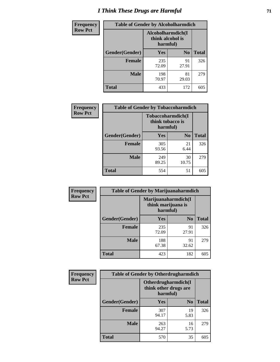# *I Think These Drugs are Harmful* **71**

| <b>Frequency</b> | <b>Table of Gender by Alcoholharmdich</b> |                                                   |                |              |
|------------------|-------------------------------------------|---------------------------------------------------|----------------|--------------|
| <b>Row Pct</b>   |                                           | Alcoholharmdich(I<br>think alcohol is<br>harmful) |                |              |
|                  | Gender(Gender)                            | Yes                                               | N <sub>0</sub> | <b>Total</b> |
|                  | <b>Female</b>                             | 235<br>72.09                                      | 91<br>27.91    | 326          |
|                  | <b>Male</b>                               | 198<br>70.97                                      | 81<br>29.03    | 279          |
|                  | <b>Total</b>                              | 433                                               | 172            | 605          |

| Frequency      | <b>Table of Gender by Tobaccoharmdich</b> |                  |                               |              |  |
|----------------|-------------------------------------------|------------------|-------------------------------|--------------|--|
| <b>Row Pct</b> |                                           | think tobacco is | Tobaccoharmdich(I<br>harmful) |              |  |
|                | Gender(Gender)                            | Yes              | N <sub>0</sub>                | <b>Total</b> |  |
|                | <b>Female</b>                             | 305<br>93.56     | 21<br>6.44                    | 326          |  |
|                | <b>Male</b>                               | 249<br>89.25     | 30<br>10.75                   | 279          |  |
|                | <b>Total</b>                              | 554              | 51                            | 605          |  |

| Frequency      | <b>Table of Gender by Marijuanaharmdich</b> |                                |                     |              |  |
|----------------|---------------------------------------------|--------------------------------|---------------------|--------------|--|
| <b>Row Pct</b> |                                             | think marijuana is<br>harmful) | Marijuanaharmdich(I |              |  |
|                | Gender(Gender)                              | <b>Yes</b>                     | N <sub>0</sub>      | <b>Total</b> |  |
|                | <b>Female</b>                               | 235<br>72.09                   | 91<br>27.91         | 326          |  |
|                | <b>Male</b>                                 | 188<br>67.38                   | 91<br>32.62         | 279          |  |
|                | <b>Total</b>                                | 423                            | 182                 | 605          |  |

| Frequency      | <b>Table of Gender by Otherdrugharmdich</b> |                                                          |                |              |
|----------------|---------------------------------------------|----------------------------------------------------------|----------------|--------------|
| <b>Row Pct</b> |                                             | Otherdrugharmdich(I<br>think other drugs are<br>harmful) |                |              |
|                | Gender(Gender)                              | <b>Yes</b>                                               | N <sub>0</sub> | <b>Total</b> |
|                | <b>Female</b>                               | 307<br>94.17                                             | 19<br>5.83     | 326          |
|                | <b>Male</b>                                 | 263<br>94.27                                             | 16<br>5.73     | 279          |
|                | <b>Total</b>                                | 570                                                      | 35             | 605          |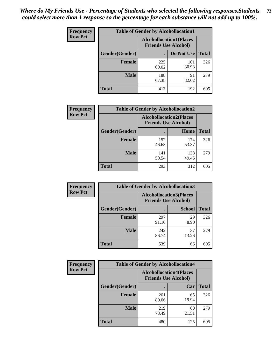| <b>Frequency</b> | <b>Table of Gender by Alcohollocation1</b> |                                                               |              |              |
|------------------|--------------------------------------------|---------------------------------------------------------------|--------------|--------------|
| <b>Row Pct</b>   |                                            | <b>Alcohollocation1(Places</b><br><b>Friends Use Alcohol)</b> |              |              |
|                  | Gender(Gender)                             |                                                               | Do Not Use   | <b>Total</b> |
|                  | <b>Female</b>                              | 225<br>69.02                                                  | 101<br>30.98 | 326          |
|                  | <b>Male</b>                                | 188<br>67.38                                                  | 91<br>32.62  | 279          |
|                  | Total                                      | 413                                                           | 192          | 605          |

| <b>Frequency</b> | <b>Table of Gender by Alcohollocation2</b> |              |                                                               |              |
|------------------|--------------------------------------------|--------------|---------------------------------------------------------------|--------------|
| <b>Row Pct</b>   |                                            |              | <b>Alcohollocation2(Places</b><br><b>Friends Use Alcohol)</b> |              |
|                  | Gender(Gender)                             |              | Home                                                          | <b>Total</b> |
|                  | <b>Female</b>                              | 152<br>46.63 | 174<br>53.37                                                  | 326          |
|                  | <b>Male</b>                                | 141<br>50.54 | 138<br>49.46                                                  | 279          |
|                  | <b>Total</b>                               | 293          | 312                                                           | 605          |

| Frequency      |                | <b>Table of Gender by Alcohollocation3</b>                    |               |              |
|----------------|----------------|---------------------------------------------------------------|---------------|--------------|
| <b>Row Pct</b> |                | <b>Alcohollocation3(Places</b><br><b>Friends Use Alcohol)</b> |               |              |
|                | Gender(Gender) |                                                               | <b>School</b> | <b>Total</b> |
|                | <b>Female</b>  | 297<br>91.10                                                  | 29<br>8.90    | 326          |
|                | <b>Male</b>    | 242<br>86.74                                                  | 37<br>13.26   | 279          |
|                | <b>Total</b>   | 539                                                           | 66            | 605          |

| Frequency      | <b>Table of Gender by Alcohollocation4</b> |                                                               |             |              |  |
|----------------|--------------------------------------------|---------------------------------------------------------------|-------------|--------------|--|
| <b>Row Pct</b> |                                            | <b>Alcohollocation4(Places</b><br><b>Friends Use Alcohol)</b> |             |              |  |
|                | Gender(Gender)                             |                                                               | Car         | <b>Total</b> |  |
|                | Female                                     | 261<br>80.06                                                  | 65<br>19.94 | 326          |  |
|                | <b>Male</b>                                | 219<br>78.49                                                  | 60<br>21.51 | 279          |  |
|                | <b>Total</b>                               | 480                                                           | 125         | 605          |  |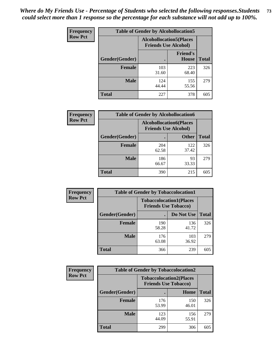| <b>Frequency</b> | <b>Table of Gender by Alcohollocation5</b> |                                                               |                                 |              |
|------------------|--------------------------------------------|---------------------------------------------------------------|---------------------------------|--------------|
| <b>Row Pct</b>   |                                            | <b>Alcohollocation5(Places</b><br><b>Friends Use Alcohol)</b> |                                 |              |
|                  | Gender(Gender)                             |                                                               | <b>Friend's</b><br><b>House</b> | <b>Total</b> |
|                  | <b>Female</b>                              | 103<br>31.60                                                  | 223<br>68.40                    | 326          |
|                  | <b>Male</b>                                | 124<br>44.44                                                  | 155<br>55.56                    | 279          |
|                  | <b>Total</b>                               | 227                                                           | 378                             | 605          |

| <b>Frequency</b> | <b>Table of Gender by Alcohollocation6</b> |                                                               |              |              |
|------------------|--------------------------------------------|---------------------------------------------------------------|--------------|--------------|
| <b>Row Pct</b>   |                                            | <b>Alcohollocation6(Places</b><br><b>Friends Use Alcohol)</b> |              |              |
|                  | <b>Gender</b> (Gender)                     |                                                               | <b>Other</b> | <b>Total</b> |
|                  | <b>Female</b>                              | 204<br>62.58                                                  | 122<br>37.42 | 326          |
|                  | <b>Male</b>                                | 186<br>66.67                                                  | 93<br>33.33  | 279          |
|                  | <b>Total</b>                               | 390                                                           | 215          | 605          |

| Frequency      | <b>Table of Gender by Tobaccolocation1</b> |                                                               |              |              |  |
|----------------|--------------------------------------------|---------------------------------------------------------------|--------------|--------------|--|
| <b>Row Pct</b> |                                            | <b>Tobaccolocation1(Places</b><br><b>Friends Use Tobacco)</b> |              |              |  |
|                | Gender(Gender)                             |                                                               | Do Not Use   | <b>Total</b> |  |
|                | Female                                     | 190<br>58.28                                                  | 136<br>41.72 | 326          |  |
|                | <b>Male</b>                                | 176<br>63.08                                                  | 103<br>36.92 | 279          |  |
|                | <b>Total</b>                               | 366                                                           | 239          | 605          |  |

| Frequency      | <b>Table of Gender by Tobaccolocation2</b> |                             |                                |              |
|----------------|--------------------------------------------|-----------------------------|--------------------------------|--------------|
| <b>Row Pct</b> |                                            | <b>Friends Use Tobacco)</b> | <b>Tobaccolocation2(Places</b> |              |
|                | Gender(Gender)                             |                             | Home                           | <b>Total</b> |
|                | Female                                     | 176<br>53.99                | 150<br>46.01                   | 326          |
|                | <b>Male</b>                                | 123<br>44.09                | 156<br>55.91                   | 279          |
|                | <b>Total</b>                               | 299                         | 306                            | 605          |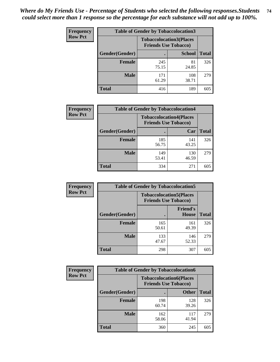| <b>Frequency</b> | <b>Table of Gender by Tobaccolocation3</b> |              |                                                               |              |
|------------------|--------------------------------------------|--------------|---------------------------------------------------------------|--------------|
| <b>Row Pct</b>   |                                            |              | <b>Tobaccolocation3(Places</b><br><b>Friends Use Tobacco)</b> |              |
|                  | Gender(Gender)                             |              | <b>School</b>                                                 | <b>Total</b> |
|                  | <b>Female</b>                              | 245<br>75.15 | 81<br>24.85                                                   | 326          |
|                  | <b>Male</b>                                | 171<br>61.29 | 108<br>38.71                                                  | 279          |
|                  | <b>Total</b>                               | 416          | 189                                                           | 605          |

| <b>Frequency</b> | <b>Table of Gender by Tobaccolocation4</b> |                             |                                |              |
|------------------|--------------------------------------------|-----------------------------|--------------------------------|--------------|
| <b>Row Pct</b>   |                                            | <b>Friends Use Tobacco)</b> | <b>Tobaccolocation4(Places</b> |              |
|                  | Gender(Gender)                             |                             | Car                            | <b>Total</b> |
|                  | <b>Female</b>                              | 185<br>56.75                | 141<br>43.25                   | 326          |
|                  | <b>Male</b>                                | 149<br>53.41                | 130<br>46.59                   | 279          |
|                  | <b>Total</b>                               | 334                         | 271                            | 605          |

| <b>Frequency</b> | <b>Table of Gender by Tobaccolocation5</b> |                                                               |                                 |              |
|------------------|--------------------------------------------|---------------------------------------------------------------|---------------------------------|--------------|
| <b>Row Pct</b>   |                                            | <b>Tobaccolocation5(Places</b><br><b>Friends Use Tobacco)</b> |                                 |              |
|                  | Gender(Gender)                             |                                                               | <b>Friend's</b><br><b>House</b> | <b>Total</b> |
|                  | <b>Female</b>                              | 165<br>50.61                                                  | 161<br>49.39                    | 326          |
|                  | <b>Male</b>                                | 133<br>47.67                                                  | 146<br>52.33                    | 279          |
|                  | <b>Total</b>                               | 298                                                           | 307                             | 605          |

| <b>Frequency</b> | <b>Table of Gender by Tobaccolocation6</b> |                                                               |              |              |
|------------------|--------------------------------------------|---------------------------------------------------------------|--------------|--------------|
| <b>Row Pct</b>   |                                            | <b>Tobaccolocation6(Places</b><br><b>Friends Use Tobacco)</b> |              |              |
|                  | Gender(Gender)                             |                                                               | <b>Other</b> | <b>Total</b> |
|                  | <b>Female</b>                              | 198<br>60.74                                                  | 128<br>39.26 | 326          |
|                  | <b>Male</b>                                | 162<br>58.06                                                  | 117<br>41.94 | 279          |
|                  | <b>Total</b>                               | 360                                                           | 245          | 605          |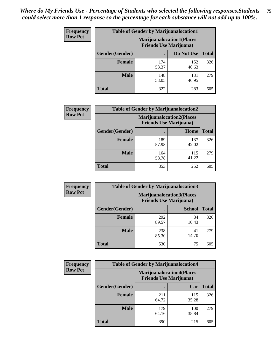| <b>Frequency</b> | <b>Table of Gender by Marijuanalocation1</b> |                                                                    |              |              |  |
|------------------|----------------------------------------------|--------------------------------------------------------------------|--------------|--------------|--|
| <b>Row Pct</b>   |                                              | <b>Marijuanalocation1(Places</b><br><b>Friends Use Marijuana</b> ) |              |              |  |
|                  | Gender(Gender)                               |                                                                    | Do Not Use   | <b>Total</b> |  |
|                  | <b>Female</b>                                | 174<br>53.37                                                       | 152<br>46.63 | 326          |  |
|                  | <b>Male</b>                                  | 148<br>53.05                                                       | 131<br>46.95 | 279          |  |
|                  | <b>Total</b>                                 | 322                                                                | 283          | 605          |  |

| <b>Frequency</b> | <b>Table of Gender by Marijuanalocation2</b> |                                |                                  |              |
|------------------|----------------------------------------------|--------------------------------|----------------------------------|--------------|
| <b>Row Pct</b>   |                                              | <b>Friends Use Marijuana</b> ) | <b>Marijuanalocation2(Places</b> |              |
|                  | Gender(Gender)                               |                                | Home                             | <b>Total</b> |
|                  | <b>Female</b>                                | 189<br>57.98                   | 137<br>42.02                     | 326          |
|                  | <b>Male</b>                                  | 164<br>58.78                   | 115<br>41.22                     | 279          |
|                  | Total                                        | 353                            | 252                              | 605          |

| Frequency      | <b>Table of Gender by Marijuanalocation3</b> |                                                                     |               |              |
|----------------|----------------------------------------------|---------------------------------------------------------------------|---------------|--------------|
| <b>Row Pct</b> |                                              | <b>Marijuanalocation3(Places)</b><br><b>Friends Use Marijuana</b> ) |               |              |
|                | Gender(Gender)                               |                                                                     | <b>School</b> | <b>Total</b> |
|                | Female                                       | 292<br>89.57                                                        | 34<br>10.43   | 326          |
|                | <b>Male</b>                                  | 238<br>85.30                                                        | 41<br>14.70   | 279          |
|                | <b>Total</b>                                 | 530                                                                 | 75            | 605          |

| <b>Frequency</b> | <b>Table of Gender by Marijuanalocation4</b> |                                                                    |              |              |
|------------------|----------------------------------------------|--------------------------------------------------------------------|--------------|--------------|
| <b>Row Pct</b>   |                                              | <b>Marijuanalocation4(Places</b><br><b>Friends Use Marijuana</b> ) |              |              |
|                  | Gender(Gender)                               |                                                                    | Car          | <b>Total</b> |
|                  | Female                                       | 211<br>64.72                                                       | 115<br>35.28 | 326          |
|                  | <b>Male</b>                                  | 179<br>64.16                                                       | 100<br>35.84 | 279          |
|                  | <b>Total</b>                                 | 390                                                                | 215          | 605          |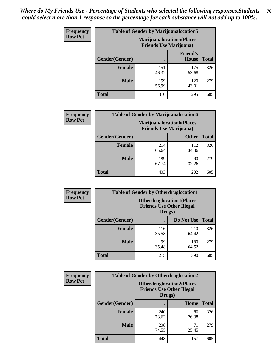| <b>Frequency</b> | <b>Table of Gender by Marijuanalocation5</b> |                                                                    |                                 |              |
|------------------|----------------------------------------------|--------------------------------------------------------------------|---------------------------------|--------------|
| <b>Row Pct</b>   |                                              | <b>Marijuanalocation5(Places</b><br><b>Friends Use Marijuana</b> ) |                                 |              |
|                  | Gender(Gender)                               |                                                                    | <b>Friend's</b><br><b>House</b> | <b>Total</b> |
|                  | <b>Female</b>                                | 151<br>46.32                                                       | 175<br>53.68                    | 326          |
|                  | <b>Male</b>                                  | 159<br>56.99                                                       | 120<br>43.01                    | 279          |
|                  | <b>Total</b>                                 | 310                                                                | 295                             | 605          |

| <b>Frequency</b> | <b>Table of Gender by Marijuanalocation6</b> |                                                                    |              |              |
|------------------|----------------------------------------------|--------------------------------------------------------------------|--------------|--------------|
| <b>Row Pct</b>   |                                              | <b>Marijuanalocation6(Places</b><br><b>Friends Use Marijuana</b> ) |              |              |
|                  | <b>Gender</b> (Gender)                       |                                                                    | <b>Other</b> | <b>Total</b> |
|                  | Female                                       | 214<br>65.64                                                       | 112<br>34.36 | 326          |
|                  | <b>Male</b>                                  | 189<br>67.74                                                       | 90<br>32.26  | 279          |
|                  | Total                                        | 403                                                                | 202          | 605          |

| Frequency      | <b>Table of Gender by Otherdruglocation1</b> |                                                                                |              |              |
|----------------|----------------------------------------------|--------------------------------------------------------------------------------|--------------|--------------|
| <b>Row Pct</b> |                                              | <b>Otherdruglocation1(Places</b><br><b>Friends Use Other Illegal</b><br>Drugs) |              |              |
|                | Gender(Gender)                               |                                                                                | Do Not Use   | <b>Total</b> |
|                | <b>Female</b>                                | 116<br>35.58                                                                   | 210<br>64.42 | 326          |
|                | <b>Male</b>                                  | 99<br>35.48                                                                    | 180<br>64.52 | 279          |
|                | <b>Total</b>                                 | 215                                                                            | 390          | 605          |

| <b>Frequency</b> | <b>Table of Gender by Otherdruglocation2</b> |              |                                                                      |              |
|------------------|----------------------------------------------|--------------|----------------------------------------------------------------------|--------------|
| <b>Row Pct</b>   |                                              | Drugs)       | <b>Otherdruglocation2(Places</b><br><b>Friends Use Other Illegal</b> |              |
|                  | Gender(Gender)                               |              | Home                                                                 | <b>Total</b> |
|                  | Female                                       | 240<br>73.62 | 86<br>26.38                                                          | 326          |
|                  | <b>Male</b>                                  | 208<br>74.55 | 71<br>25.45                                                          | 279          |
|                  | <b>Total</b>                                 | 448          | 157                                                                  | 605          |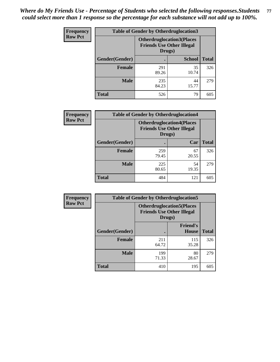| Frequency      | <b>Table of Gender by Otherdruglocation3</b> |                                                                                |               |              |
|----------------|----------------------------------------------|--------------------------------------------------------------------------------|---------------|--------------|
| <b>Row Pct</b> |                                              | <b>Otherdruglocation3(Places</b><br><b>Friends Use Other Illegal</b><br>Drugs) |               |              |
|                | Gender(Gender)                               |                                                                                | <b>School</b> | <b>Total</b> |
|                | Female                                       | 291<br>89.26                                                                   | 35<br>10.74   | 326          |
|                | <b>Male</b>                                  | 235<br>84.23                                                                   | 44<br>15.77   | 279          |
|                | <b>Total</b>                                 | 526                                                                            | 79            | 605          |

| Frequency      | <b>Table of Gender by Otherdruglocation4</b> |                                                                                |             |              |
|----------------|----------------------------------------------|--------------------------------------------------------------------------------|-------------|--------------|
| <b>Row Pct</b> |                                              | <b>Otherdruglocation4(Places</b><br><b>Friends Use Other Illegal</b><br>Drugs) |             |              |
|                | Gender(Gender)                               |                                                                                | Car         | <b>Total</b> |
|                | <b>Female</b>                                | 259<br>79.45                                                                   | 67<br>20.55 | 326          |
|                | <b>Male</b>                                  | 225<br>80.65                                                                   | 54<br>19.35 | 279          |
|                | <b>Total</b>                                 | 484                                                                            | 121         | 605          |

| Frequency      | <b>Table of Gender by Otherdruglocation5</b>                                   |              |                                 |              |
|----------------|--------------------------------------------------------------------------------|--------------|---------------------------------|--------------|
| <b>Row Pct</b> | <b>Otherdruglocation5(Places</b><br><b>Friends Use Other Illegal</b><br>Drugs) |              |                                 |              |
|                | Gender(Gender)                                                                 |              | <b>Friend's</b><br><b>House</b> | <b>Total</b> |
|                | <b>Female</b>                                                                  | 211<br>64.72 | 115<br>35.28                    | 326          |
|                | <b>Male</b>                                                                    | 199<br>71.33 | 80<br>28.67                     | 279          |
|                | <b>Total</b>                                                                   | 410          | 195                             | 605          |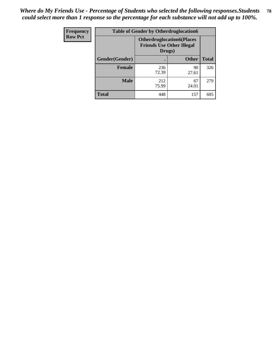| Frequency      | <b>Table of Gender by Otherdruglocation6</b> |                                                                                |              |              |
|----------------|----------------------------------------------|--------------------------------------------------------------------------------|--------------|--------------|
| <b>Row Pct</b> |                                              | <b>Otherdruglocation6(Places</b><br><b>Friends Use Other Illegal</b><br>Drugs) |              |              |
|                | Gender(Gender)                               |                                                                                | <b>Other</b> | <b>Total</b> |
|                | <b>Female</b>                                | 236<br>72.39                                                                   | 90<br>27.61  | 326          |
|                | <b>Male</b>                                  | 212<br>75.99                                                                   | 67<br>24.01  | 279          |
|                | <b>Total</b>                                 | 448                                                                            | 157          | 605          |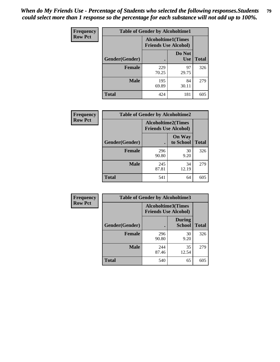| <b>Frequency</b> | <b>Table of Gender by Alcoholtime1</b> |                                                          |                      |              |
|------------------|----------------------------------------|----------------------------------------------------------|----------------------|--------------|
| <b>Row Pct</b>   |                                        | <b>Alcoholtime1(Times</b><br><b>Friends Use Alcohol)</b> |                      |              |
|                  | Gender(Gender)                         |                                                          | Do Not<br><b>Use</b> | <b>Total</b> |
|                  | <b>Female</b>                          | 229<br>70.25                                             | 97<br>29.75          | 326          |
|                  | <b>Male</b>                            | 195<br>69.89                                             | 84<br>30.11          | 279          |
|                  | <b>Total</b>                           | 424                                                      | 181                  | 605          |

| Frequency      | <b>Table of Gender by Alcoholtime2</b> |                                                          |                            |              |
|----------------|----------------------------------------|----------------------------------------------------------|----------------------------|--------------|
| <b>Row Pct</b> |                                        | <b>Alcoholtime2(Times</b><br><b>Friends Use Alcohol)</b> |                            |              |
|                | Gender(Gender)                         |                                                          | <b>On Way</b><br>to School | <b>Total</b> |
|                | <b>Female</b>                          | 296<br>90.80                                             | 30<br>9.20                 | 326          |
|                | <b>Male</b>                            | 245<br>87.81                                             | 34<br>12.19                | 279          |
|                | Total                                  | 541                                                      | 64                         | 605          |

| Frequency      | <b>Table of Gender by Alcoholtime3</b> |                                                   |                                |              |
|----------------|----------------------------------------|---------------------------------------------------|--------------------------------|--------------|
| <b>Row Pct</b> |                                        | Alcoholtime3(Times<br><b>Friends Use Alcohol)</b> |                                |              |
|                | Gender(Gender)                         |                                                   | <b>During</b><br><b>School</b> | <b>Total</b> |
|                | Female                                 | 296<br>90.80                                      | 30<br>9.20                     | 326          |
|                | <b>Male</b>                            | 244<br>87.46                                      | 35<br>12.54                    | 279          |
|                | <b>Total</b>                           | 540                                               | 65                             | 605          |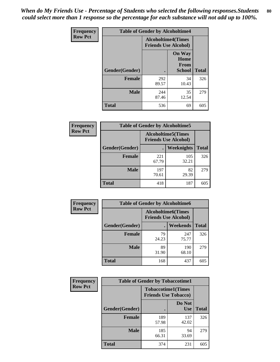*When do My Friends Use - Percentage of Students who selected the following responses.Students could select more than 1 response so the percentage for each substance will not add up to 100%.* **80**

| <b>Frequency</b> | <b>Table of Gender by Alcoholtime4</b> |                                                          |                                                |              |
|------------------|----------------------------------------|----------------------------------------------------------|------------------------------------------------|--------------|
| <b>Row Pct</b>   |                                        | <b>Alcoholtime4(Times</b><br><b>Friends Use Alcohol)</b> |                                                |              |
|                  | Gender(Gender)                         |                                                          | <b>On Way</b><br>Home<br>From<br><b>School</b> | <b>Total</b> |
|                  | <b>Female</b>                          | 292<br>89.57                                             | 34<br>10.43                                    | 326          |
|                  | <b>Male</b>                            | 244<br>87.46                                             | 35<br>12.54                                    | 279          |
|                  | <b>Total</b>                           | 536                                                      | 69                                             | 605          |

| <b>Frequency</b> | <b>Table of Gender by Alcoholtime5</b> |                                                           |              |              |
|------------------|----------------------------------------|-----------------------------------------------------------|--------------|--------------|
| <b>Row Pct</b>   |                                        | <b>Alcoholtime5</b> (Times<br><b>Friends Use Alcohol)</b> |              |              |
|                  | Gender(Gender)                         |                                                           | Weeknights   | <b>Total</b> |
|                  | <b>Female</b>                          | 221<br>67.79                                              | 105<br>32.21 | 326          |
|                  | <b>Male</b>                            | 197<br>70.61                                              | 82<br>29.39  | 279          |
|                  | <b>Total</b>                           | 418                                                       | 187          | 605          |

| <b>Frequency</b> | <b>Table of Gender by Alcoholtime6</b> |             |                                                           |              |
|------------------|----------------------------------------|-------------|-----------------------------------------------------------|--------------|
| <b>Row Pct</b>   |                                        |             | <b>Alcoholtime6</b> (Times<br><b>Friends Use Alcohol)</b> |              |
|                  | Gender(Gender)                         |             | <b>Weekends</b>                                           | <b>Total</b> |
|                  | Female                                 | 79<br>24.23 | 247<br>75.77                                              | 326          |
|                  | <b>Male</b>                            | 89<br>31.90 | 190<br>68.10                                              | 279          |
|                  | <b>Total</b>                           | 168         | 437                                                       | 605          |

| Frequency      | <b>Table of Gender by Tobaccotime1</b> |                                                          |                      |              |
|----------------|----------------------------------------|----------------------------------------------------------|----------------------|--------------|
| <b>Row Pct</b> |                                        | <b>Tobaccotime1(Times</b><br><b>Friends Use Tobacco)</b> |                      |              |
|                | Gender(Gender)                         |                                                          | Do Not<br><b>Use</b> | <b>Total</b> |
|                | <b>Female</b>                          | 189<br>57.98                                             | 137<br>42.02         | 326          |
|                | <b>Male</b>                            | 185<br>66.31                                             | 94<br>33.69          | 279          |
|                | <b>Total</b>                           | 374                                                      | 231                  | 605          |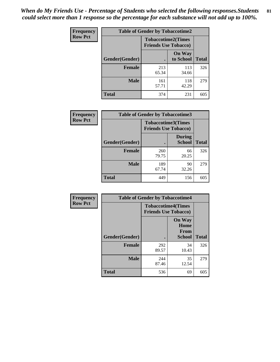*When do My Friends Use - Percentage of Students who selected the following responses.Students could select more than 1 response so the percentage for each substance will not add up to 100%.* **81**

| Frequency      | <b>Table of Gender by Tobaccotime2</b> |                                                          |                            |              |
|----------------|----------------------------------------|----------------------------------------------------------|----------------------------|--------------|
| <b>Row Pct</b> |                                        | <b>Tobaccotime2(Times</b><br><b>Friends Use Tobacco)</b> |                            |              |
|                | Gender(Gender)                         | $\bullet$                                                | <b>On Way</b><br>to School | <b>Total</b> |
|                | Female                                 | 213<br>65.34                                             | 113<br>34.66               | 326          |
|                | <b>Male</b>                            | 161<br>57.71                                             | 118<br>42.29               | 279          |
|                | Total                                  | 374                                                      | 231                        | 605          |

| Frequency      | <b>Table of Gender by Tobaccotime3</b> |                             |                                |              |
|----------------|----------------------------------------|-----------------------------|--------------------------------|--------------|
| <b>Row Pct</b> |                                        | <b>Friends Use Tobacco)</b> | <b>Tobaccotime3(Times</b>      |              |
|                | Gender(Gender)                         |                             | <b>During</b><br><b>School</b> | <b>Total</b> |
|                | Female                                 | 260<br>79.75                | 66<br>20.25                    | 326          |
|                | <b>Male</b>                            | 189<br>67.74                | 90<br>32.26                    | 279          |
|                | <b>Total</b>                           | 449                         | 156                            | 605          |

| <b>Frequency</b> | <b>Table of Gender by Tobaccotime4</b> |                                                          |                                                       |              |
|------------------|----------------------------------------|----------------------------------------------------------|-------------------------------------------------------|--------------|
| <b>Row Pct</b>   |                                        | <b>Tobaccotime4(Times</b><br><b>Friends Use Tobacco)</b> |                                                       |              |
|                  | Gender(Gender)                         |                                                          | <b>On Way</b><br>Home<br><b>From</b><br><b>School</b> | <b>Total</b> |
|                  | <b>Female</b>                          | 292<br>89.57                                             | 34<br>10.43                                           | 326          |
|                  | <b>Male</b>                            | 244<br>87.46                                             | 35<br>12.54                                           | 279          |
|                  | <b>Total</b>                           | 536                                                      | 69                                                    | 605          |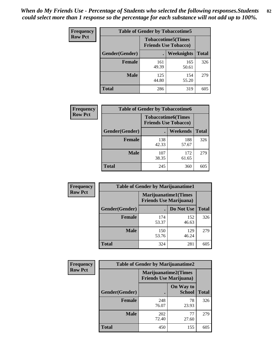| <b>Frequency</b> | <b>Table of Gender by Tobaccotime5</b> |                                                          |              |              |  |
|------------------|----------------------------------------|----------------------------------------------------------|--------------|--------------|--|
| <b>Row Pct</b>   |                                        | <b>Tobaccotime5(Times</b><br><b>Friends Use Tobacco)</b> |              |              |  |
|                  | Gender(Gender)                         |                                                          | Weeknights   | <b>Total</b> |  |
|                  | <b>Female</b>                          | 161<br>49.39                                             | 165<br>50.61 | 326          |  |
|                  | <b>Male</b>                            | 125<br>44.80                                             | 154<br>55.20 | 279          |  |
|                  | <b>Total</b>                           | 286                                                      | 319          | 605          |  |

| Frequency      | <b>Table of Gender by Tobaccotime6</b> |                             |                           |              |  |
|----------------|----------------------------------------|-----------------------------|---------------------------|--------------|--|
| <b>Row Pct</b> |                                        | <b>Friends Use Tobacco)</b> | <b>Tobaccotime6(Times</b> |              |  |
|                | Gender(Gender)                         |                             | <b>Weekends</b>           | <b>Total</b> |  |
|                | Female                                 | 138<br>42.33                | 188<br>57.67              | 326          |  |
|                | <b>Male</b>                            | 107<br>38.35                | 172<br>61.65              | 279          |  |
|                | <b>Total</b>                           | 245                         | 360                       | 605          |  |

| <b>Frequency</b> | <b>Table of Gender by Marijuanatime1</b>                      |              |              |              |
|------------------|---------------------------------------------------------------|--------------|--------------|--------------|
| <b>Row Pct</b>   | <b>Marijuanatime1(Times</b><br><b>Friends Use Marijuana</b> ) |              |              |              |
|                  | Gender(Gender)                                                |              | Do Not Use   | <b>Total</b> |
|                  | <b>Female</b>                                                 | 174<br>53.37 | 152<br>46.63 | 326          |
|                  | <b>Male</b>                                                   | 150<br>53.76 | 129<br>46.24 | 279          |
|                  | <b>Total</b>                                                  | 324          | 281          | 605          |

| <b>Frequency</b> | <b>Table of Gender by Marijuanatime2</b> |                                                        |                            |              |
|------------------|------------------------------------------|--------------------------------------------------------|----------------------------|--------------|
| <b>Row Pct</b>   |                                          | Marijuanatime2(Times<br><b>Friends Use Marijuana</b> ) |                            |              |
|                  | Gender(Gender)                           |                                                        | On Way to<br><b>School</b> | <b>Total</b> |
|                  | Female                                   | 248<br>76.07                                           | 78<br>23.93                | 326          |
|                  | <b>Male</b>                              | 202<br>72.40                                           | 77<br>27.60                | 279          |
|                  | <b>Total</b>                             | 450                                                    | 155                        | 605          |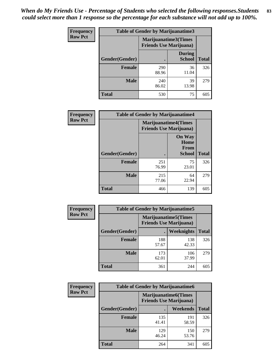| Frequency      | <b>Table of Gender by Marijuanatime3</b> |                                                        |                                |              |
|----------------|------------------------------------------|--------------------------------------------------------|--------------------------------|--------------|
| <b>Row Pct</b> |                                          | Marijuanatime3(Times<br><b>Friends Use Marijuana</b> ) |                                |              |
|                | <b>Gender</b> (Gender)                   |                                                        | <b>During</b><br><b>School</b> | <b>Total</b> |
|                | <b>Female</b>                            | 290<br>88.96                                           | 36<br>11.04                    | 326          |
|                | <b>Male</b>                              | 240<br>86.02                                           | 39<br>13.98                    | 279          |
|                | <b>Total</b>                             | 530                                                    | 75                             | 605          |

| Frequency      | <b>Table of Gender by Marijuanatime4</b> |                                |                                                       |              |
|----------------|------------------------------------------|--------------------------------|-------------------------------------------------------|--------------|
| <b>Row Pct</b> |                                          | <b>Friends Use Marijuana</b> ) | <b>Marijuanatime4</b> (Times                          |              |
|                | Gender(Gender)                           |                                | <b>On Way</b><br>Home<br><b>From</b><br><b>School</b> | <b>Total</b> |
|                | <b>Female</b>                            | 251<br>76.99                   | 75<br>23.01                                           | 326          |
|                | <b>Male</b>                              | 215<br>77.06                   | 64<br>22.94                                           | 279          |
|                | <b>Total</b>                             | 466                            | 139                                                   | 605          |

| Frequency      | <b>Table of Gender by Marijuanatime5</b> |                                                                |              |              |
|----------------|------------------------------------------|----------------------------------------------------------------|--------------|--------------|
| <b>Row Pct</b> |                                          | <b>Marijuanatime5</b> (Times<br><b>Friends Use Marijuana</b> ) |              |              |
|                | Gender(Gender)                           | ٠                                                              | Weeknights   | <b>Total</b> |
|                | <b>Female</b>                            | 188<br>57.67                                                   | 138<br>42.33 | 326          |
|                | <b>Male</b>                              | 173<br>62.01                                                   | 106<br>37.99 | 279          |
|                | <b>Total</b>                             | 361                                                            | 244          | 605          |

| Frequency      | <b>Table of Gender by Marijuanatime6</b> |                                                                |                 |              |
|----------------|------------------------------------------|----------------------------------------------------------------|-----------------|--------------|
| <b>Row Pct</b> |                                          | <b>Marijuanatime6</b> (Times<br><b>Friends Use Marijuana</b> ) |                 |              |
|                | Gender(Gender)                           |                                                                | <b>Weekends</b> | <b>Total</b> |
|                | <b>Female</b>                            | 135<br>41.41                                                   | 191<br>58.59    | 326          |
|                | <b>Male</b>                              | 129<br>46.24                                                   | 150<br>53.76    | 279          |
|                | <b>Total</b>                             | 264                                                            | 341             | 605          |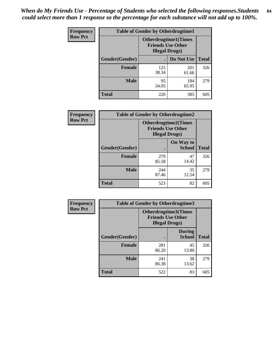*When do My Friends Use - Percentage of Students who selected the following responses.Students could select more than 1 response so the percentage for each substance will not add up to 100%.* **84**

| <b>Frequency</b> | <b>Table of Gender by Otherdrugtime1</b> |              |                                                                                    |              |  |
|------------------|------------------------------------------|--------------|------------------------------------------------------------------------------------|--------------|--|
| <b>Row Pct</b>   |                                          |              | <b>Otherdrugtime1</b> (Times<br><b>Friends Use Other</b><br><b>Illegal Drugs</b> ) |              |  |
|                  | Gender(Gender)                           |              | Do Not Use                                                                         | <b>Total</b> |  |
|                  | <b>Female</b>                            | 125<br>38.34 | 201<br>61.66                                                                       | 326          |  |
|                  | <b>Male</b>                              | 95<br>34.05  | 184<br>65.95                                                                       | 279          |  |
|                  | <b>Total</b>                             | 220          | 385                                                                                | 605          |  |

| <b>Frequency</b> | <b>Table of Gender by Otherdrugtime2</b> |                                                                                   |                            |              |
|------------------|------------------------------------------|-----------------------------------------------------------------------------------|----------------------------|--------------|
| <b>Row Pct</b>   |                                          | <b>Otherdrugtime2(Times</b><br><b>Friends Use Other</b><br><b>Illegal Drugs</b> ) |                            |              |
|                  | <b>Gender</b> (Gender)                   |                                                                                   | On Way to<br><b>School</b> | <b>Total</b> |
|                  | <b>Female</b>                            | 279<br>85.58                                                                      | 47<br>14.42                | 326          |
|                  | <b>Male</b>                              | 244<br>87.46                                                                      | 35<br>12.54                | 279          |
|                  | <b>Total</b>                             | 523                                                                               | 82                         | 605          |

| Frequency      | <b>Table of Gender by Otherdrugtime3</b> |                                                                                   |                                |              |  |
|----------------|------------------------------------------|-----------------------------------------------------------------------------------|--------------------------------|--------------|--|
| <b>Row Pct</b> |                                          | <b>Otherdrugtime3(Times</b><br><b>Friends Use Other</b><br><b>Illegal Drugs</b> ) |                                |              |  |
|                | Gender(Gender)                           |                                                                                   | <b>During</b><br><b>School</b> | <b>Total</b> |  |
|                | <b>Female</b>                            | 281<br>86.20                                                                      | 45<br>13.80                    | 326          |  |
|                | <b>Male</b>                              | 241<br>86.38                                                                      | 38<br>13.62                    | 279          |  |
|                | <b>Total</b>                             | 522                                                                               | 83                             | 605          |  |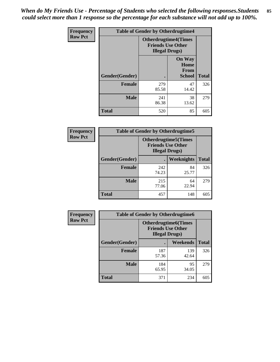*When do My Friends Use - Percentage of Students who selected the following responses.Students could select more than 1 response so the percentage for each substance will not add up to 100%.* **85**

| Frequency      | <b>Table of Gender by Otherdrugtime4</b> |                                                                                   |                                                       |              |
|----------------|------------------------------------------|-----------------------------------------------------------------------------------|-------------------------------------------------------|--------------|
| <b>Row Pct</b> |                                          | <b>Otherdrugtime4(Times</b><br><b>Friends Use Other</b><br><b>Illegal Drugs</b> ) |                                                       |              |
|                | Gender(Gender)                           |                                                                                   | <b>On Way</b><br>Home<br><b>From</b><br><b>School</b> | <b>Total</b> |
|                | <b>Female</b>                            | 279<br>85.58                                                                      | 47<br>14.42                                           | 326          |
|                | <b>Male</b>                              | 241<br>86.38                                                                      | 38<br>13.62                                           | 279          |
|                | <b>Total</b>                             | 520                                                                               | 85                                                    | 605          |

| Frequency      | <b>Table of Gender by Otherdrugtime5</b> |                                                                                    |             |              |  |
|----------------|------------------------------------------|------------------------------------------------------------------------------------|-------------|--------------|--|
| <b>Row Pct</b> |                                          | <b>Otherdrugtime5</b> (Times<br><b>Friends Use Other</b><br><b>Illegal Drugs</b> ) |             |              |  |
|                | Gender(Gender)                           |                                                                                    | Weeknights  | <b>Total</b> |  |
|                | <b>Female</b>                            | 242<br>74.23                                                                       | 84<br>25.77 | 326          |  |
|                | <b>Male</b>                              | 215<br>77.06                                                                       | 64<br>22.94 | 279          |  |
|                | <b>Total</b>                             | 457                                                                                | 148         | 605          |  |

| Frequency      | <b>Table of Gender by Otherdrugtime6</b> |                                                                                   |              |              |
|----------------|------------------------------------------|-----------------------------------------------------------------------------------|--------------|--------------|
| <b>Row Pct</b> |                                          | <b>Otherdrugtime6(Times</b><br><b>Friends Use Other</b><br><b>Illegal Drugs</b> ) |              |              |
|                | Gender(Gender)                           |                                                                                   | Weekends     | <b>Total</b> |
|                | <b>Female</b>                            | 187<br>57.36                                                                      | 139<br>42.64 | 326          |
|                | <b>Male</b>                              | 184<br>65.95                                                                      | 95<br>34.05  | 279          |
|                | <b>Total</b>                             | 371                                                                               | 234          | 605          |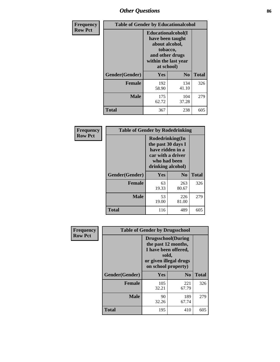# *Other Questions* **86**

| <b>Frequency</b> | <b>Table of Gender by Educationalcohol</b> |                                                                                                                                       |                |              |
|------------------|--------------------------------------------|---------------------------------------------------------------------------------------------------------------------------------------|----------------|--------------|
| <b>Row Pct</b>   |                                            | <b>Educationalcohol</b> (I<br>have been taught<br>about alcohol,<br>tobacco,<br>and other drugs<br>within the last year<br>at school) |                |              |
|                  | Gender(Gender)                             | <b>Yes</b>                                                                                                                            | N <sub>0</sub> | <b>Total</b> |
|                  | <b>Female</b>                              | 192<br>58.90                                                                                                                          | 134<br>41.10   | 326          |
|                  | <b>Male</b>                                | 175<br>62.72                                                                                                                          | 104<br>37.28   | 279          |
|                  | <b>Total</b>                               | 367                                                                                                                                   | 238            | 605          |

| Frequency      | <b>Table of Gender by Rodedrinking</b> |                                                                                                                     |                |              |
|----------------|----------------------------------------|---------------------------------------------------------------------------------------------------------------------|----------------|--------------|
| <b>Row Pct</b> |                                        | Rodedrinking(In<br>the past 30 days I<br>have ridden in a<br>car with a driver<br>who had been<br>drinking alcohol) |                |              |
|                | Gender(Gender)                         | Yes                                                                                                                 | N <sub>0</sub> | <b>Total</b> |
|                | <b>Female</b>                          | 63<br>19.33                                                                                                         | 263<br>80.67   | 326          |
|                | <b>Male</b>                            | 53<br>19.00                                                                                                         | 226<br>81.00   | 279          |
|                | <b>Total</b>                           | 116                                                                                                                 | 489            | 605          |

| Frequency      |                | <b>Table of Gender by Drugsschool</b>                                                                                               |                |              |
|----------------|----------------|-------------------------------------------------------------------------------------------------------------------------------------|----------------|--------------|
| <b>Row Pct</b> |                | <b>Drugsschool</b> (During<br>the past 12 months,<br>I have been offered,<br>sold,<br>or given illegal drugs<br>on school property) |                |              |
|                | Gender(Gender) | Yes                                                                                                                                 | N <sub>0</sub> | <b>Total</b> |
|                | <b>Female</b>  | 105<br>32.21                                                                                                                        | 221<br>67.79   | 326          |
|                | <b>Male</b>    | 90<br>32.26                                                                                                                         | 189<br>67.74   | 279          |
|                | <b>Total</b>   | 195                                                                                                                                 | 410            | 605          |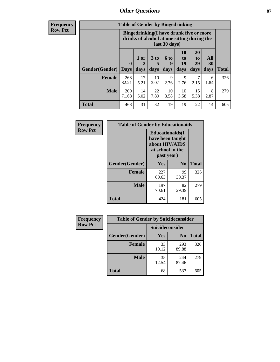## *Other Questions* **87**

**Frequency Row Pct**

| <b>Table of Gender by Bingedrinking</b> |              |                                                                                                         |                   |                   |                        |                               |                          |              |
|-----------------------------------------|--------------|---------------------------------------------------------------------------------------------------------|-------------------|-------------------|------------------------|-------------------------------|--------------------------|--------------|
|                                         |              | Bingedrinking(I have drunk five or more<br>drinks of alcohol at one sitting during the<br>last 30 days) |                   |                   |                        |                               |                          |              |
| <b>Gender</b> (Gender)   Days           | $\mathbf 0$  | 1 or<br>2<br>days                                                                                       | 3 to<br>5<br>days | 6 to<br>9<br>days | 10<br>to<br>19<br>days | <b>20</b><br>to<br>29<br>days | All<br><b>30</b><br>days | <b>Total</b> |
| <b>Female</b>                           | 268<br>82.21 | 17<br>5.21                                                                                              | 10<br>3.07        | 9<br>2.76         | 9<br>2.76              | 2.15                          | 6<br>1.84                | 326          |
| <b>Male</b>                             | 200          | 14                                                                                                      | 22                | 10                | 10                     | 15                            | 8                        | 279          |
|                                         | 71.68        | 5.02                                                                                                    | 7.89              | 3.58              | 3.58                   | 5.38                          | 2.87                     |              |

| Frequency      | <b>Table of Gender by Educationaids</b> |                                                                                                 |                |              |
|----------------|-----------------------------------------|-------------------------------------------------------------------------------------------------|----------------|--------------|
| <b>Row Pct</b> |                                         | <b>Educationaids</b> (I<br>have been taught<br>about HIV/AIDS<br>at school in the<br>past year) |                |              |
|                | Gender(Gender)                          | Yes                                                                                             | N <sub>0</sub> | <b>Total</b> |
|                | <b>Female</b>                           | 227<br>69.63                                                                                    | 99<br>30.37    | 326          |
|                | <b>Male</b>                             | 197<br>70.61                                                                                    | 82<br>29.39    | 279          |
|                | <b>Total</b>                            | 424                                                                                             | 181            | 605          |

| <b>Frequency</b> | <b>Table of Gender by Suicideconsider</b> |                 |                |              |
|------------------|-------------------------------------------|-----------------|----------------|--------------|
| <b>Row Pct</b>   |                                           | Suicideconsider |                |              |
|                  | Gender(Gender)                            | Yes             | N <sub>0</sub> | <b>Total</b> |
|                  | <b>Female</b>                             | 33<br>10.12     | 293<br>89.88   | 326          |
|                  | <b>Male</b>                               | 35<br>12.54     | 244<br>87.46   | 279          |
|                  | <b>Total</b>                              | 68              | 537            | 605          |